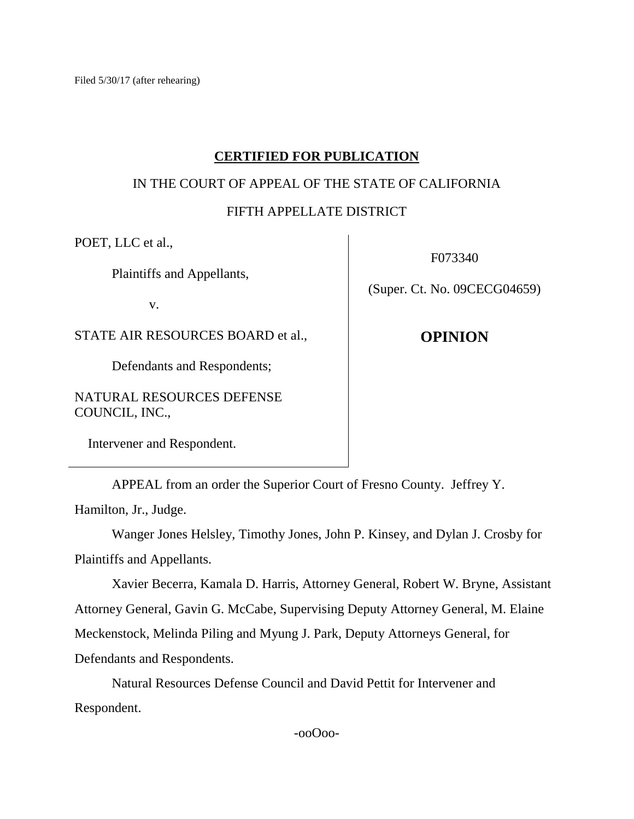Filed 5/30/17 (after rehearing)

# **CERTIFIED FOR PUBLICATION**

# IN THE COURT OF APPEAL OF THE STATE OF CALIFORNIA

# FIFTH APPELLATE DISTRICT

POET, LLC et al.,

Plaintiffs and Appellants,

v.

STATE AIR RESOURCES BOARD et al.,

Defendants and Respondents;

NATURAL RESOURCES DEFENSE COUNCIL, INC.,

Intervener and Respondent.

F073340

(Super. Ct. No. 09CECG04659)

**OPINION**

APPEAL from an order the Superior Court of Fresno County. Jeffrey Y.

Hamilton, Jr., Judge.

Wanger Jones Helsley, Timothy Jones, John P. Kinsey, and Dylan J. Crosby for Plaintiffs and Appellants.

Xavier Becerra, Kamala D. Harris, Attorney General, Robert W. Bryne, Assistant Attorney General, Gavin G. McCabe, Supervising Deputy Attorney General, M. Elaine Meckenstock, Melinda Piling and Myung J. Park, Deputy Attorneys General, for Defendants and Respondents.

Natural Resources Defense Council and David Pettit for Intervener and Respondent.

-ooOoo-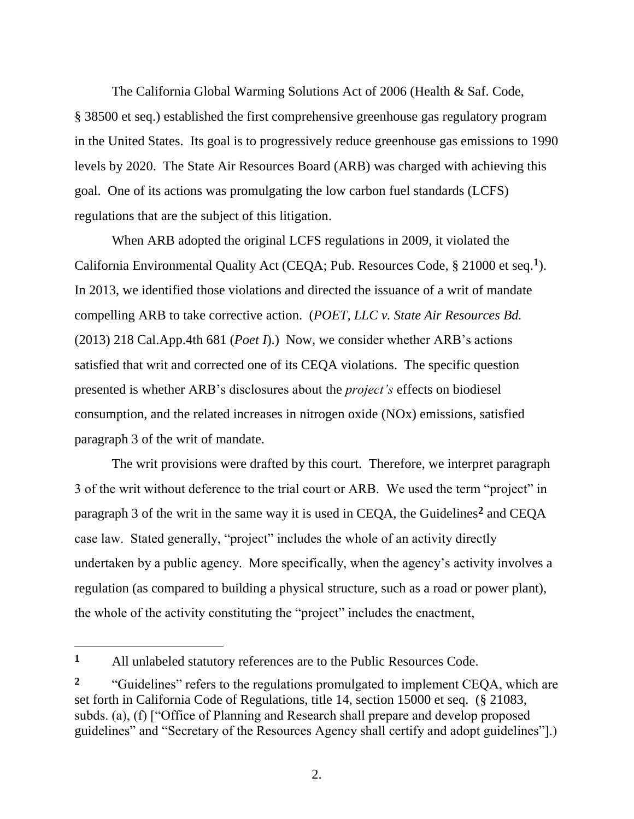The California Global Warming Solutions Act of 2006 (Health & Saf. Code, § 38500 et seq.) established the first comprehensive greenhouse gas regulatory program in the United States. Its goal is to progressively reduce greenhouse gas emissions to 1990 levels by 2020. The State Air Resources Board (ARB) was charged with achieving this goal. One of its actions was promulgating the low carbon fuel standards (LCFS) regulations that are the subject of this litigation.

When ARB adopted the original LCFS regulations in 2009, it violated the California Environmental Quality Act (CEQA; Pub. Resources Code, § 21000 et seq.**<sup>1</sup>** ). In 2013, we identified those violations and directed the issuance of a writ of mandate compelling ARB to take corrective action. (*POET, LLC v. State Air Resources Bd.* (2013) 218 Cal.App.4th 681 (*Poet I*).) Now, we consider whether ARB's actions satisfied that writ and corrected one of its CEQA violations. The specific question presented is whether ARB's disclosures about the *project's* effects on biodiesel consumption, and the related increases in nitrogen oxide (NOx) emissions, satisfied paragraph 3 of the writ of mandate.

The writ provisions were drafted by this court. Therefore, we interpret paragraph 3 of the writ without deference to the trial court or ARB. We used the term "project" in paragraph 3 of the writ in the same way it is used in CEQA, the Guidelines**<sup>2</sup>** and CEQA case law. Stated generally, "project" includes the whole of an activity directly undertaken by a public agency. More specifically, when the agency's activity involves a regulation (as compared to building a physical structure, such as a road or power plant), the whole of the activity constituting the "project" includes the enactment,

 $\overline{a}$ 

**<sup>1</sup>** All unlabeled statutory references are to the Public Resources Code.

<sup>&</sup>lt;sup>2</sup> "Guidelines" refers to the regulations promulgated to implement CEQA, which are set forth in California Code of Regulations, title 14, section 15000 et seq. (§ 21083, subds. (a), (f) ["Office of Planning and Research shall prepare and develop proposed guidelines" and "Secretary of the Resources Agency shall certify and adopt guidelines"].)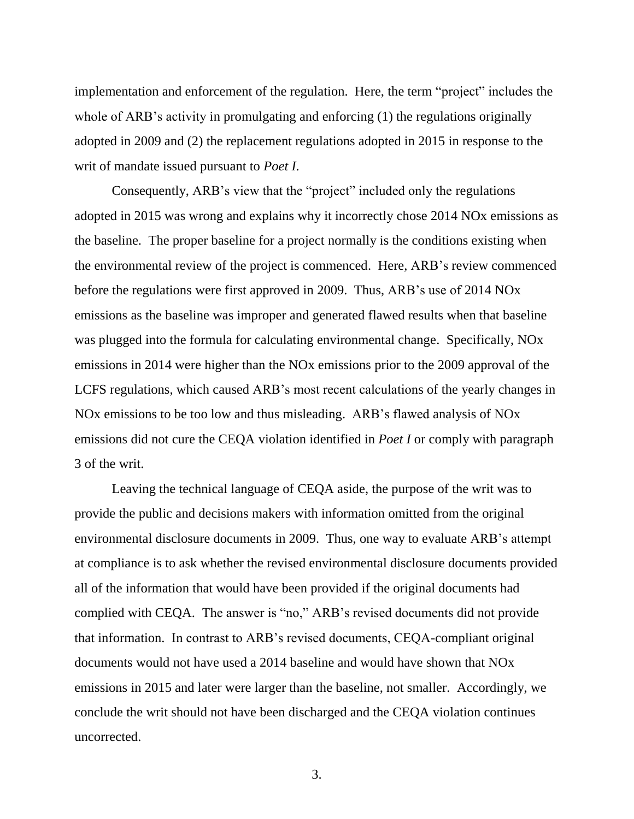implementation and enforcement of the regulation. Here, the term "project" includes the whole of ARB's activity in promulgating and enforcing (1) the regulations originally adopted in 2009 and (2) the replacement regulations adopted in 2015 in response to the writ of mandate issued pursuant to *Poet I*.

Consequently, ARB's view that the "project" included only the regulations adopted in 2015 was wrong and explains why it incorrectly chose 2014 NOx emissions as the baseline. The proper baseline for a project normally is the conditions existing when the environmental review of the project is commenced. Here, ARB's review commenced before the regulations were first approved in 2009. Thus, ARB's use of 2014 NOx emissions as the baseline was improper and generated flawed results when that baseline was plugged into the formula for calculating environmental change. Specifically, NOx emissions in 2014 were higher than the NOx emissions prior to the 2009 approval of the LCFS regulations, which caused ARB's most recent calculations of the yearly changes in NOx emissions to be too low and thus misleading. ARB's flawed analysis of NOx emissions did not cure the CEQA violation identified in *Poet I* or comply with paragraph 3 of the writ.

Leaving the technical language of CEQA aside, the purpose of the writ was to provide the public and decisions makers with information omitted from the original environmental disclosure documents in 2009. Thus, one way to evaluate ARB's attempt at compliance is to ask whether the revised environmental disclosure documents provided all of the information that would have been provided if the original documents had complied with CEQA. The answer is "no," ARB's revised documents did not provide that information. In contrast to ARB's revised documents, CEQA-compliant original documents would not have used a 2014 baseline and would have shown that NOx emissions in 2015 and later were larger than the baseline, not smaller. Accordingly, we conclude the writ should not have been discharged and the CEQA violation continues uncorrected.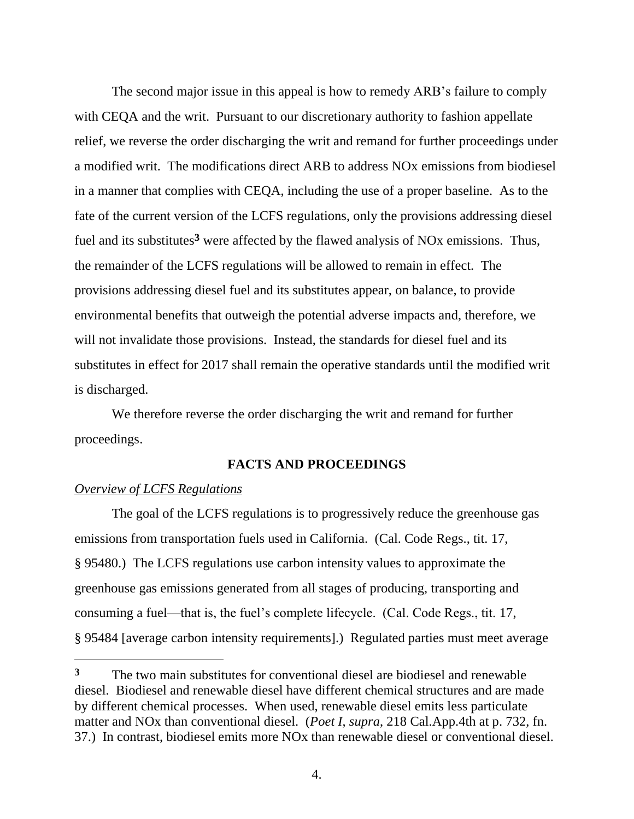The second major issue in this appeal is how to remedy ARB's failure to comply with CEQA and the writ. Pursuant to our discretionary authority to fashion appellate relief, we reverse the order discharging the writ and remand for further proceedings under a modified writ. The modifications direct ARB to address NOx emissions from biodiesel in a manner that complies with CEQA, including the use of a proper baseline. As to the fate of the current version of the LCFS regulations, only the provisions addressing diesel fuel and its substitutes**<sup>3</sup>** were affected by the flawed analysis of NOx emissions. Thus, the remainder of the LCFS regulations will be allowed to remain in effect. The provisions addressing diesel fuel and its substitutes appear, on balance, to provide environmental benefits that outweigh the potential adverse impacts and, therefore, we will not invalidate those provisions. Instead, the standards for diesel fuel and its substitutes in effect for 2017 shall remain the operative standards until the modified writ is discharged.

We therefore reverse the order discharging the writ and remand for further proceedings.

# **FACTS AND PROCEEDINGS**

## *Overview of LCFS Regulations*

The goal of the LCFS regulations is to progressively reduce the greenhouse gas emissions from transportation fuels used in California. (Cal. Code Regs., tit. 17, § 95480.) The LCFS regulations use carbon intensity values to approximate the greenhouse gas emissions generated from all stages of producing, transporting and consuming a fuel—that is, the fuel's complete lifecycle. (Cal. Code Regs., tit. 17, § 95484 [average carbon intensity requirements].) Regulated parties must meet average

**<sup>3</sup>** The two main substitutes for conventional diesel are biodiesel and renewable diesel. Biodiesel and renewable diesel have different chemical structures and are made by different chemical processes. When used, renewable diesel emits less particulate matter and NOx than conventional diesel. (*Poet I*, *supra*, 218 Cal.App.4th at p. 732, fn. 37.) In contrast, biodiesel emits more NOx than renewable diesel or conventional diesel.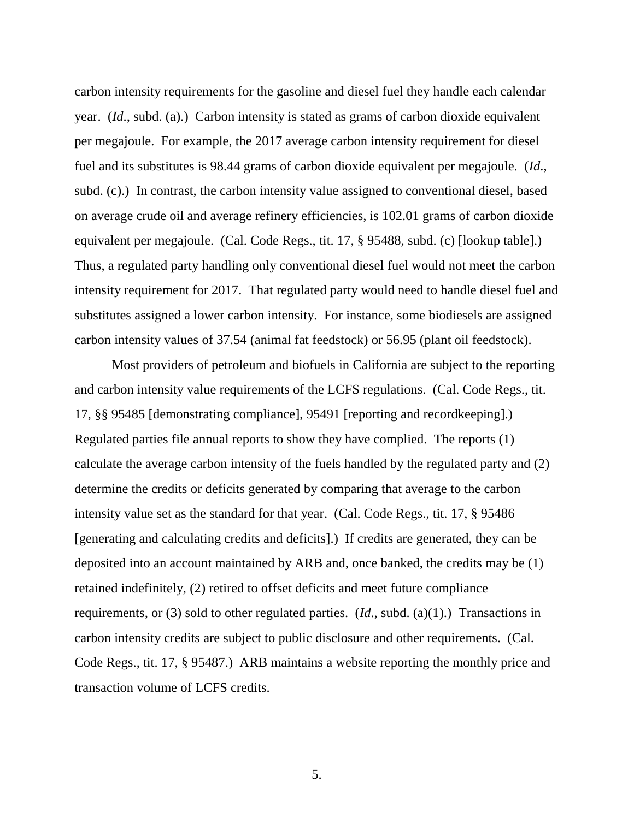carbon intensity requirements for the gasoline and diesel fuel they handle each calendar year. (*Id*., subd. (a).) Carbon intensity is stated as grams of carbon dioxide equivalent per megajoule. For example, the 2017 average carbon intensity requirement for diesel fuel and its substitutes is 98.44 grams of carbon dioxide equivalent per megajoule. (*Id*., subd. (c).) In contrast, the carbon intensity value assigned to conventional diesel, based on average crude oil and average refinery efficiencies, is 102.01 grams of carbon dioxide equivalent per megajoule. (Cal. Code Regs., tit. 17, § 95488, subd. (c) [lookup table].) Thus, a regulated party handling only conventional diesel fuel would not meet the carbon intensity requirement for 2017. That regulated party would need to handle diesel fuel and substitutes assigned a lower carbon intensity. For instance, some biodiesels are assigned carbon intensity values of 37.54 (animal fat feedstock) or 56.95 (plant oil feedstock).

Most providers of petroleum and biofuels in California are subject to the reporting and carbon intensity value requirements of the LCFS regulations. (Cal. Code Regs., tit. 17, §§ 95485 [demonstrating compliance], 95491 [reporting and recordkeeping].) Regulated parties file annual reports to show they have complied. The reports (1) calculate the average carbon intensity of the fuels handled by the regulated party and (2) determine the credits or deficits generated by comparing that average to the carbon intensity value set as the standard for that year. (Cal. Code Regs., tit. 17, § 95486 [generating and calculating credits and deficits].) If credits are generated, they can be deposited into an account maintained by ARB and, once banked, the credits may be (1) retained indefinitely, (2) retired to offset deficits and meet future compliance requirements, or (3) sold to other regulated parties. (*Id*., subd. (a)(1).) Transactions in carbon intensity credits are subject to public disclosure and other requirements. (Cal. Code Regs., tit. 17, § 95487.) ARB maintains a website reporting the monthly price and transaction volume of LCFS credits.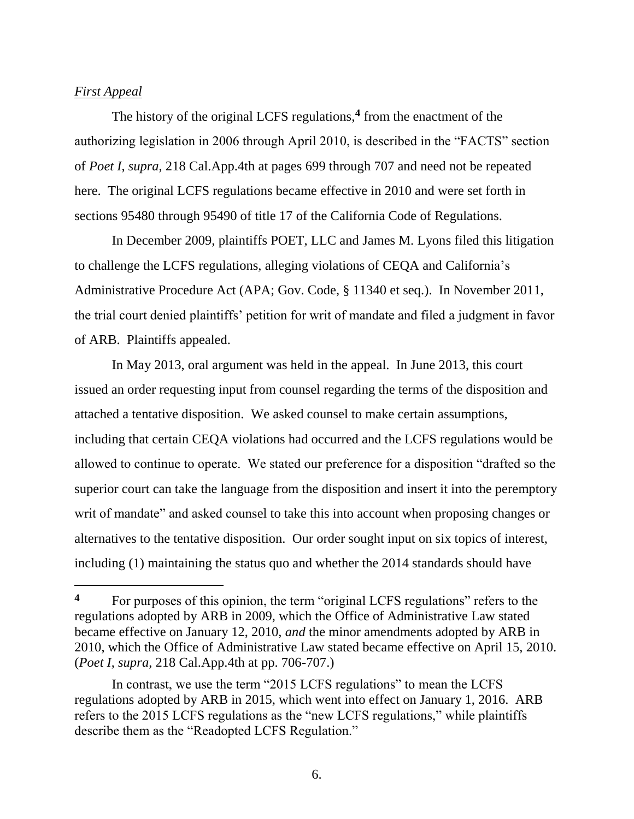#### *First Appeal*

The history of the original LCFS regulations,**<sup>4</sup>** from the enactment of the authorizing legislation in 2006 through April 2010, is described in the "FACTS" section of *Poet I*, *supra*, 218 Cal.App.4th at pages 699 through 707 and need not be repeated here. The original LCFS regulations became effective in 2010 and were set forth in sections 95480 through 95490 of title 17 of the California Code of Regulations.

In December 2009, plaintiffs POET, LLC and James M. Lyons filed this litigation to challenge the LCFS regulations, alleging violations of CEQA and California's Administrative Procedure Act (APA; Gov. Code, § 11340 et seq.). In November 2011, the trial court denied plaintiffs' petition for writ of mandate and filed a judgment in favor of ARB. Plaintiffs appealed.

In May 2013, oral argument was held in the appeal. In June 2013, this court issued an order requesting input from counsel regarding the terms of the disposition and attached a tentative disposition. We asked counsel to make certain assumptions, including that certain CEQA violations had occurred and the LCFS regulations would be allowed to continue to operate. We stated our preference for a disposition "drafted so the superior court can take the language from the disposition and insert it into the peremptory writ of mandate" and asked counsel to take this into account when proposing changes or alternatives to the tentative disposition. Our order sought input on six topics of interest, including (1) maintaining the status quo and whether the 2014 standards should have

**<sup>4</sup>** For purposes of this opinion, the term "original LCFS regulations" refers to the regulations adopted by ARB in 2009, which the Office of Administrative Law stated became effective on January 12, 2010, *and* the minor amendments adopted by ARB in 2010, which the Office of Administrative Law stated became effective on April 15, 2010. (*Poet I*, *supra*, 218 Cal.App.4th at pp. 706-707.)

In contrast, we use the term "2015 LCFS regulations" to mean the LCFS regulations adopted by ARB in 2015, which went into effect on January 1, 2016. ARB refers to the 2015 LCFS regulations as the "new LCFS regulations," while plaintiffs describe them as the "Readopted LCFS Regulation."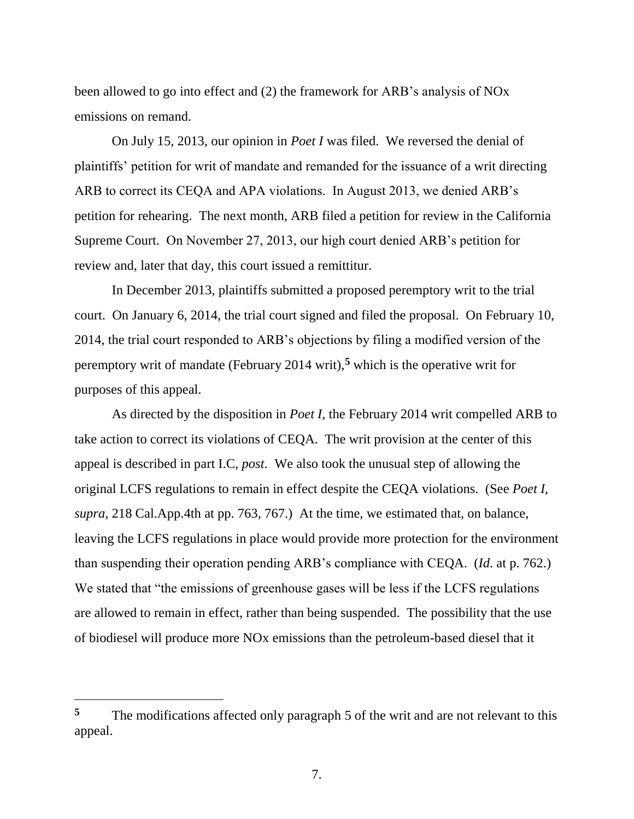been allowed to go into effect and (2) the framework for ARB's analysis of NOx emissions on remand.

On July 15, 2013, our opinion in *Poet I* was filed. We reversed the denial of plaintiffs' petition for writ of mandate and remanded for the issuance of a writ directing ARB to correct its CEQA and APA violations. In August 2013, we denied ARB's petition for rehearing. The next month, ARB filed a petition for review in the California Supreme Court. On November 27, 2013, our high court denied ARB's petition for review and, later that day, this court issued a remittitur.

In December 2013, plaintiffs submitted a proposed peremptory writ to the trial court. On January 6, 2014, the trial court signed and filed the proposal. On February 10, 2014, the trial court responded to ARB's objections by filing a modified version of the peremptory writ of mandate (February 2014 writ),**<sup>5</sup>** which is the operative writ for purposes of this appeal.

As directed by the disposition in *Poet I*, the February 2014 writ compelled ARB to take action to correct its violations of CEQA. The writ provision at the center of this appeal is described in part I.C, *post*. We also took the unusual step of allowing the original LCFS regulations to remain in effect despite the CEQA violations. (See *Poet I*, *supra*, 218 Cal.App.4th at pp. 763, 767.) At the time, we estimated that, on balance, leaving the LCFS regulations in place would provide more protection for the environment than suspending their operation pending ARB's compliance with CEQA. (*Id*. at p. 762.) We stated that "the emissions of greenhouse gases will be less if the LCFS regulations are allowed to remain in effect, rather than being suspended. The possibility that the use of biodiesel will produce more NOx emissions than the petroleum-based diesel that it

 $\overline{a}$ 

<sup>&</sup>lt;sup>5</sup> The modifications affected only paragraph 5 of the writ and are not relevant to this appeal.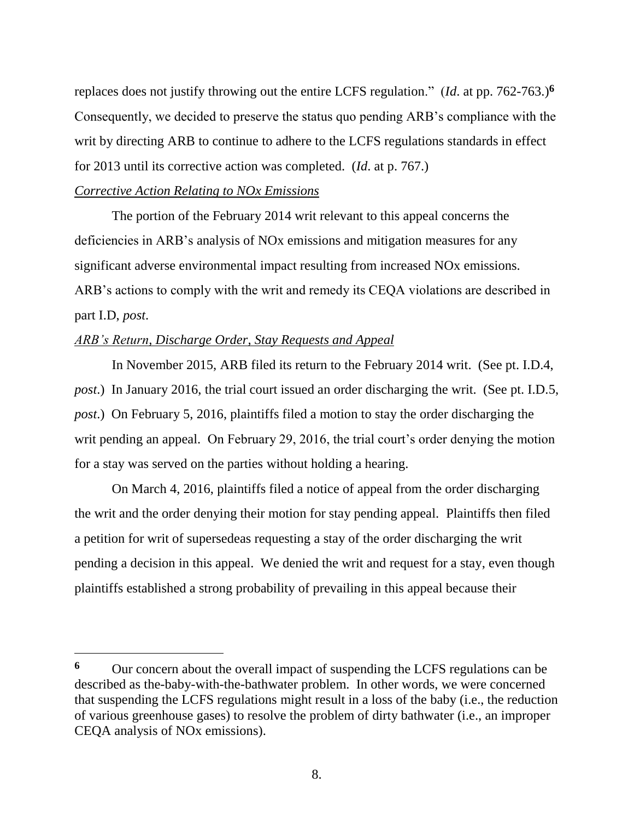replaces does not justify throwing out the entire LCFS regulation." (*Id*. at pp. 762-763.)**<sup>6</sup>** Consequently, we decided to preserve the status quo pending ARB's compliance with the writ by directing ARB to continue to adhere to the LCFS regulations standards in effect for 2013 until its corrective action was completed. (*Id*. at p. 767.)

#### *Corrective Action Relating to NOx Emissions*

The portion of the February 2014 writ relevant to this appeal concerns the deficiencies in ARB's analysis of NOx emissions and mitigation measures for any significant adverse environmental impact resulting from increased NOx emissions. ARB's actions to comply with the writ and remedy its CEQA violations are described in part I.D, *post*.

## *ARB's Return, Discharge Order, Stay Requests and Appeal*

In November 2015, ARB filed its return to the February 2014 writ. (See pt. I.D.4, *post*.) In January 2016, the trial court issued an order discharging the writ. (See pt. I.D.5, *post*.) On February 5, 2016, plaintiffs filed a motion to stay the order discharging the writ pending an appeal. On February 29, 2016, the trial court's order denying the motion for a stay was served on the parties without holding a hearing.

On March 4, 2016, plaintiffs filed a notice of appeal from the order discharging the writ and the order denying their motion for stay pending appeal. Plaintiffs then filed a petition for writ of supersedeas requesting a stay of the order discharging the writ pending a decision in this appeal. We denied the writ and request for a stay, even though plaintiffs established a strong probability of prevailing in this appeal because their

**<sup>6</sup>** Our concern about the overall impact of suspending the LCFS regulations can be described as the-baby-with-the-bathwater problem. In other words, we were concerned that suspending the LCFS regulations might result in a loss of the baby (i.e., the reduction of various greenhouse gases) to resolve the problem of dirty bathwater (i.e., an improper CEQA analysis of NOx emissions).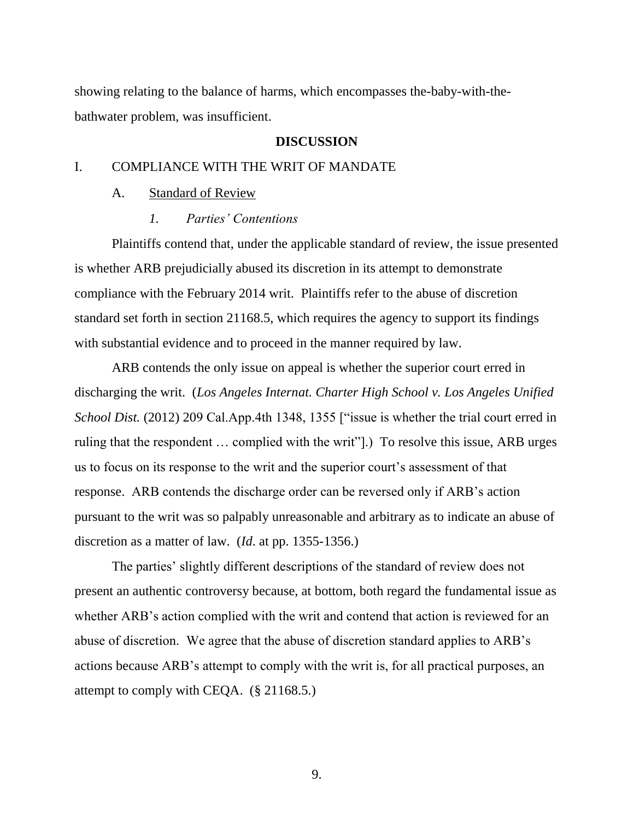showing relating to the balance of harms, which encompasses the-baby-with-thebathwater problem, was insufficient.

#### **DISCUSSION**

# I. COMPLIANCE WITH THE WRIT OF MANDATE

#### A. Standard of Review

#### *1. Parties' Contentions*

Plaintiffs contend that, under the applicable standard of review, the issue presented is whether ARB prejudicially abused its discretion in its attempt to demonstrate compliance with the February 2014 writ. Plaintiffs refer to the abuse of discretion standard set forth in section 21168.5, which requires the agency to support its findings with substantial evidence and to proceed in the manner required by law.

ARB contends the only issue on appeal is whether the superior court erred in discharging the writ. (*Los Angeles Internat. Charter High School v. Los Angeles Unified School Dist.* (2012) 209 Cal.App.4th 1348, 1355 ["issue is whether the trial court erred in ruling that the respondent … complied with the writ"].) To resolve this issue, ARB urges us to focus on its response to the writ and the superior court's assessment of that response. ARB contends the discharge order can be reversed only if ARB's action pursuant to the writ was so palpably unreasonable and arbitrary as to indicate an abuse of discretion as a matter of law. (*Id*. at pp. 1355-1356.)

The parties' slightly different descriptions of the standard of review does not present an authentic controversy because, at bottom, both regard the fundamental issue as whether ARB's action complied with the writ and contend that action is reviewed for an abuse of discretion. We agree that the abuse of discretion standard applies to ARB's actions because ARB's attempt to comply with the writ is, for all practical purposes, an attempt to comply with CEQA. (§ 21168.5.)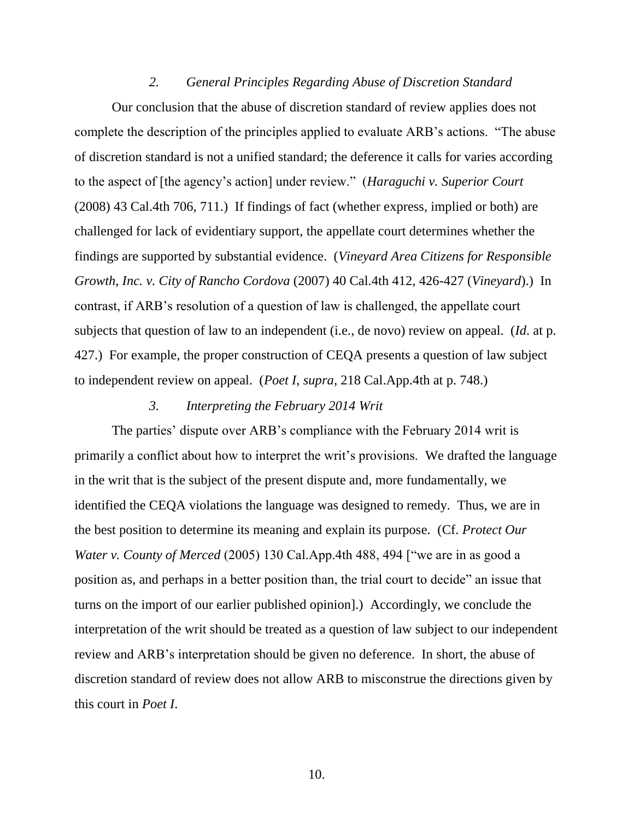#### *2. General Principles Regarding Abuse of Discretion Standard*

Our conclusion that the abuse of discretion standard of review applies does not complete the description of the principles applied to evaluate ARB's actions. "The abuse of discretion standard is not a unified standard; the deference it calls for varies according to the aspect of [the agency's action] under review." (*Haraguchi v. Superior Court* (2008) 43 Cal.4th 706, 711.) If findings of fact (whether express, implied or both) are challenged for lack of evidentiary support, the appellate court determines whether the findings are supported by substantial evidence. (*Vineyard Area Citizens for Responsible Growth, Inc. v. City of Rancho Cordova* (2007) 40 Cal.4th 412, 426-427 (*Vineyard*).) In contrast, if ARB's resolution of a question of law is challenged, the appellate court subjects that question of law to an independent (i.e., de novo) review on appeal. (*Id*. at p. 427.) For example, the proper construction of CEQA presents a question of law subject to independent review on appeal. (*Poet I*, *supra*, 218 Cal.App.4th at p. 748.)

## *3. Interpreting the February 2014 Writ*

The parties' dispute over ARB's compliance with the February 2014 writ is primarily a conflict about how to interpret the writ's provisions. We drafted the language in the writ that is the subject of the present dispute and, more fundamentally, we identified the CEQA violations the language was designed to remedy. Thus, we are in the best position to determine its meaning and explain its purpose. (Cf. *Protect Our Water v. County of Merced* (2005) 130 Cal.App.4th 488, 494 ["we are in as good a position as, and perhaps in a better position than, the trial court to decide" an issue that turns on the import of our earlier published opinion].) Accordingly, we conclude the interpretation of the writ should be treated as a question of law subject to our independent review and ARB's interpretation should be given no deference. In short, the abuse of discretion standard of review does not allow ARB to misconstrue the directions given by this court in *Poet I*.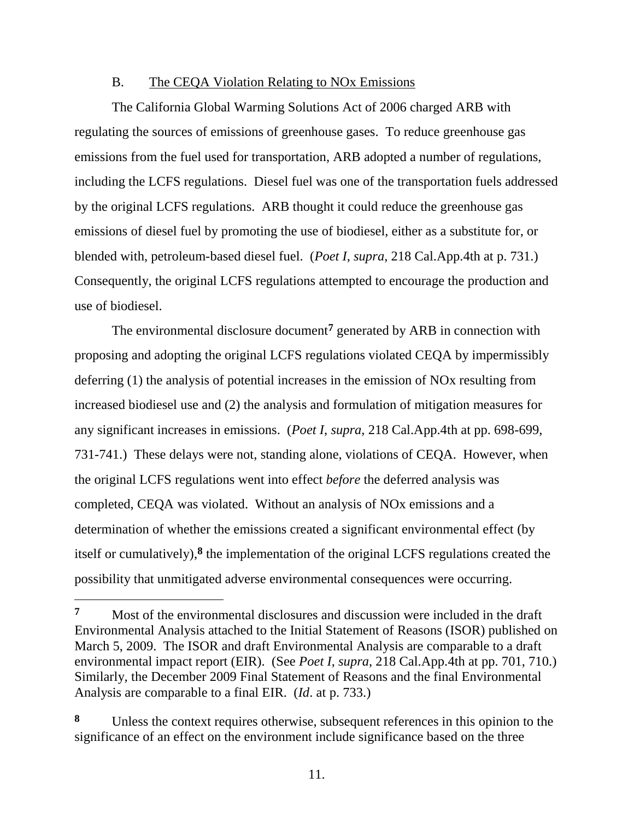### B. The CEQA Violation Relating to NOx Emissions

The California Global Warming Solutions Act of 2006 charged ARB with regulating the sources of emissions of greenhouse gases. To reduce greenhouse gas emissions from the fuel used for transportation, ARB adopted a number of regulations, including the LCFS regulations. Diesel fuel was one of the transportation fuels addressed by the original LCFS regulations. ARB thought it could reduce the greenhouse gas emissions of diesel fuel by promoting the use of biodiesel, either as a substitute for, or blended with, petroleum-based diesel fuel. (*Poet I*, *supra*, 218 Cal.App.4th at p. 731.) Consequently, the original LCFS regulations attempted to encourage the production and use of biodiesel.

The environmental disclosure document**<sup>7</sup>** generated by ARB in connection with proposing and adopting the original LCFS regulations violated CEQA by impermissibly deferring (1) the analysis of potential increases in the emission of NOx resulting from increased biodiesel use and (2) the analysis and formulation of mitigation measures for any significant increases in emissions. (*Poet I*, *supra*, 218 Cal.App.4th at pp. 698-699, 731-741.) These delays were not, standing alone, violations of CEQA. However, when the original LCFS regulations went into effect *before* the deferred analysis was completed, CEQA was violated. Without an analysis of NOx emissions and a determination of whether the emissions created a significant environmental effect (by itself or cumulatively), **8** the implementation of the original LCFS regulations created the possibility that unmitigated adverse environmental consequences were occurring.

**<sup>7</sup>** Most of the environmental disclosures and discussion were included in the draft Environmental Analysis attached to the Initial Statement of Reasons (ISOR) published on March 5, 2009. The ISOR and draft Environmental Analysis are comparable to a draft environmental impact report (EIR). (See *Poet I*, *supra*, 218 Cal.App.4th at pp. 701, 710.) Similarly, the December 2009 Final Statement of Reasons and the final Environmental Analysis are comparable to a final EIR. (*Id*. at p. 733.)

**<sup>8</sup>** Unless the context requires otherwise, subsequent references in this opinion to the significance of an effect on the environment include significance based on the three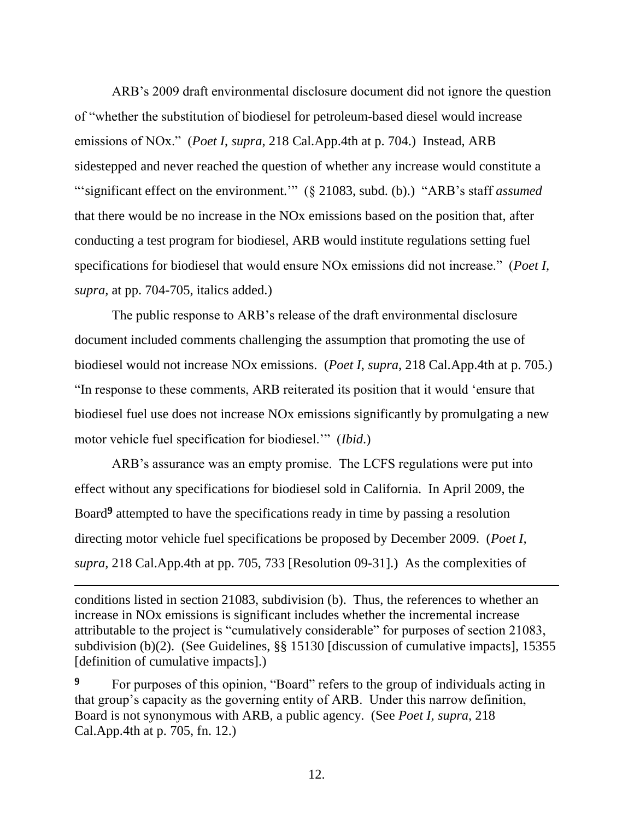ARB's 2009 draft environmental disclosure document did not ignore the question of "whether the substitution of biodiesel for petroleum-based diesel would increase emissions of NOx." (*Poet I*, *supra*, 218 Cal.App.4th at p. 704.) Instead, ARB sidestepped and never reached the question of whether any increase would constitute a "'significant effect on the environment."" (§ 21083, subd. (b).) "ARB's staff *assumed* that there would be no increase in the NOx emissions based on the position that, after conducting a test program for biodiesel, ARB would institute regulations setting fuel specifications for biodiesel that would ensure NOx emissions did not increase." (*Poet I, supra,* at pp. 704-705, italics added.)

The public response to ARB's release of the draft environmental disclosure document included comments challenging the assumption that promoting the use of biodiesel would not increase NOx emissions. (*Poet I*, *supra*, 218 Cal.App.4th at p. 705.) "In response to these comments, ARB reiterated its position that it would 'ensure that biodiesel fuel use does not increase NOx emissions significantly by promulgating a new motor vehicle fuel specification for biodiesel.'" (*Ibid*.)

ARB's assurance was an empty promise. The LCFS regulations were put into effect without any specifications for biodiesel sold in California. In April 2009, the Board**<sup>9</sup>** attempted to have the specifications ready in time by passing a resolution directing motor vehicle fuel specifications be proposed by December 2009. (*Poet I, supra,* 218 Cal.App.4th at pp. 705, 733 [Resolution 09-31].) As the complexities of

conditions listed in section 21083, subdivision (b). Thus, the references to whether an increase in NOx emissions is significant includes whether the incremental increase attributable to the project is "cumulatively considerable" for purposes of section 21083, subdivision (b)(2). (See Guidelines, §§ 15130 [discussion of cumulative impacts], 15355 [definition of cumulative impacts].)

<sup>9</sup> For purposes of this opinion, "Board" refers to the group of individuals acting in that group's capacity as the governing entity of ARB. Under this narrow definition, Board is not synonymous with ARB, a public agency. (See *Poet I*, *supra*, 218 Cal.App.4th at p. 705, fn. 12.)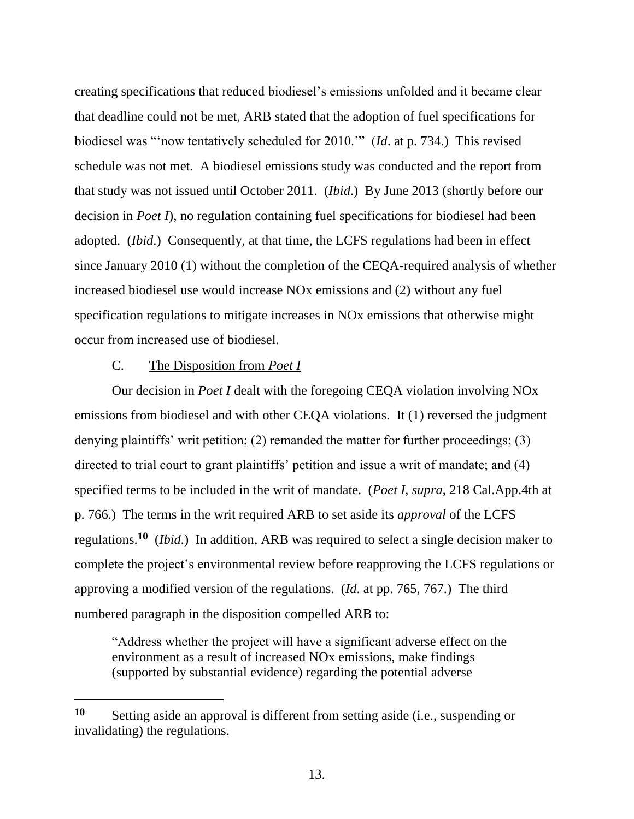creating specifications that reduced biodiesel's emissions unfolded and it became clear that deadline could not be met, ARB stated that the adoption of fuel specifications for biodiesel was "'now tentatively scheduled for 2010.'" (*Id*. at p. 734.) This revised schedule was not met. A biodiesel emissions study was conducted and the report from that study was not issued until October 2011. (*Ibid*.) By June 2013 (shortly before our decision in *Poet I*), no regulation containing fuel specifications for biodiesel had been adopted. (*Ibid*.) Consequently, at that time, the LCFS regulations had been in effect since January 2010 (1) without the completion of the CEQA-required analysis of whether increased biodiesel use would increase NOx emissions and (2) without any fuel specification regulations to mitigate increases in NOx emissions that otherwise might occur from increased use of biodiesel.

# C. The Disposition from *Poet I*

 $\overline{a}$ 

Our decision in *Poet I* dealt with the foregoing CEQA violation involving NOx emissions from biodiesel and with other CEQA violations. It (1) reversed the judgment denying plaintiffs' writ petition; (2) remanded the matter for further proceedings; (3) directed to trial court to grant plaintiffs' petition and issue a writ of mandate; and (4) specified terms to be included in the writ of mandate. (*Poet I*, *supra*, 218 Cal.App.4th at p. 766.) The terms in the writ required ARB to set aside its *approval* of the LCFS regulations.**<sup>10</sup>** (*Ibid*.) In addition, ARB was required to select a single decision maker to complete the project's environmental review before reapproving the LCFS regulations or approving a modified version of the regulations. (*Id*. at pp. 765, 767.) The third numbered paragraph in the disposition compelled ARB to:

"Address whether the project will have a significant adverse effect on the environment as a result of increased NOx emissions, make findings (supported by substantial evidence) regarding the potential adverse

**<sup>10</sup>** Setting aside an approval is different from setting aside (i.e., suspending or invalidating) the regulations.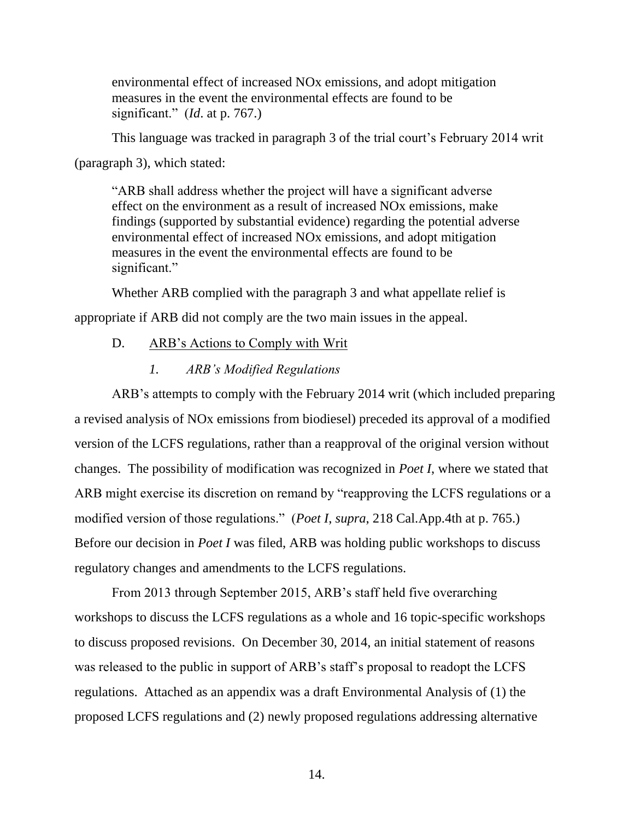environmental effect of increased NOx emissions, and adopt mitigation measures in the event the environmental effects are found to be significant." (*Id*. at p. 767.)

This language was tracked in paragraph 3 of the trial court's February 2014 writ

(paragraph 3), which stated:

"ARB shall address whether the project will have a significant adverse effect on the environment as a result of increased NOx emissions, make findings (supported by substantial evidence) regarding the potential adverse environmental effect of increased NOx emissions, and adopt mitigation measures in the event the environmental effects are found to be significant."

Whether ARB complied with the paragraph 3 and what appellate relief is appropriate if ARB did not comply are the two main issues in the appeal.

- D. ARB's Actions to Comply with Writ
	- *1. ARB's Modified Regulations*

ARB's attempts to comply with the February 2014 writ (which included preparing a revised analysis of NOx emissions from biodiesel) preceded its approval of a modified version of the LCFS regulations, rather than a reapproval of the original version without changes. The possibility of modification was recognized in *Poet I*, where we stated that ARB might exercise its discretion on remand by "reapproving the LCFS regulations or a modified version of those regulations." (*Poet I*, *supra*, 218 Cal.App.4th at p. 765.) Before our decision in *Poet I* was filed, ARB was holding public workshops to discuss regulatory changes and amendments to the LCFS regulations.

From 2013 through September 2015, ARB's staff held five overarching workshops to discuss the LCFS regulations as a whole and 16 topic-specific workshops to discuss proposed revisions. On December 30, 2014, an initial statement of reasons was released to the public in support of ARB's staff's proposal to readopt the LCFS regulations. Attached as an appendix was a draft Environmental Analysis of (1) the proposed LCFS regulations and (2) newly proposed regulations addressing alternative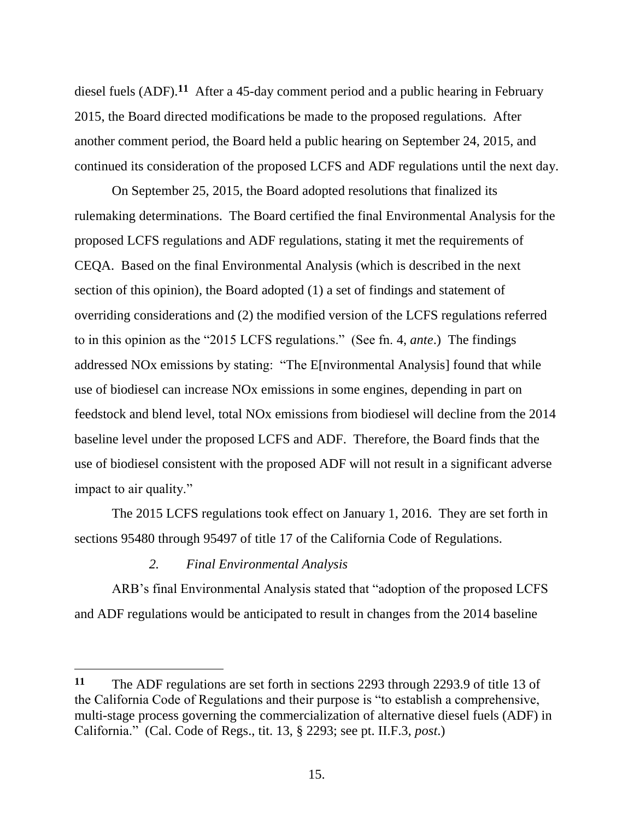diesel fuels (ADF).**<sup>11</sup>** After a 45-day comment period and a public hearing in February 2015, the Board directed modifications be made to the proposed regulations. After another comment period, the Board held a public hearing on September 24, 2015, and continued its consideration of the proposed LCFS and ADF regulations until the next day.

On September 25, 2015, the Board adopted resolutions that finalized its rulemaking determinations. The Board certified the final Environmental Analysis for the proposed LCFS regulations and ADF regulations, stating it met the requirements of CEQA. Based on the final Environmental Analysis (which is described in the next section of this opinion), the Board adopted (1) a set of findings and statement of overriding considerations and (2) the modified version of the LCFS regulations referred to in this opinion as the "2015 LCFS regulations." (See fn. 4, *ante*.) The findings addressed NOx emissions by stating: "The E[nvironmental Analysis] found that while use of biodiesel can increase NOx emissions in some engines, depending in part on feedstock and blend level, total NOx emissions from biodiesel will decline from the 2014 baseline level under the proposed LCFS and ADF. Therefore, the Board finds that the use of biodiesel consistent with the proposed ADF will not result in a significant adverse impact to air quality."

The 2015 LCFS regulations took effect on January 1, 2016. They are set forth in sections 95480 through 95497 of title 17 of the California Code of Regulations.

## *2. Final Environmental Analysis*

 $\overline{a}$ 

ARB's final Environmental Analysis stated that "adoption of the proposed LCFS and ADF regulations would be anticipated to result in changes from the 2014 baseline

**<sup>11</sup>** The ADF regulations are set forth in sections 2293 through 2293.9 of title 13 of the California Code of Regulations and their purpose is "to establish a comprehensive, multi-stage process governing the commercialization of alternative diesel fuels (ADF) in California." (Cal. Code of Regs., tit. 13, § 2293; see pt. II.F.3, *post*.)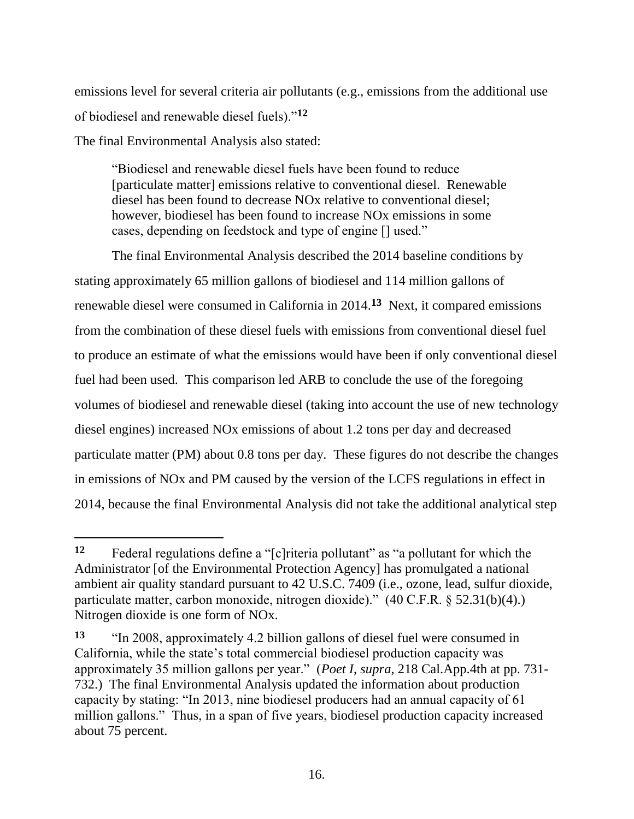emissions level for several criteria air pollutants (e.g., emissions from the additional use of biodiesel and renewable diesel fuels)."**<sup>12</sup>**

The final Environmental Analysis also stated:

 $\overline{a}$ 

"Biodiesel and renewable diesel fuels have been found to reduce [particulate matter] emissions relative to conventional diesel. Renewable diesel has been found to decrease NOx relative to conventional diesel; however, biodiesel has been found to increase NOx emissions in some cases, depending on feedstock and type of engine [] used."

The final Environmental Analysis described the 2014 baseline conditions by stating approximately 65 million gallons of biodiesel and 114 million gallons of renewable diesel were consumed in California in 2014.**<sup>13</sup>** Next, it compared emissions from the combination of these diesel fuels with emissions from conventional diesel fuel to produce an estimate of what the emissions would have been if only conventional diesel fuel had been used. This comparison led ARB to conclude the use of the foregoing volumes of biodiesel and renewable diesel (taking into account the use of new technology diesel engines) increased NOx emissions of about 1.2 tons per day and decreased particulate matter (PM) about 0.8 tons per day. These figures do not describe the changes in emissions of NOx and PM caused by the version of the LCFS regulations in effect in 2014, because the final Environmental Analysis did not take the additional analytical step

**<sup>12</sup>** Federal regulations define a "[c]riteria pollutant" as "a pollutant for which the Administrator [of the Environmental Protection Agency] has promulgated a national ambient air quality standard pursuant to 42 U.S.C. 7409 (i.e., ozone, lead, sulfur dioxide, particulate matter, carbon monoxide, nitrogen dioxide)." (40 C.F.R. § 52.31(b)(4).) Nitrogen dioxide is one form of NOx.

**<sup>13</sup>** "In 2008, approximately 4.2 billion gallons of diesel fuel were consumed in California, while the state's total commercial biodiesel production capacity was approximately 35 million gallons per year." (*Poet I*, *supra*, 218 Cal.App.4th at pp. 731- 732.) The final Environmental Analysis updated the information about production capacity by stating: "In 2013, nine biodiesel producers had an annual capacity of 61 million gallons." Thus, in a span of five years, biodiesel production capacity increased about 75 percent.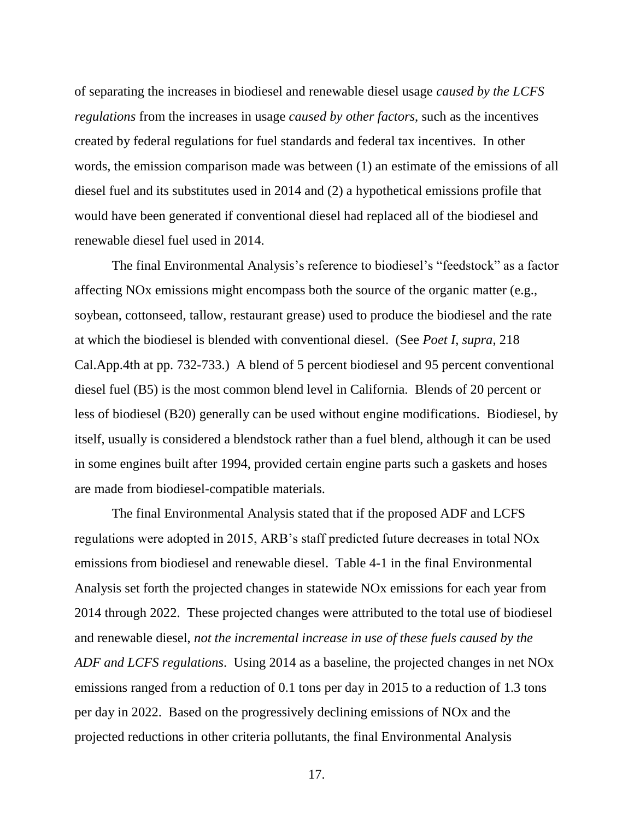of separating the increases in biodiesel and renewable diesel usage *caused by the LCFS regulations* from the increases in usage *caused by other factors*, such as the incentives created by federal regulations for fuel standards and federal tax incentives. In other words, the emission comparison made was between (1) an estimate of the emissions of all diesel fuel and its substitutes used in 2014 and (2) a hypothetical emissions profile that would have been generated if conventional diesel had replaced all of the biodiesel and renewable diesel fuel used in 2014.

The final Environmental Analysis's reference to biodiesel's "feedstock" as a factor affecting NOx emissions might encompass both the source of the organic matter (e.g., soybean, cottonseed, tallow, restaurant grease) used to produce the biodiesel and the rate at which the biodiesel is blended with conventional diesel. (See *Poet I*, *supra*, 218 Cal.App.4th at pp. 732-733.) A blend of 5 percent biodiesel and 95 percent conventional diesel fuel (B5) is the most common blend level in California. Blends of 20 percent or less of biodiesel (B20) generally can be used without engine modifications. Biodiesel, by itself, usually is considered a blendstock rather than a fuel blend, although it can be used in some engines built after 1994, provided certain engine parts such a gaskets and hoses are made from biodiesel-compatible materials.

The final Environmental Analysis stated that if the proposed ADF and LCFS regulations were adopted in 2015, ARB's staff predicted future decreases in total NOx emissions from biodiesel and renewable diesel. Table 4-1 in the final Environmental Analysis set forth the projected changes in statewide NOx emissions for each year from 2014 through 2022. These projected changes were attributed to the total use of biodiesel and renewable diesel, *not the incremental increase in use of these fuels caused by the ADF and LCFS regulations*. Using 2014 as a baseline, the projected changes in net NOx emissions ranged from a reduction of 0.1 tons per day in 2015 to a reduction of 1.3 tons per day in 2022. Based on the progressively declining emissions of NOx and the projected reductions in other criteria pollutants, the final Environmental Analysis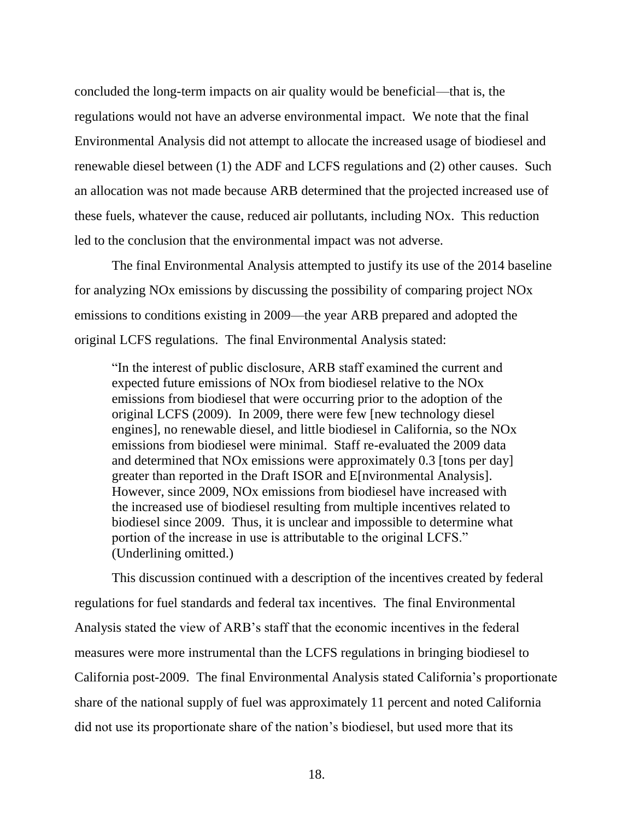concluded the long-term impacts on air quality would be beneficial—that is, the regulations would not have an adverse environmental impact. We note that the final Environmental Analysis did not attempt to allocate the increased usage of biodiesel and renewable diesel between (1) the ADF and LCFS regulations and (2) other causes. Such an allocation was not made because ARB determined that the projected increased use of these fuels, whatever the cause, reduced air pollutants, including NOx. This reduction led to the conclusion that the environmental impact was not adverse.

The final Environmental Analysis attempted to justify its use of the 2014 baseline for analyzing NOx emissions by discussing the possibility of comparing project NOx emissions to conditions existing in 2009—the year ARB prepared and adopted the original LCFS regulations. The final Environmental Analysis stated:

"In the interest of public disclosure, ARB staff examined the current and expected future emissions of NOx from biodiesel relative to the NOx emissions from biodiesel that were occurring prior to the adoption of the original LCFS (2009). In 2009, there were few [new technology diesel engines], no renewable diesel, and little biodiesel in California, so the NOx emissions from biodiesel were minimal. Staff re-evaluated the 2009 data and determined that NOx emissions were approximately 0.3 [tons per day] greater than reported in the Draft ISOR and E[nvironmental Analysis]. However, since 2009, NOx emissions from biodiesel have increased with the increased use of biodiesel resulting from multiple incentives related to biodiesel since 2009. Thus, it is unclear and impossible to determine what portion of the increase in use is attributable to the original LCFS." (Underlining omitted.)

This discussion continued with a description of the incentives created by federal regulations for fuel standards and federal tax incentives. The final Environmental Analysis stated the view of ARB's staff that the economic incentives in the federal measures were more instrumental than the LCFS regulations in bringing biodiesel to California post-2009. The final Environmental Analysis stated California's proportionate share of the national supply of fuel was approximately 11 percent and noted California did not use its proportionate share of the nation's biodiesel, but used more that its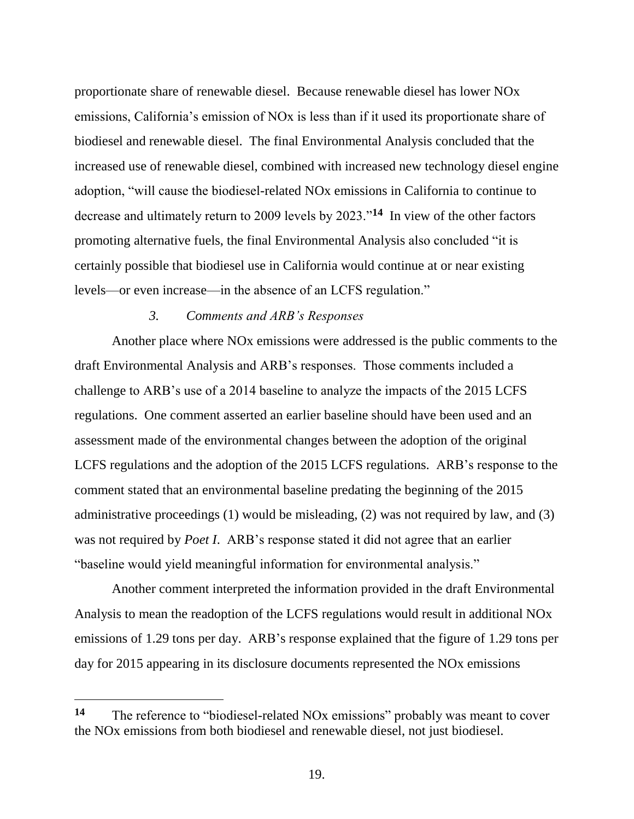proportionate share of renewable diesel. Because renewable diesel has lower NOx emissions, California's emission of NOx is less than if it used its proportionate share of biodiesel and renewable diesel. The final Environmental Analysis concluded that the increased use of renewable diesel, combined with increased new technology diesel engine adoption, "will cause the biodiesel-related NOx emissions in California to continue to decrease and ultimately return to 2009 levels by 2023."**<sup>14</sup>** In view of the other factors promoting alternative fuels, the final Environmental Analysis also concluded "it is certainly possible that biodiesel use in California would continue at or near existing levels—or even increase—in the absence of an LCFS regulation."

# *3. Comments and ARB's Responses*

Another place where NOx emissions were addressed is the public comments to the draft Environmental Analysis and ARB's responses. Those comments included a challenge to ARB's use of a 2014 baseline to analyze the impacts of the 2015 LCFS regulations. One comment asserted an earlier baseline should have been used and an assessment made of the environmental changes between the adoption of the original LCFS regulations and the adoption of the 2015 LCFS regulations. ARB's response to the comment stated that an environmental baseline predating the beginning of the 2015 administrative proceedings (1) would be misleading, (2) was not required by law, and (3) was not required by *Poet I*. ARB's response stated it did not agree that an earlier "baseline would yield meaningful information for environmental analysis."

Another comment interpreted the information provided in the draft Environmental Analysis to mean the readoption of the LCFS regulations would result in additional NOx emissions of 1.29 tons per day. ARB's response explained that the figure of 1.29 tons per day for 2015 appearing in its disclosure documents represented the NOx emissions

 $\overline{a}$ 

**<sup>14</sup>** The reference to "biodiesel-related NOx emissions" probably was meant to cover the NOx emissions from both biodiesel and renewable diesel, not just biodiesel.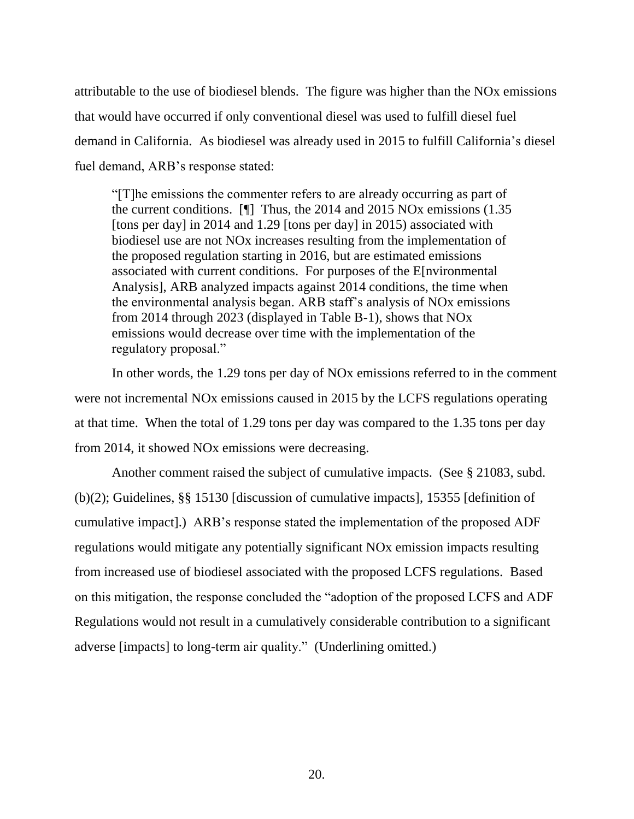attributable to the use of biodiesel blends. The figure was higher than the NOx emissions that would have occurred if only conventional diesel was used to fulfill diesel fuel demand in California. As biodiesel was already used in 2015 to fulfill California's diesel fuel demand, ARB's response stated:

"[T]he emissions the commenter refers to are already occurring as part of the current conditions. [¶] Thus, the 2014 and 2015 NOx emissions (1.35 [tons per day] in 2014 and 1.29 [tons per day] in 2015) associated with biodiesel use are not NOx increases resulting from the implementation of the proposed regulation starting in 2016, but are estimated emissions associated with current conditions. For purposes of the E[nvironmental Analysis], ARB analyzed impacts against 2014 conditions, the time when the environmental analysis began. ARB staff's analysis of NOx emissions from 2014 through 2023 (displayed in Table B-1), shows that NOx emissions would decrease over time with the implementation of the regulatory proposal."

In other words, the 1.29 tons per day of NOx emissions referred to in the comment were not incremental NOx emissions caused in 2015 by the LCFS regulations operating at that time. When the total of 1.29 tons per day was compared to the 1.35 tons per day from 2014, it showed NOx emissions were decreasing.

Another comment raised the subject of cumulative impacts. (See § 21083, subd. (b)(2); Guidelines, §§ 15130 [discussion of cumulative impacts], 15355 [definition of cumulative impact].) ARB's response stated the implementation of the proposed ADF regulations would mitigate any potentially significant NOx emission impacts resulting from increased use of biodiesel associated with the proposed LCFS regulations. Based on this mitigation, the response concluded the "adoption of the proposed LCFS and ADF Regulations would not result in a cumulatively considerable contribution to a significant adverse [impacts] to long-term air quality." (Underlining omitted.)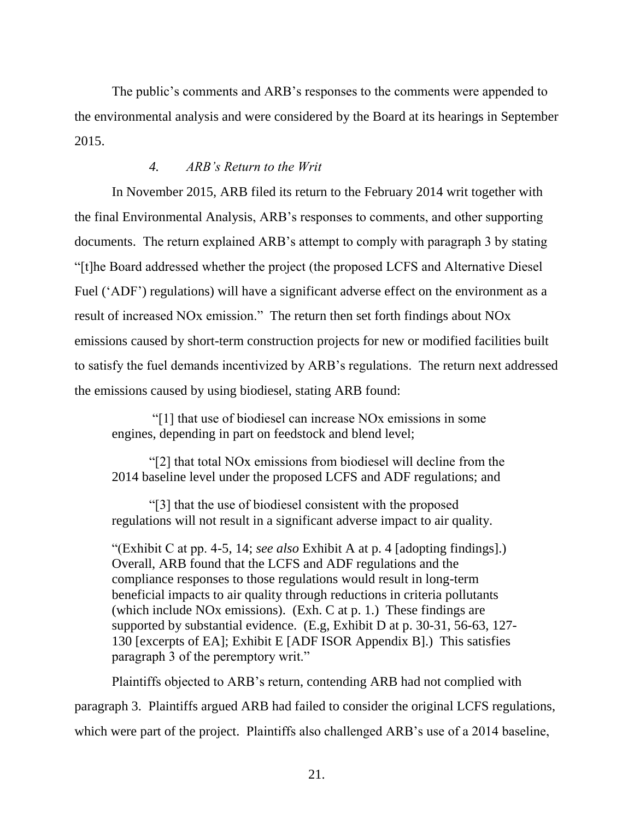The public's comments and ARB's responses to the comments were appended to the environmental analysis and were considered by the Board at its hearings in September 2015.

# *4. ARB's Return to the Writ*

In November 2015, ARB filed its return to the February 2014 writ together with the final Environmental Analysis, ARB's responses to comments, and other supporting documents. The return explained ARB's attempt to comply with paragraph 3 by stating "[t]he Board addressed whether the project (the proposed LCFS and Alternative Diesel Fuel ('ADF') regulations) will have a significant adverse effect on the environment as a result of increased NOx emission." The return then set forth findings about NOx emissions caused by short-term construction projects for new or modified facilities built to satisfy the fuel demands incentivized by ARB's regulations. The return next addressed the emissions caused by using biodiesel, stating ARB found:

"[1] that use of biodiesel can increase NOx emissions in some engines, depending in part on feedstock and blend level;

"[2] that total NOx emissions from biodiesel will decline from the 2014 baseline level under the proposed LCFS and ADF regulations; and

"[3] that the use of biodiesel consistent with the proposed regulations will not result in a significant adverse impact to air quality.

"(Exhibit C at pp. 4-5, 14; *see also* Exhibit A at p. 4 [adopting findings].) Overall, ARB found that the LCFS and ADF regulations and the compliance responses to those regulations would result in long-term beneficial impacts to air quality through reductions in criteria pollutants (which include NOx emissions). (Exh. C at p. 1.) These findings are supported by substantial evidence. (E.g, Exhibit D at p. 30-31, 56-63, 127- 130 [excerpts of EA]; Exhibit E [ADF ISOR Appendix B].) This satisfies paragraph 3 of the peremptory writ."

Plaintiffs objected to ARB's return, contending ARB had not complied with paragraph 3. Plaintiffs argued ARB had failed to consider the original LCFS regulations, which were part of the project. Plaintiffs also challenged ARB's use of a 2014 baseline,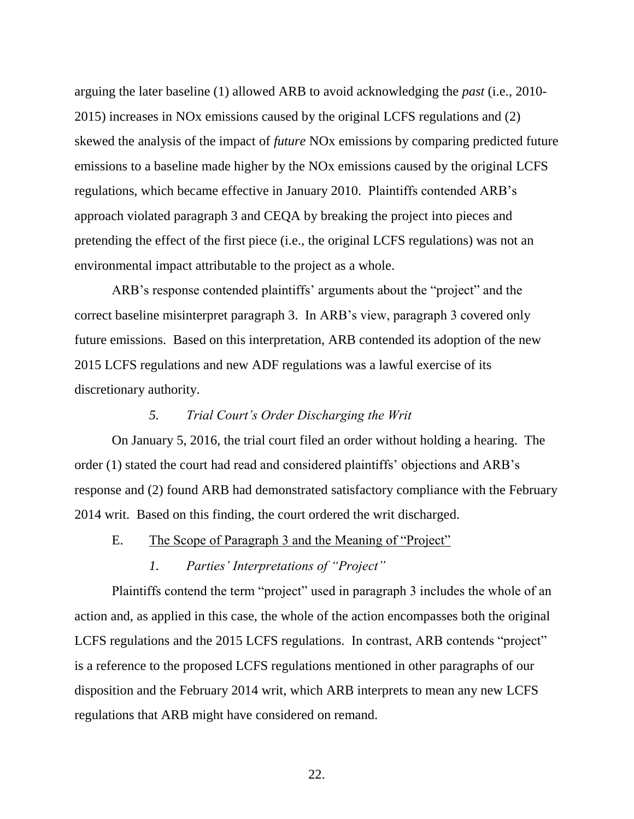arguing the later baseline (1) allowed ARB to avoid acknowledging the *past* (i.e., 2010- 2015) increases in NOx emissions caused by the original LCFS regulations and (2) skewed the analysis of the impact of *future* NOx emissions by comparing predicted future emissions to a baseline made higher by the NOx emissions caused by the original LCFS regulations, which became effective in January 2010. Plaintiffs contended ARB's approach violated paragraph 3 and CEQA by breaking the project into pieces and pretending the effect of the first piece (i.e., the original LCFS regulations) was not an environmental impact attributable to the project as a whole.

ARB's response contended plaintiffs' arguments about the "project" and the correct baseline misinterpret paragraph 3. In ARB's view, paragraph 3 covered only future emissions. Based on this interpretation, ARB contended its adoption of the new 2015 LCFS regulations and new ADF regulations was a lawful exercise of its discretionary authority.

# *5. Trial Court's Order Discharging the Writ*

On January 5, 2016, the trial court filed an order without holding a hearing. The order (1) stated the court had read and considered plaintiffs' objections and ARB's response and (2) found ARB had demonstrated satisfactory compliance with the February 2014 writ. Based on this finding, the court ordered the writ discharged.

E. The Scope of Paragraph 3 and the Meaning of "Project"

# *1. Parties' Interpretations of "Project"*

Plaintiffs contend the term "project" used in paragraph 3 includes the whole of an action and, as applied in this case, the whole of the action encompasses both the original LCFS regulations and the 2015 LCFS regulations. In contrast, ARB contends "project" is a reference to the proposed LCFS regulations mentioned in other paragraphs of our disposition and the February 2014 writ, which ARB interprets to mean any new LCFS regulations that ARB might have considered on remand.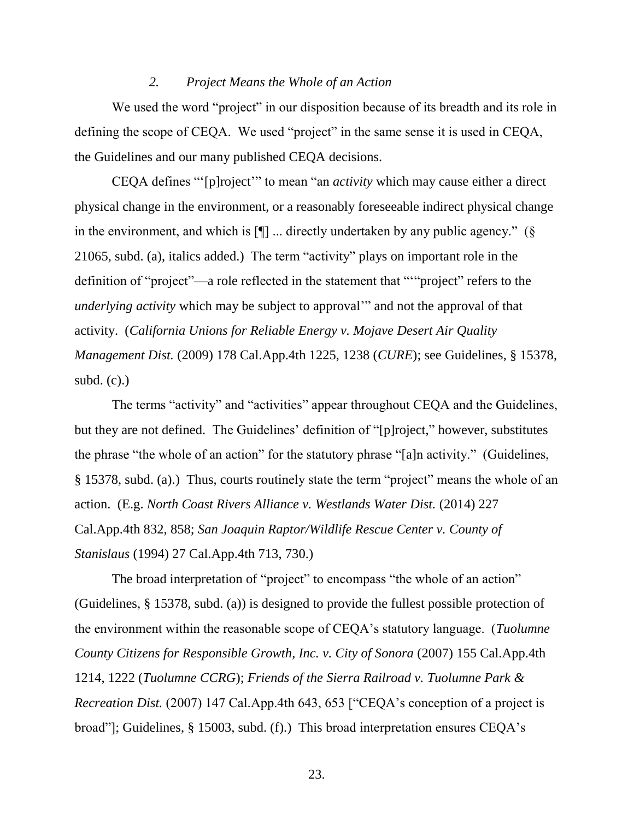#### *2. Project Means the Whole of an Action*

We used the word "project" in our disposition because of its breadth and its role in defining the scope of CEQA. We used "project" in the same sense it is used in CEQA, the Guidelines and our many published CEQA decisions.

CEQA defines "'[p]roject'" to mean "an *activity* which may cause either a direct physical change in the environment, or a reasonably foreseeable indirect physical change in the environment, and which is  $[\P]$  ... directly undertaken by any public agency." (§ 21065, subd. (a), italics added.) The term "activity" plays on important role in the definition of "project"—a role reflected in the statement that "'"project" refers to the *underlying activity* which may be subject to approval'" and not the approval of that activity. (*California Unions for Reliable Energy v. Mojave Desert Air Quality Management Dist.* (2009) 178 Cal.App.4th 1225, 1238 (*CURE*); see Guidelines, § 15378, subd.  $(c)$ .)

The terms "activity" and "activities" appear throughout CEQA and the Guidelines, but they are not defined. The Guidelines' definition of "[p]roject," however, substitutes the phrase "the whole of an action" for the statutory phrase "[a]n activity." (Guidelines, § 15378, subd. (a).) Thus, courts routinely state the term "project" means the whole of an action. (E.g. *North Coast Rivers Alliance v. Westlands Water Dist.* (2014) 227 Cal.App.4th 832, 858; *San Joaquin Raptor/Wildlife Rescue Center v. County of Stanislaus* (1994) 27 Cal.App.4th 713, 730.)

The broad interpretation of "project" to encompass "the whole of an action" (Guidelines, § 15378, subd. (a)) is designed to provide the fullest possible protection of the environment within the reasonable scope of CEQA's statutory language. (*Tuolumne County Citizens for Responsible Growth, Inc. v. City of Sonora* (2007) 155 Cal.App.4th 1214, 1222 (*Tuolumne CCRG*); *Friends of the Sierra Railroad v. Tuolumne Park & Recreation Dist.* (2007) 147 Cal.App.4th 643, 653 ["CEQA's conception of a project is broad"]; Guidelines, § 15003, subd. (f).) This broad interpretation ensures CEQA's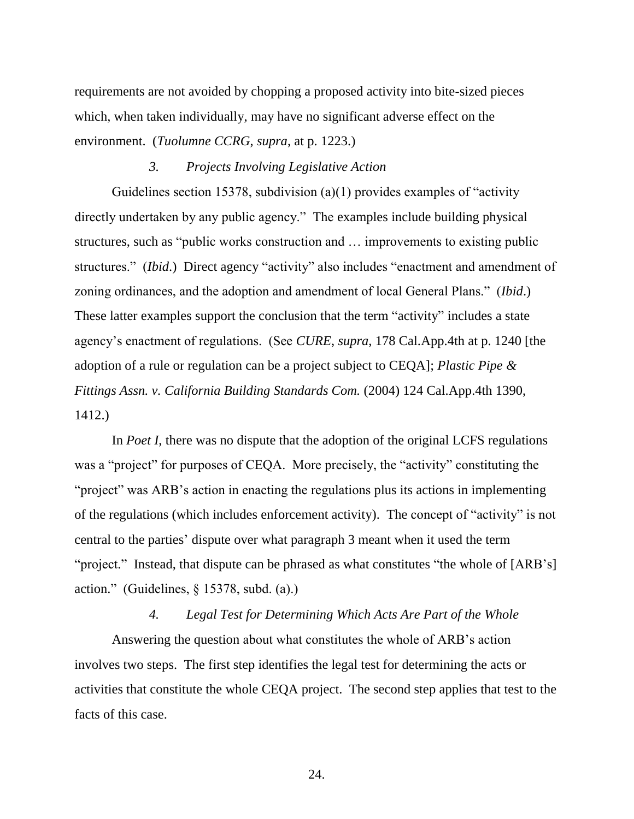requirements are not avoided by chopping a proposed activity into bite-sized pieces which, when taken individually, may have no significant adverse effect on the environment. (*Tuolumne CCRG*, *supra*, at p. 1223.)

## *3. Projects Involving Legislative Action*

Guidelines section 15378, subdivision (a)(1) provides examples of "activity directly undertaken by any public agency." The examples include building physical structures, such as "public works construction and … improvements to existing public structures." (*Ibid*.) Direct agency "activity" also includes "enactment and amendment of zoning ordinances, and the adoption and amendment of local General Plans." (*Ibid*.) These latter examples support the conclusion that the term "activity" includes a state agency's enactment of regulations. (See *CURE*, *supra*, 178 Cal.App.4th at p. 1240 [the adoption of a rule or regulation can be a project subject to CEQA]; *Plastic Pipe & Fittings Assn. v. California Building Standards Com.* (2004) 124 Cal.App.4th 1390, 1412.)

In *Poet I*, there was no dispute that the adoption of the original LCFS regulations was a "project" for purposes of CEQA. More precisely, the "activity" constituting the "project" was ARB's action in enacting the regulations plus its actions in implementing of the regulations (which includes enforcement activity). The concept of "activity" is not central to the parties' dispute over what paragraph 3 meant when it used the term "project." Instead, that dispute can be phrased as what constitutes "the whole of [ARB's] action." (Guidelines, § 15378, subd. (a).)

### *4. Legal Test for Determining Which Acts Are Part of the Whole*

Answering the question about what constitutes the whole of ARB's action involves two steps. The first step identifies the legal test for determining the acts or activities that constitute the whole CEQA project. The second step applies that test to the facts of this case.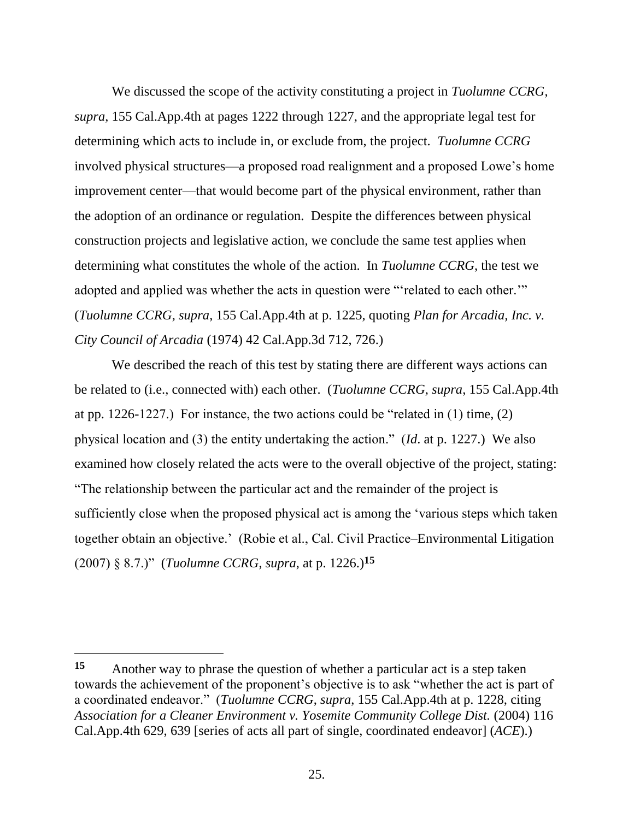We discussed the scope of the activity constituting a project in *Tuolumne CCRG*, *supra*, 155 Cal.App.4th at pages 1222 through 1227, and the appropriate legal test for determining which acts to include in, or exclude from, the project. *Tuolumne CCRG* involved physical structures—a proposed road realignment and a proposed Lowe's home improvement center—that would become part of the physical environment, rather than the adoption of an ordinance or regulation. Despite the differences between physical construction projects and legislative action, we conclude the same test applies when determining what constitutes the whole of the action. In *Tuolumne CCRG*, the test we adopted and applied was whether the acts in question were "'related to each other.'" (*Tuolumne CCRG*, *supra*, 155 Cal.App.4th at p. 1225, quoting *Plan for Arcadia, Inc. v. City Council of Arcadia* (1974) 42 Cal.App.3d 712, 726.)

We described the reach of this test by stating there are different ways actions can be related to (i.e., connected with) each other. (*Tuolumne CCRG*, *supra*, 155 Cal.App.4th at pp. 1226-1227.) For instance, the two actions could be "related in (1) time, (2) physical location and (3) the entity undertaking the action." (*Id*. at p. 1227.) We also examined how closely related the acts were to the overall objective of the project, stating: "The relationship between the particular act and the remainder of the project is sufficiently close when the proposed physical act is among the 'various steps which taken together obtain an objective.' (Robie et al., Cal. Civil Practice–Environmental Litigation (2007) § 8.7.)" (*Tuolumne CCRG*, *supra*, at p. 1226.)**<sup>15</sup>**

**<sup>15</sup>** Another way to phrase the question of whether a particular act is a step taken towards the achievement of the proponent's objective is to ask "whether the act is part of a coordinated endeavor." (*Tuolumne CCRG*, *supra*, 155 Cal.App.4th at p. 1228, citing *Association for a Cleaner Environment v. Yosemite Community College Dist.* (2004) 116 Cal.App.4th 629, 639 [series of acts all part of single, coordinated endeavor] (*ACE*).)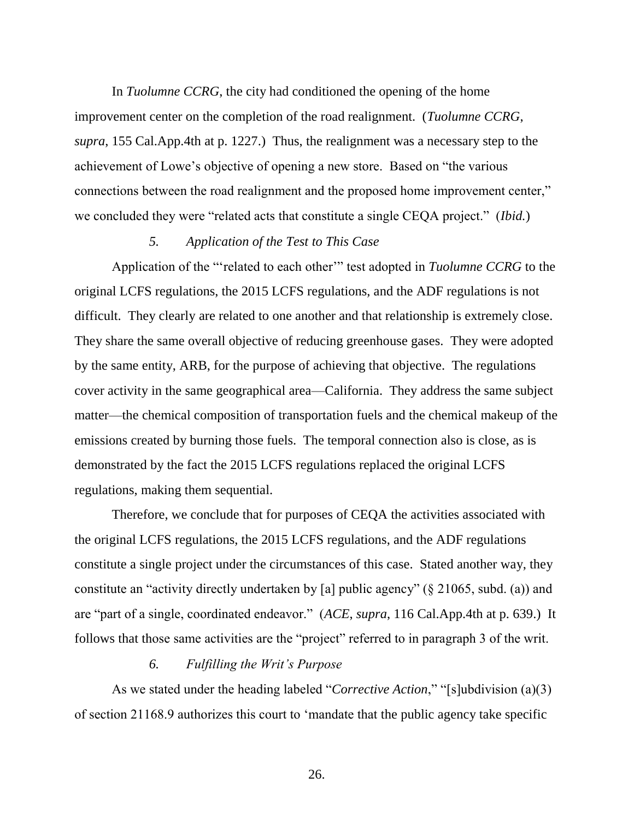In *Tuolumne CCRG*, the city had conditioned the opening of the home improvement center on the completion of the road realignment. (*Tuolumne CCRG*, *supra*, 155 Cal.App.4th at p. 1227.) Thus, the realignment was a necessary step to the achievement of Lowe's objective of opening a new store. Based on "the various connections between the road realignment and the proposed home improvement center," we concluded they were "related acts that constitute a single CEQA project." (*Ibid.*)

# *5. Application of the Test to This Case*

Application of the "'related to each other'" test adopted in *Tuolumne CCRG* to the original LCFS regulations, the 2015 LCFS regulations, and the ADF regulations is not difficult. They clearly are related to one another and that relationship is extremely close. They share the same overall objective of reducing greenhouse gases. They were adopted by the same entity, ARB, for the purpose of achieving that objective. The regulations cover activity in the same geographical area—California. They address the same subject matter—the chemical composition of transportation fuels and the chemical makeup of the emissions created by burning those fuels. The temporal connection also is close, as is demonstrated by the fact the 2015 LCFS regulations replaced the original LCFS regulations, making them sequential.

Therefore, we conclude that for purposes of CEQA the activities associated with the original LCFS regulations, the 2015 LCFS regulations, and the ADF regulations constitute a single project under the circumstances of this case. Stated another way, they constitute an "activity directly undertaken by [a] public agency" (§ 21065, subd. (a)) and are "part of a single, coordinated endeavor." (*ACE*, *supra*, 116 Cal.App.4th at p. 639.) It follows that those same activities are the "project" referred to in paragraph 3 of the writ.

## *6. Fulfilling the Writ's Purpose*

As we stated under the heading labeled "*Corrective Action*," "[s]ubdivision (a)(3) of section 21168.9 authorizes this court to 'mandate that the public agency take specific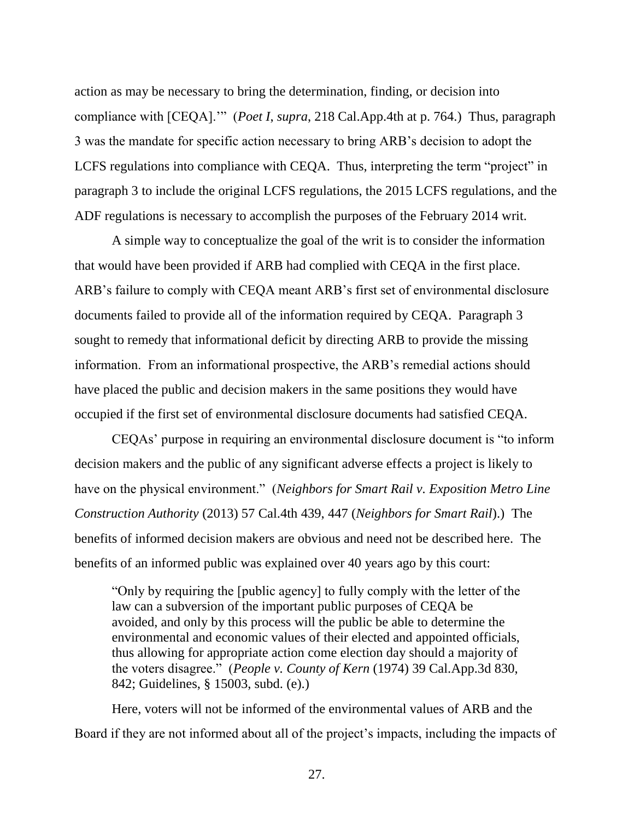action as may be necessary to bring the determination, finding, or decision into compliance with [CEQA].'" (*Poet I*, *supra*, 218 Cal.App.4th at p. 764.) Thus, paragraph 3 was the mandate for specific action necessary to bring ARB's decision to adopt the LCFS regulations into compliance with CEQA. Thus, interpreting the term "project" in paragraph 3 to include the original LCFS regulations, the 2015 LCFS regulations, and the ADF regulations is necessary to accomplish the purposes of the February 2014 writ.

A simple way to conceptualize the goal of the writ is to consider the information that would have been provided if ARB had complied with CEQA in the first place. ARB's failure to comply with CEQA meant ARB's first set of environmental disclosure documents failed to provide all of the information required by CEQA. Paragraph 3 sought to remedy that informational deficit by directing ARB to provide the missing information. From an informational prospective, the ARB's remedial actions should have placed the public and decision makers in the same positions they would have occupied if the first set of environmental disclosure documents had satisfied CEQA.

CEQAs' purpose in requiring an environmental disclosure document is "to inform decision makers and the public of any significant adverse effects a project is likely to have on the physical environment." (*Neighbors for Smart Rail v. Exposition Metro Line Construction Authority* (2013) 57 Cal.4th 439, 447 (*Neighbors for Smart Rail*).) The benefits of informed decision makers are obvious and need not be described here. The benefits of an informed public was explained over 40 years ago by this court:

"Only by requiring the [public agency] to fully comply with the letter of the law can a subversion of the important public purposes of CEQA be avoided, and only by this process will the public be able to determine the environmental and economic values of their elected and appointed officials, thus allowing for appropriate action come election day should a majority of the voters disagree." (*People v. County of Kern* (1974) 39 Cal.App.3d 830, 842; Guidelines, § 15003, subd. (e).)

Here, voters will not be informed of the environmental values of ARB and the Board if they are not informed about all of the project's impacts, including the impacts of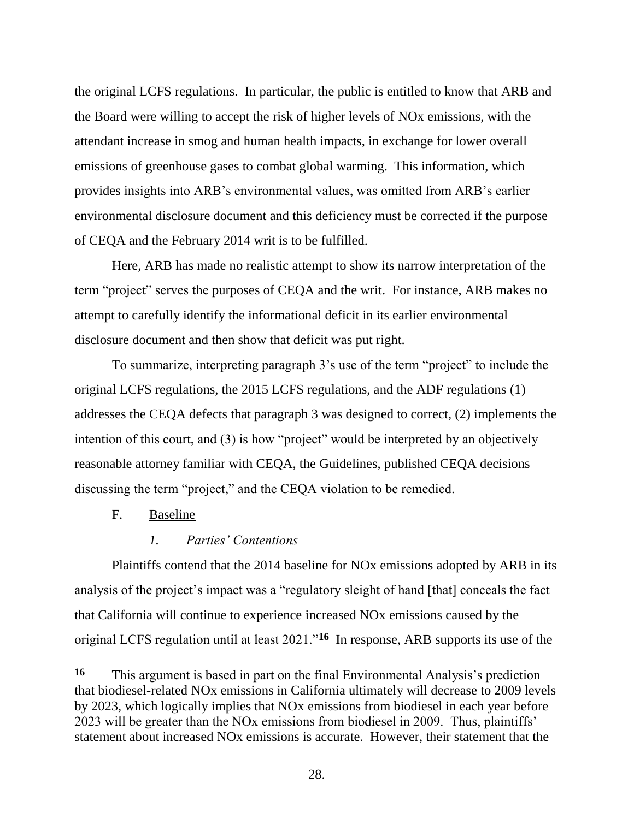the original LCFS regulations. In particular, the public is entitled to know that ARB and the Board were willing to accept the risk of higher levels of NOx emissions, with the attendant increase in smog and human health impacts, in exchange for lower overall emissions of greenhouse gases to combat global warming. This information, which provides insights into ARB's environmental values, was omitted from ARB's earlier environmental disclosure document and this deficiency must be corrected if the purpose of CEQA and the February 2014 writ is to be fulfilled.

Here, ARB has made no realistic attempt to show its narrow interpretation of the term "project" serves the purposes of CEQA and the writ. For instance, ARB makes no attempt to carefully identify the informational deficit in its earlier environmental disclosure document and then show that deficit was put right.

To summarize, interpreting paragraph 3's use of the term "project" to include the original LCFS regulations, the 2015 LCFS regulations, and the ADF regulations (1) addresses the CEQA defects that paragraph 3 was designed to correct, (2) implements the intention of this court, and (3) is how "project" would be interpreted by an objectively reasonable attorney familiar with CEQA, the Guidelines, published CEQA decisions discussing the term "project," and the CEQA violation to be remedied.

F. Baseline

# *1. Parties' Contentions*

Plaintiffs contend that the 2014 baseline for NOx emissions adopted by ARB in its analysis of the project's impact was a "regulatory sleight of hand [that] conceals the fact that California will continue to experience increased NOx emissions caused by the original LCFS regulation until at least 2021."**<sup>16</sup>** In response, ARB supports its use of the

**<sup>16</sup>** This argument is based in part on the final Environmental Analysis's prediction that biodiesel-related NOx emissions in California ultimately will decrease to 2009 levels by 2023, which logically implies that NOx emissions from biodiesel in each year before 2023 will be greater than the NOx emissions from biodiesel in 2009. Thus, plaintiffs' statement about increased NOx emissions is accurate. However, their statement that the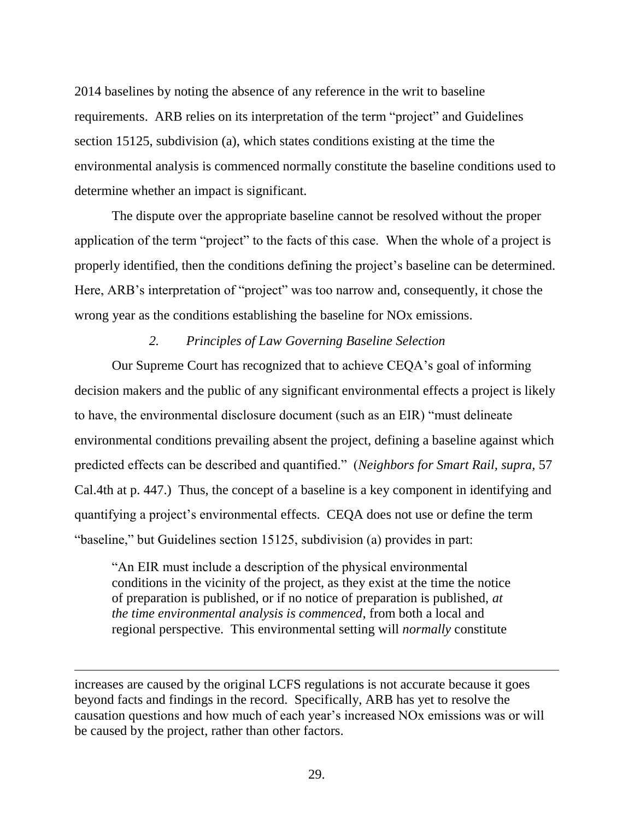2014 baselines by noting the absence of any reference in the writ to baseline requirements. ARB relies on its interpretation of the term "project" and Guidelines section 15125, subdivision (a), which states conditions existing at the time the environmental analysis is commenced normally constitute the baseline conditions used to determine whether an impact is significant.

The dispute over the appropriate baseline cannot be resolved without the proper application of the term "project" to the facts of this case. When the whole of a project is properly identified, then the conditions defining the project's baseline can be determined. Here, ARB's interpretation of "project" was too narrow and, consequently, it chose the wrong year as the conditions establishing the baseline for NOx emissions.

## *2. Principles of Law Governing Baseline Selection*

Our Supreme Court has recognized that to achieve CEQA's goal of informing decision makers and the public of any significant environmental effects a project is likely to have, the environmental disclosure document (such as an EIR) "must delineate environmental conditions prevailing absent the project, defining a baseline against which predicted effects can be described and quantified." (*Neighbors for Smart Rail, supra,* 57 Cal.4th at p. 447.) Thus, the concept of a baseline is a key component in identifying and quantifying a project's environmental effects. CEQA does not use or define the term "baseline," but Guidelines section 15125, subdivision (a) provides in part:

"An EIR must include a description of the physical environmental conditions in the vicinity of the project, as they exist at the time the notice of preparation is published, or if no notice of preparation is published, *at the time environmental analysis is commenced*, from both a local and regional perspective. This environmental setting will *normally* constitute

increases are caused by the original LCFS regulations is not accurate because it goes beyond facts and findings in the record. Specifically, ARB has yet to resolve the causation questions and how much of each year's increased NOx emissions was or will be caused by the project, rather than other factors.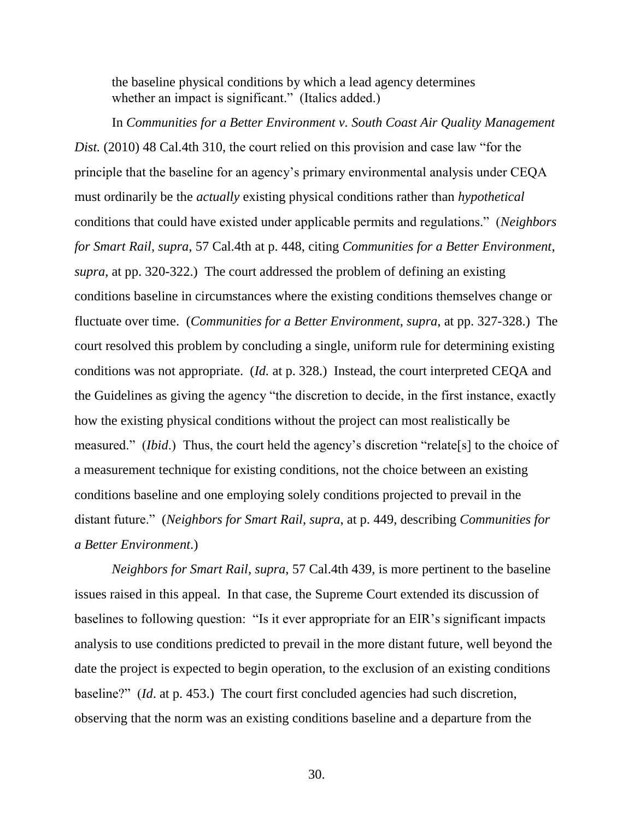the baseline physical conditions by which a lead agency determines whether an impact is significant." (Italics added.)

In *Communities for a Better Environment v. South Coast Air Quality Management Dist.* (2010) 48 Cal.4th 310, the court relied on this provision and case law "for the principle that the baseline for an agency's primary environmental analysis under CEQA must ordinarily be the *actually* existing physical conditions rather than *hypothetical* conditions that could have existed under applicable permits and regulations." (*Neighbors for Smart Rail*, *supra*, 57 Cal.4th at p. 448, citing *Communities for a Better Environment*, *supra*, at pp. 320-322.) The court addressed the problem of defining an existing conditions baseline in circumstances where the existing conditions themselves change or fluctuate over time. (*Communities for a Better Environment*, *supra*, at pp. 327-328.) The court resolved this problem by concluding a single, uniform rule for determining existing conditions was not appropriate. (*Id.* at p. 328.) Instead, the court interpreted CEQA and the Guidelines as giving the agency "the discretion to decide, in the first instance, exactly how the existing physical conditions without the project can most realistically be measured." (*Ibid*.) Thus, the court held the agency's discretion "relate[s] to the choice of a measurement technique for existing conditions, not the choice between an existing conditions baseline and one employing solely conditions projected to prevail in the distant future." (*Neighbors for Smart Rail*, *supra*, at p. 449, describing *Communities for a Better Environment*.)

*Neighbors for Smart Rail*, *supra*, 57 Cal.4th 439, is more pertinent to the baseline issues raised in this appeal. In that case, the Supreme Court extended its discussion of baselines to following question: "Is it ever appropriate for an EIR's significant impacts analysis to use conditions predicted to prevail in the more distant future, well beyond the date the project is expected to begin operation, to the exclusion of an existing conditions baseline?" (*Id*. at p. 453.) The court first concluded agencies had such discretion, observing that the norm was an existing conditions baseline and a departure from the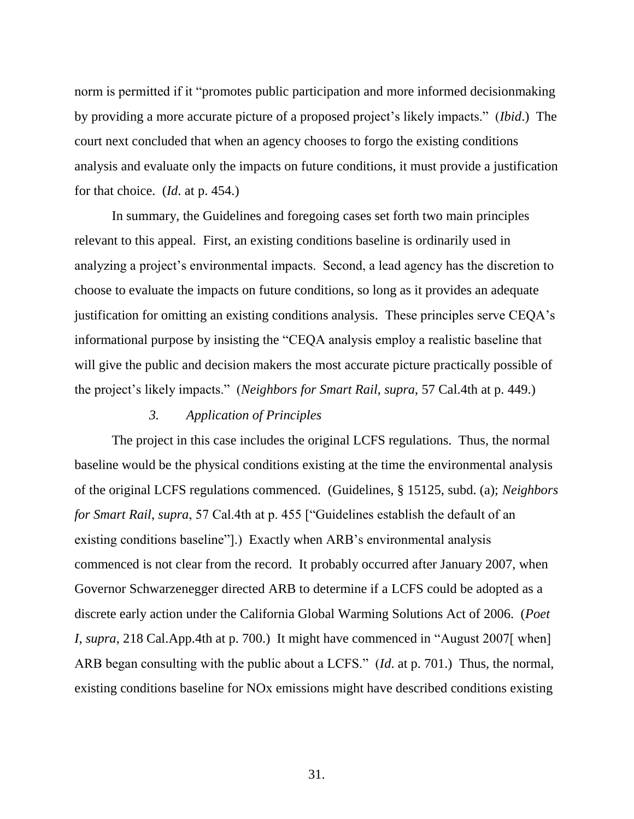norm is permitted if it "promotes public participation and more informed decisionmaking by providing a more accurate picture of a proposed project's likely impacts." (*Ibid*.) The court next concluded that when an agency chooses to forgo the existing conditions analysis and evaluate only the impacts on future conditions, it must provide a justification for that choice. (*Id*. at p. 454.)

In summary, the Guidelines and foregoing cases set forth two main principles relevant to this appeal. First, an existing conditions baseline is ordinarily used in analyzing a project's environmental impacts. Second, a lead agency has the discretion to choose to evaluate the impacts on future conditions, so long as it provides an adequate justification for omitting an existing conditions analysis. These principles serve CEQA's informational purpose by insisting the "CEQA analysis employ a realistic baseline that will give the public and decision makers the most accurate picture practically possible of the project's likely impacts." (*Neighbors for Smart Rail*, *supra*, 57 Cal.4th at p. 449.)

## *3. Application of Principles*

The project in this case includes the original LCFS regulations. Thus, the normal baseline would be the physical conditions existing at the time the environmental analysis of the original LCFS regulations commenced. (Guidelines, § 15125, subd. (a); *Neighbors for Smart Rail*, *supra*, 57 Cal.4th at p. 455 ["Guidelines establish the default of an existing conditions baseline"].) Exactly when ARB's environmental analysis commenced is not clear from the record. It probably occurred after January 2007, when Governor Schwarzenegger directed ARB to determine if a LCFS could be adopted as a discrete early action under the California Global Warming Solutions Act of 2006. (*Poet I*, *supra*, 218 Cal.App.4th at p. 700.) It might have commenced in "August 2007[ when] ARB began consulting with the public about a LCFS." (*Id*. at p. 701.) Thus, the normal, existing conditions baseline for NOx emissions might have described conditions existing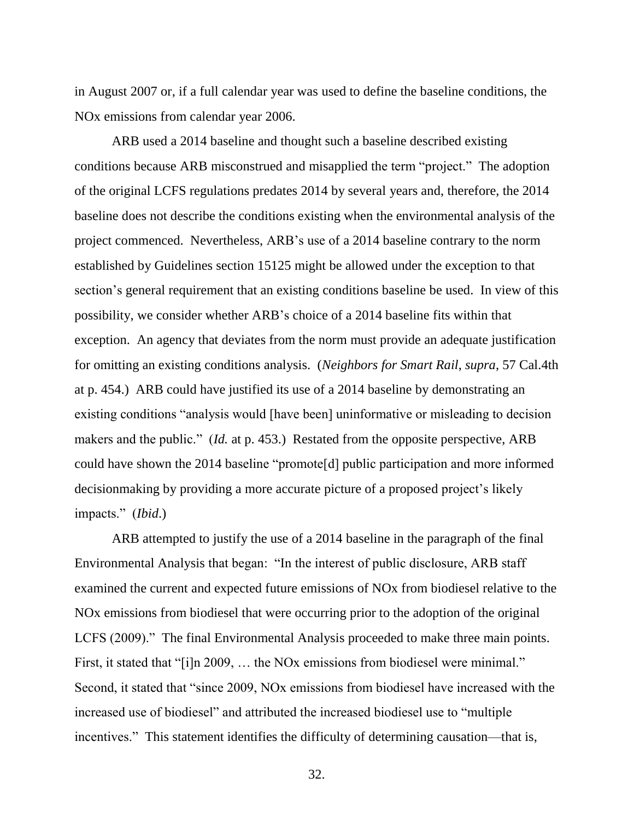in August 2007 or, if a full calendar year was used to define the baseline conditions, the NOx emissions from calendar year 2006.

ARB used a 2014 baseline and thought such a baseline described existing conditions because ARB misconstrued and misapplied the term "project." The adoption of the original LCFS regulations predates 2014 by several years and, therefore, the 2014 baseline does not describe the conditions existing when the environmental analysis of the project commenced. Nevertheless, ARB's use of a 2014 baseline contrary to the norm established by Guidelines section 15125 might be allowed under the exception to that section's general requirement that an existing conditions baseline be used. In view of this possibility, we consider whether ARB's choice of a 2014 baseline fits within that exception. An agency that deviates from the norm must provide an adequate justification for omitting an existing conditions analysis. (*Neighbors for Smart Rail*, *supra*, 57 Cal.4th at p. 454.) ARB could have justified its use of a 2014 baseline by demonstrating an existing conditions "analysis would [have been] uninformative or misleading to decision makers and the public." (*Id.* at p. 453.) Restated from the opposite perspective, ARB could have shown the 2014 baseline "promote[d] public participation and more informed decisionmaking by providing a more accurate picture of a proposed project's likely impacts." (*Ibid*.)

ARB attempted to justify the use of a 2014 baseline in the paragraph of the final Environmental Analysis that began: "In the interest of public disclosure, ARB staff examined the current and expected future emissions of NOx from biodiesel relative to the NOx emissions from biodiesel that were occurring prior to the adoption of the original LCFS (2009)." The final Environmental Analysis proceeded to make three main points. First, it stated that "[i]n 2009, ... the NO<sub>x</sub> emissions from biodiesel were minimal." Second, it stated that "since 2009, NOx emissions from biodiesel have increased with the increased use of biodiesel" and attributed the increased biodiesel use to "multiple incentives." This statement identifies the difficulty of determining causation—that is,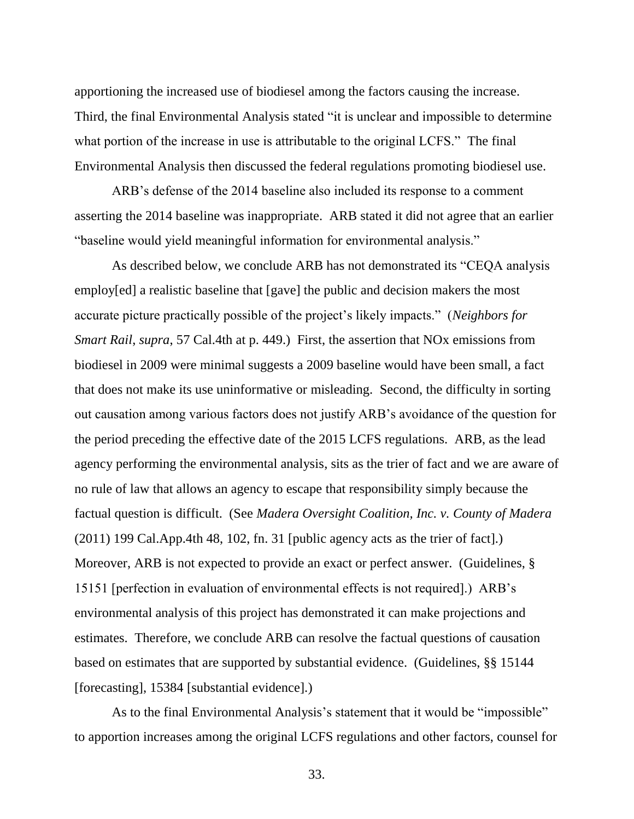apportioning the increased use of biodiesel among the factors causing the increase. Third, the final Environmental Analysis stated "it is unclear and impossible to determine what portion of the increase in use is attributable to the original LCFS." The final Environmental Analysis then discussed the federal regulations promoting biodiesel use.

ARB's defense of the 2014 baseline also included its response to a comment asserting the 2014 baseline was inappropriate. ARB stated it did not agree that an earlier "baseline would yield meaningful information for environmental analysis."

As described below, we conclude ARB has not demonstrated its "CEQA analysis employ[ed] a realistic baseline that [gave] the public and decision makers the most accurate picture practically possible of the project's likely impacts." (*Neighbors for Smart Rail*, *supra*, 57 Cal.4th at p. 449.) First, the assertion that NOx emissions from biodiesel in 2009 were minimal suggests a 2009 baseline would have been small, a fact that does not make its use uninformative or misleading. Second, the difficulty in sorting out causation among various factors does not justify ARB's avoidance of the question for the period preceding the effective date of the 2015 LCFS regulations. ARB, as the lead agency performing the environmental analysis, sits as the trier of fact and we are aware of no rule of law that allows an agency to escape that responsibility simply because the factual question is difficult. (See *Madera Oversight Coalition, Inc. v. County of Madera* (2011) 199 Cal.App.4th 48, 102, fn. 31 [public agency acts as the trier of fact].) Moreover, ARB is not expected to provide an exact or perfect answer. (Guidelines, § 15151 [perfection in evaluation of environmental effects is not required].) ARB's environmental analysis of this project has demonstrated it can make projections and estimates. Therefore, we conclude ARB can resolve the factual questions of causation based on estimates that are supported by substantial evidence. (Guidelines, §§ 15144 [forecasting], 15384 [substantial evidence].)

As to the final Environmental Analysis's statement that it would be "impossible" to apportion increases among the original LCFS regulations and other factors, counsel for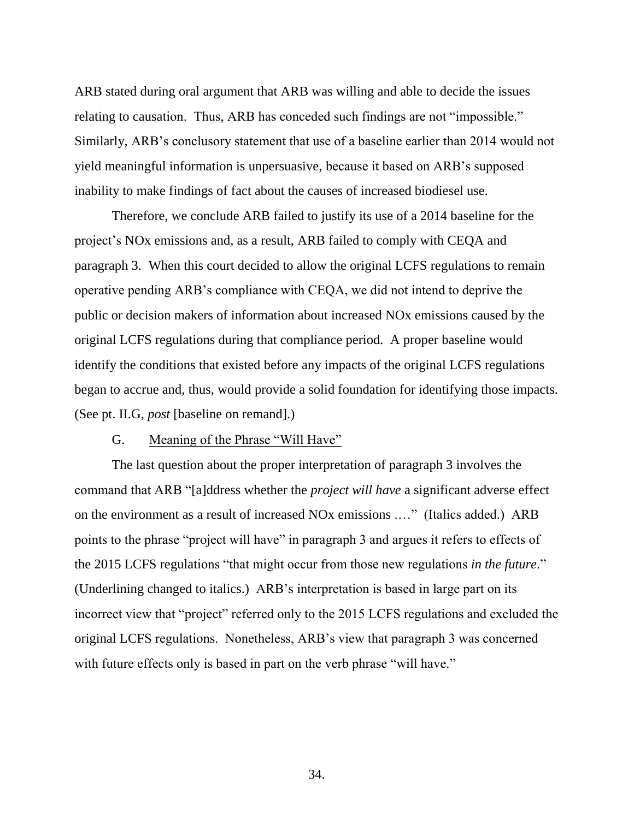ARB stated during oral argument that ARB was willing and able to decide the issues relating to causation. Thus, ARB has conceded such findings are not "impossible." Similarly, ARB's conclusory statement that use of a baseline earlier than 2014 would not yield meaningful information is unpersuasive, because it based on ARB's supposed inability to make findings of fact about the causes of increased biodiesel use.

Therefore, we conclude ARB failed to justify its use of a 2014 baseline for the project's NOx emissions and, as a result, ARB failed to comply with CEQA and paragraph 3. When this court decided to allow the original LCFS regulations to remain operative pending ARB's compliance with CEQA, we did not intend to deprive the public or decision makers of information about increased NOx emissions caused by the original LCFS regulations during that compliance period. A proper baseline would identify the conditions that existed before any impacts of the original LCFS regulations began to accrue and, thus, would provide a solid foundation for identifying those impacts. (See pt. II.G, *post* [baseline on remand].)

#### G. Meaning of the Phrase "Will Have"

The last question about the proper interpretation of paragraph 3 involves the command that ARB "[a]ddress whether the *project will have* a significant adverse effect on the environment as a result of increased NOx emissions .…" (Italics added.) ARB points to the phrase "project will have" in paragraph 3 and argues it refers to effects of the 2015 LCFS regulations "that might occur from those new regulations *in the future*." (Underlining changed to italics.) ARB's interpretation is based in large part on its incorrect view that "project" referred only to the 2015 LCFS regulations and excluded the original LCFS regulations. Nonetheless, ARB's view that paragraph 3 was concerned with future effects only is based in part on the verb phrase "will have."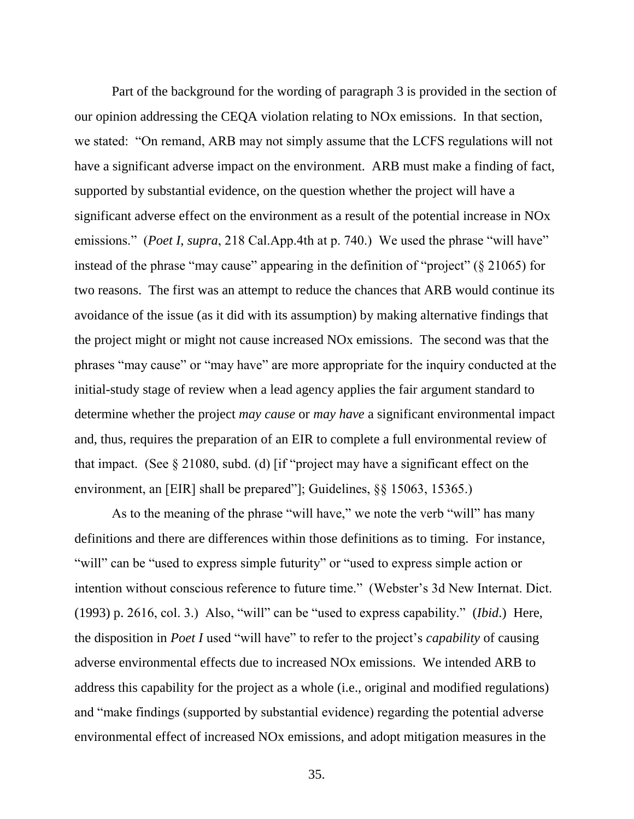Part of the background for the wording of paragraph 3 is provided in the section of our opinion addressing the CEQA violation relating to NOx emissions. In that section, we stated: "On remand, ARB may not simply assume that the LCFS regulations will not have a significant adverse impact on the environment. ARB must make a finding of fact, supported by substantial evidence, on the question whether the project will have a significant adverse effect on the environment as a result of the potential increase in NOx emissions." (*Poet I, supra,* 218 Cal.App.4th at p. 740.) We used the phrase "will have" instead of the phrase "may cause" appearing in the definition of "project" (§ 21065) for two reasons. The first was an attempt to reduce the chances that ARB would continue its avoidance of the issue (as it did with its assumption) by making alternative findings that the project might or might not cause increased NOx emissions. The second was that the phrases "may cause" or "may have" are more appropriate for the inquiry conducted at the initial-study stage of review when a lead agency applies the fair argument standard to determine whether the project *may cause* or *may have* a significant environmental impact and, thus, requires the preparation of an EIR to complete a full environmental review of that impact. (See § 21080, subd. (d) [if "project may have a significant effect on the environment, an [EIR] shall be prepared"]; Guidelines, §§ 15063, 15365.)

As to the meaning of the phrase "will have," we note the verb "will" has many definitions and there are differences within those definitions as to timing. For instance, "will" can be "used to express simple futurity" or "used to express simple action or intention without conscious reference to future time." (Webster's 3d New Internat. Dict. (1993) p. 2616, col. 3.) Also, "will" can be "used to express capability." (*Ibid*.) Here, the disposition in *Poet I* used "will have" to refer to the project's *capability* of causing adverse environmental effects due to increased NOx emissions. We intended ARB to address this capability for the project as a whole (i.e., original and modified regulations) and "make findings (supported by substantial evidence) regarding the potential adverse environmental effect of increased NOx emissions, and adopt mitigation measures in the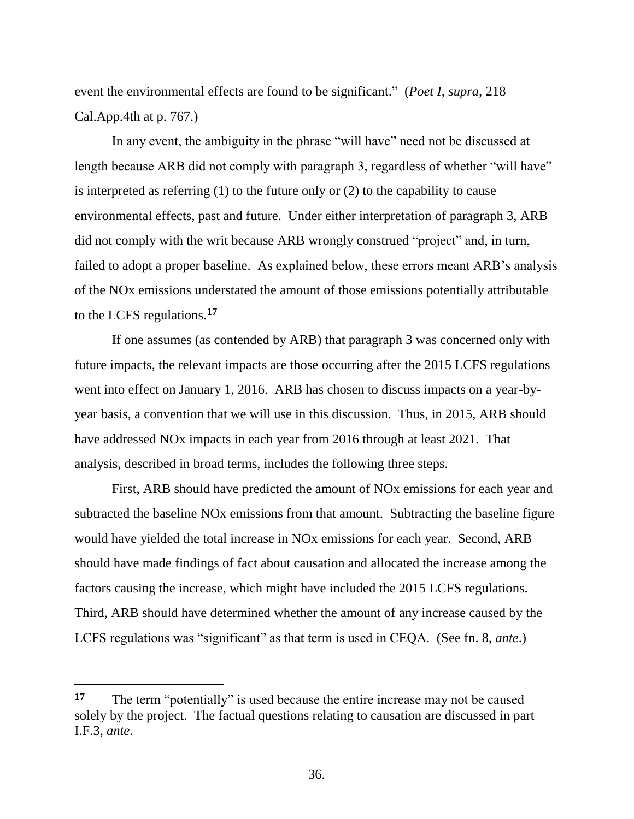event the environmental effects are found to be significant." (*Poet I, supra,* 218 Cal.App.4th at p. 767.)

In any event, the ambiguity in the phrase "will have" need not be discussed at length because ARB did not comply with paragraph 3, regardless of whether "will have" is interpreted as referring (1) to the future only or (2) to the capability to cause environmental effects, past and future. Under either interpretation of paragraph 3, ARB did not comply with the writ because ARB wrongly construed "project" and, in turn, failed to adopt a proper baseline. As explained below, these errors meant ARB's analysis of the NOx emissions understated the amount of those emissions potentially attributable to the LCFS regulations.**<sup>17</sup>**

If one assumes (as contended by ARB) that paragraph 3 was concerned only with future impacts, the relevant impacts are those occurring after the 2015 LCFS regulations went into effect on January 1, 2016. ARB has chosen to discuss impacts on a year-byyear basis, a convention that we will use in this discussion. Thus, in 2015, ARB should have addressed NOx impacts in each year from 2016 through at least 2021. That analysis, described in broad terms, includes the following three steps.

First, ARB should have predicted the amount of NOx emissions for each year and subtracted the baseline NOx emissions from that amount. Subtracting the baseline figure would have yielded the total increase in NOx emissions for each year. Second, ARB should have made findings of fact about causation and allocated the increase among the factors causing the increase, which might have included the 2015 LCFS regulations. Third, ARB should have determined whether the amount of any increase caused by the LCFS regulations was "significant" as that term is used in CEQA. (See fn. 8, *ante*.)

 $\overline{a}$ 

**<sup>17</sup>** The term "potentially" is used because the entire increase may not be caused solely by the project. The factual questions relating to causation are discussed in part I.F.3, *ante*.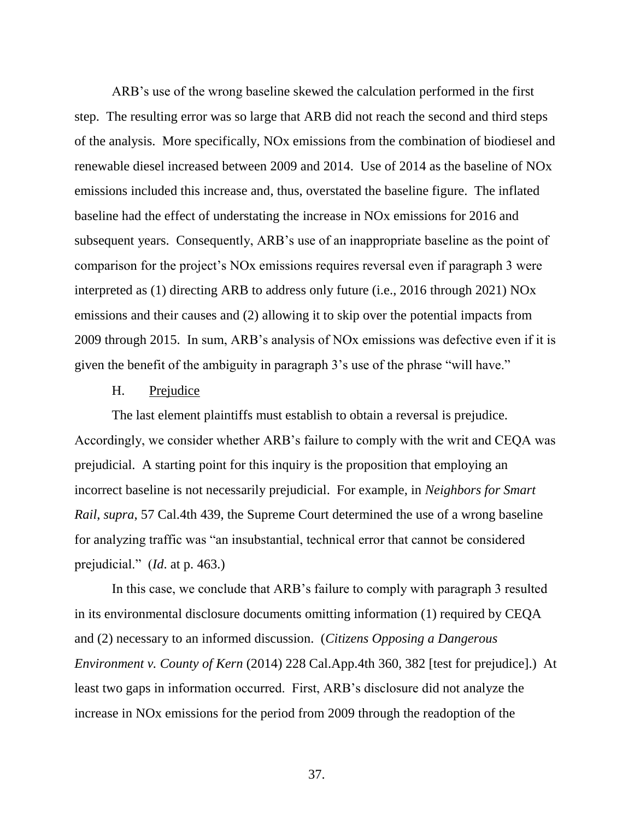ARB's use of the wrong baseline skewed the calculation performed in the first step. The resulting error was so large that ARB did not reach the second and third steps of the analysis. More specifically, NOx emissions from the combination of biodiesel and renewable diesel increased between 2009 and 2014. Use of 2014 as the baseline of NOx emissions included this increase and, thus, overstated the baseline figure. The inflated baseline had the effect of understating the increase in NOx emissions for 2016 and subsequent years. Consequently, ARB's use of an inappropriate baseline as the point of comparison for the project's NOx emissions requires reversal even if paragraph 3 were interpreted as (1) directing ARB to address only future (i.e., 2016 through 2021) NOx emissions and their causes and (2) allowing it to skip over the potential impacts from 2009 through 2015. In sum, ARB's analysis of NOx emissions was defective even if it is given the benefit of the ambiguity in paragraph 3's use of the phrase "will have."

## H. Prejudice

The last element plaintiffs must establish to obtain a reversal is prejudice. Accordingly, we consider whether ARB's failure to comply with the writ and CEQA was prejudicial. A starting point for this inquiry is the proposition that employing an incorrect baseline is not necessarily prejudicial. For example, in *Neighbors for Smart Rail*, *supra*, 57 Cal.4th 439, the Supreme Court determined the use of a wrong baseline for analyzing traffic was "an insubstantial, technical error that cannot be considered prejudicial." (*Id*. at p. 463.)

In this case, we conclude that ARB's failure to comply with paragraph 3 resulted in its environmental disclosure documents omitting information (1) required by CEQA and (2) necessary to an informed discussion. (*Citizens Opposing a Dangerous Environment v. County of Kern* (2014) 228 Cal.App.4th 360, 382 [test for prejudice].) At least two gaps in information occurred. First, ARB's disclosure did not analyze the increase in NOx emissions for the period from 2009 through the readoption of the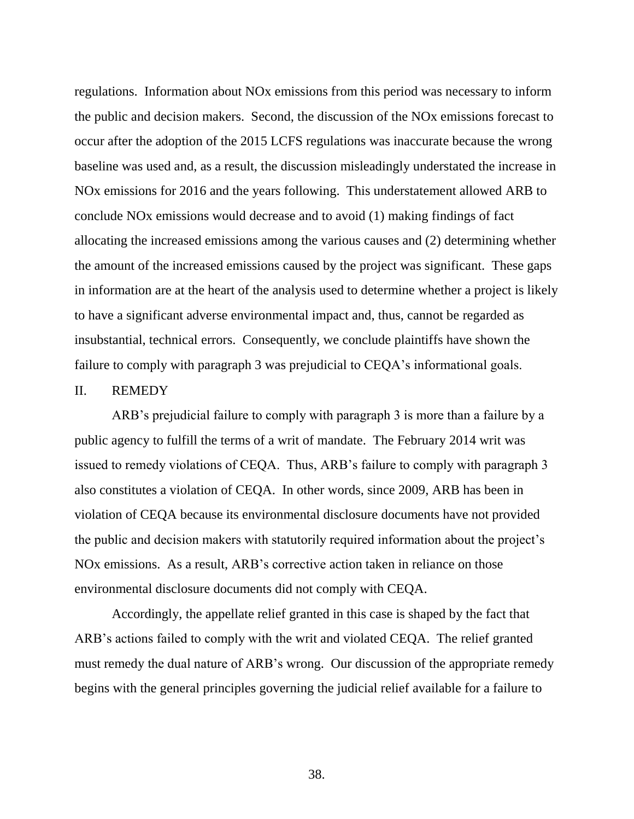regulations. Information about NOx emissions from this period was necessary to inform the public and decision makers. Second, the discussion of the NOx emissions forecast to occur after the adoption of the 2015 LCFS regulations was inaccurate because the wrong baseline was used and, as a result, the discussion misleadingly understated the increase in NOx emissions for 2016 and the years following. This understatement allowed ARB to conclude NOx emissions would decrease and to avoid (1) making findings of fact allocating the increased emissions among the various causes and (2) determining whether the amount of the increased emissions caused by the project was significant. These gaps in information are at the heart of the analysis used to determine whether a project is likely to have a significant adverse environmental impact and, thus, cannot be regarded as insubstantial, technical errors. Consequently, we conclude plaintiffs have shown the failure to comply with paragraph 3 was prejudicial to CEQA's informational goals.

#### II. REMEDY

ARB's prejudicial failure to comply with paragraph 3 is more than a failure by a public agency to fulfill the terms of a writ of mandate. The February 2014 writ was issued to remedy violations of CEQA. Thus, ARB's failure to comply with paragraph 3 also constitutes a violation of CEQA. In other words, since 2009, ARB has been in violation of CEQA because its environmental disclosure documents have not provided the public and decision makers with statutorily required information about the project's NOx emissions. As a result, ARB's corrective action taken in reliance on those environmental disclosure documents did not comply with CEQA.

Accordingly, the appellate relief granted in this case is shaped by the fact that ARB's actions failed to comply with the writ and violated CEQA. The relief granted must remedy the dual nature of ARB's wrong. Our discussion of the appropriate remedy begins with the general principles governing the judicial relief available for a failure to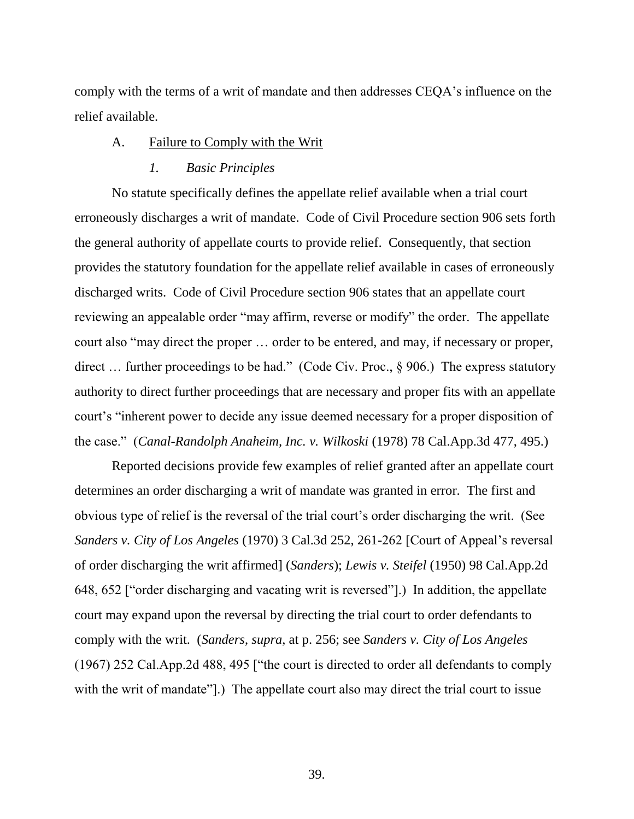comply with the terms of a writ of mandate and then addresses CEQA's influence on the relief available.

#### A. Failure to Comply with the Writ

#### *1. Basic Principles*

No statute specifically defines the appellate relief available when a trial court erroneously discharges a writ of mandate. Code of Civil Procedure section 906 sets forth the general authority of appellate courts to provide relief. Consequently, that section provides the statutory foundation for the appellate relief available in cases of erroneously discharged writs. Code of Civil Procedure section 906 states that an appellate court reviewing an appealable order "may affirm, reverse or modify" the order. The appellate court also "may direct the proper … order to be entered, and may, if necessary or proper, direct ... further proceedings to be had." (Code Civ. Proc., § 906.) The express statutory authority to direct further proceedings that are necessary and proper fits with an appellate court's "inherent power to decide any issue deemed necessary for a proper disposition of the case." (*Canal-Randolph Anaheim, Inc. v. Wilkoski* (1978) 78 Cal.App.3d 477, 495.)

Reported decisions provide few examples of relief granted after an appellate court determines an order discharging a writ of mandate was granted in error. The first and obvious type of relief is the reversal of the trial court's order discharging the writ. (See *Sanders v. City of Los Angeles* (1970) 3 Cal.3d 252, 261-262 [Court of Appeal's reversal of order discharging the writ affirmed] (*Sanders*); *Lewis v. Steifel* (1950) 98 Cal.App.2d 648, 652 ["order discharging and vacating writ is reversed"].) In addition, the appellate court may expand upon the reversal by directing the trial court to order defendants to comply with the writ. (*Sanders*, *supra*, at p. 256; see *Sanders v. City of Los Angeles* (1967) 252 Cal.App.2d 488, 495 ["the court is directed to order all defendants to comply with the writ of mandate"].) The appellate court also may direct the trial court to issue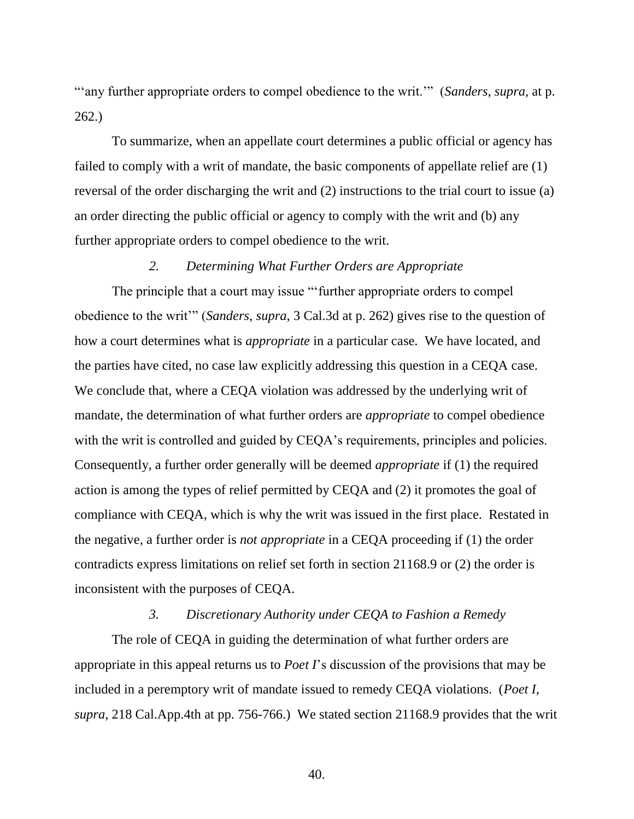"'any further appropriate orders to compel obedience to the writ.'" (*Sanders*, *supra*, at p. 262.)

To summarize, when an appellate court determines a public official or agency has failed to comply with a writ of mandate, the basic components of appellate relief are (1) reversal of the order discharging the writ and (2) instructions to the trial court to issue (a) an order directing the public official or agency to comply with the writ and (b) any further appropriate orders to compel obedience to the writ.

## *2. Determining What Further Orders are Appropriate*

The principle that a court may issue "'further appropriate orders to compel obedience to the writ'" (*Sanders*, *supra*, 3 Cal.3d at p. 262) gives rise to the question of how a court determines what is *appropriate* in a particular case. We have located, and the parties have cited, no case law explicitly addressing this question in a CEQA case. We conclude that, where a CEQA violation was addressed by the underlying writ of mandate, the determination of what further orders are *appropriate* to compel obedience with the writ is controlled and guided by CEQA's requirements, principles and policies. Consequently, a further order generally will be deemed *appropriate* if (1) the required action is among the types of relief permitted by CEQA and (2) it promotes the goal of compliance with CEQA, which is why the writ was issued in the first place. Restated in the negative, a further order is *not appropriate* in a CEQA proceeding if (1) the order contradicts express limitations on relief set forth in section 21168.9 or (2) the order is inconsistent with the purposes of CEQA.

#### *3. Discretionary Authority under CEQA to Fashion a Remedy*

The role of CEQA in guiding the determination of what further orders are appropriate in this appeal returns us to *Poet I*'s discussion of the provisions that may be included in a peremptory writ of mandate issued to remedy CEQA violations. (*Poet I*, *supra*, 218 Cal.App.4th at pp. 756-766.) We stated section 21168.9 provides that the writ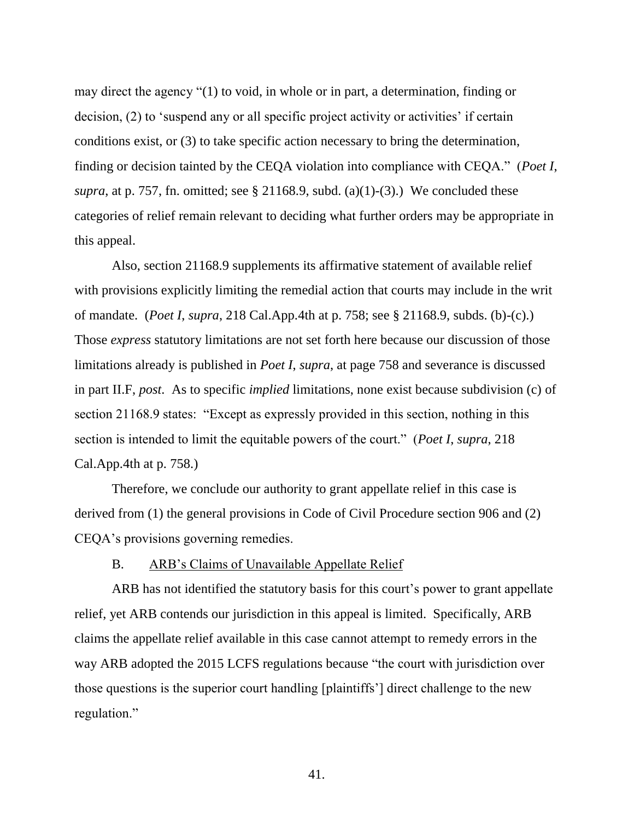may direct the agency "(1) to void, in whole or in part, a determination, finding or decision, (2) to 'suspend any or all specific project activity or activities' if certain conditions exist, or (3) to take specific action necessary to bring the determination, finding or decision tainted by the CEQA violation into compliance with CEQA." (*Poet I*, *supra*, at p. 757, fn. omitted; see § 21168.9, subd. (a)(1)-(3).) We concluded these categories of relief remain relevant to deciding what further orders may be appropriate in this appeal.

Also, section 21168.9 supplements its affirmative statement of available relief with provisions explicitly limiting the remedial action that courts may include in the writ of mandate. (*Poet I*, *supra*, 218 Cal.App.4th at p. 758; see § 21168.9, subds. (b)-(c).) Those *express* statutory limitations are not set forth here because our discussion of those limitations already is published in *Poet I*, *supra*, at page 758 and severance is discussed in part II.F, *post*. As to specific *implied* limitations, none exist because subdivision (c) of section 21168.9 states: "Except as expressly provided in this section, nothing in this section is intended to limit the equitable powers of the court." (*Poet I*, *supra*, 218 Cal.App.4th at p. 758.)

Therefore, we conclude our authority to grant appellate relief in this case is derived from (1) the general provisions in Code of Civil Procedure section 906 and (2) CEQA's provisions governing remedies.

### B. ARB's Claims of Unavailable Appellate Relief

ARB has not identified the statutory basis for this court's power to grant appellate relief, yet ARB contends our jurisdiction in this appeal is limited. Specifically, ARB claims the appellate relief available in this case cannot attempt to remedy errors in the way ARB adopted the 2015 LCFS regulations because "the court with jurisdiction over those questions is the superior court handling [plaintiffs'] direct challenge to the new regulation."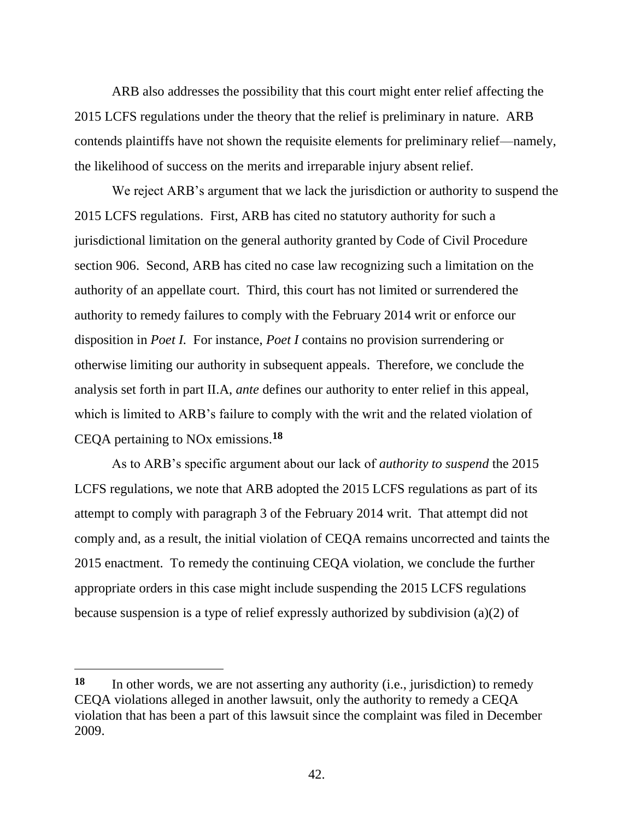ARB also addresses the possibility that this court might enter relief affecting the 2015 LCFS regulations under the theory that the relief is preliminary in nature. ARB contends plaintiffs have not shown the requisite elements for preliminary relief—namely, the likelihood of success on the merits and irreparable injury absent relief.

We reject ARB's argument that we lack the jurisdiction or authority to suspend the 2015 LCFS regulations. First, ARB has cited no statutory authority for such a jurisdictional limitation on the general authority granted by Code of Civil Procedure section 906. Second, ARB has cited no case law recognizing such a limitation on the authority of an appellate court. Third, this court has not limited or surrendered the authority to remedy failures to comply with the February 2014 writ or enforce our disposition in *Poet I.* For instance, *Poet I* contains no provision surrendering or otherwise limiting our authority in subsequent appeals. Therefore, we conclude the analysis set forth in part II.A, *ante* defines our authority to enter relief in this appeal, which is limited to ARB's failure to comply with the writ and the related violation of CEQA pertaining to NOx emissions.**<sup>18</sup>**

As to ARB's specific argument about our lack of *authority to suspend* the 2015 LCFS regulations, we note that ARB adopted the 2015 LCFS regulations as part of its attempt to comply with paragraph 3 of the February 2014 writ. That attempt did not comply and, as a result, the initial violation of CEQA remains uncorrected and taints the 2015 enactment. To remedy the continuing CEQA violation, we conclude the further appropriate orders in this case might include suspending the 2015 LCFS regulations because suspension is a type of relief expressly authorized by subdivision (a)(2) of

 $\overline{a}$ 

**<sup>18</sup>** In other words, we are not asserting any authority (i.e., jurisdiction) to remedy CEQA violations alleged in another lawsuit, only the authority to remedy a CEQA violation that has been a part of this lawsuit since the complaint was filed in December 2009.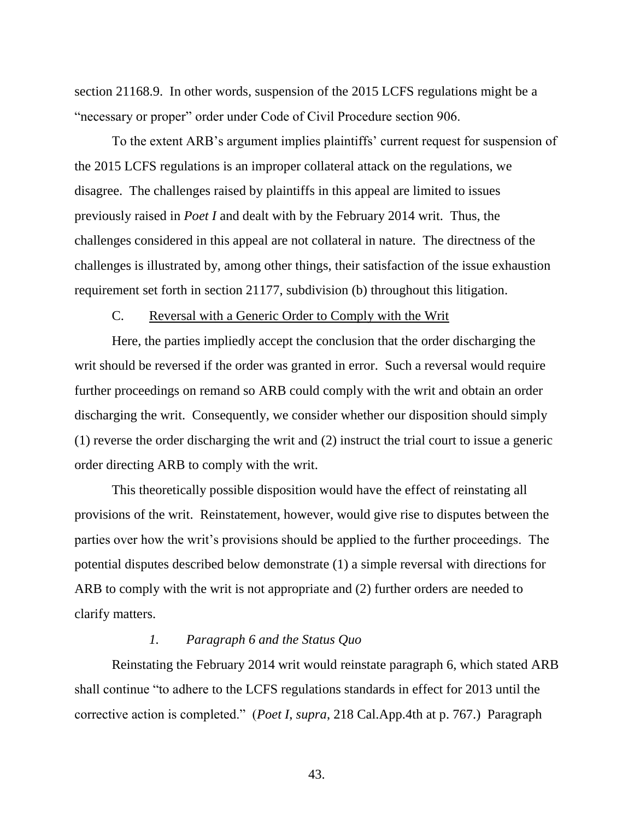section 21168.9. In other words, suspension of the 2015 LCFS regulations might be a "necessary or proper" order under Code of Civil Procedure section 906.

To the extent ARB's argument implies plaintiffs' current request for suspension of the 2015 LCFS regulations is an improper collateral attack on the regulations, we disagree. The challenges raised by plaintiffs in this appeal are limited to issues previously raised in *Poet I* and dealt with by the February 2014 writ. Thus, the challenges considered in this appeal are not collateral in nature. The directness of the challenges is illustrated by, among other things, their satisfaction of the issue exhaustion requirement set forth in section 21177, subdivision (b) throughout this litigation.

## C. Reversal with a Generic Order to Comply with the Writ

Here, the parties impliedly accept the conclusion that the order discharging the writ should be reversed if the order was granted in error. Such a reversal would require further proceedings on remand so ARB could comply with the writ and obtain an order discharging the writ. Consequently, we consider whether our disposition should simply (1) reverse the order discharging the writ and (2) instruct the trial court to issue a generic order directing ARB to comply with the writ.

This theoretically possible disposition would have the effect of reinstating all provisions of the writ. Reinstatement, however, would give rise to disputes between the parties over how the writ's provisions should be applied to the further proceedings. The potential disputes described below demonstrate (1) a simple reversal with directions for ARB to comply with the writ is not appropriate and (2) further orders are needed to clarify matters.

## *1. Paragraph 6 and the Status Quo*

Reinstating the February 2014 writ would reinstate paragraph 6, which stated ARB shall continue "to adhere to the LCFS regulations standards in effect for 2013 until the corrective action is completed." (*Poet I*, *supra*, 218 Cal.App.4th at p. 767.) Paragraph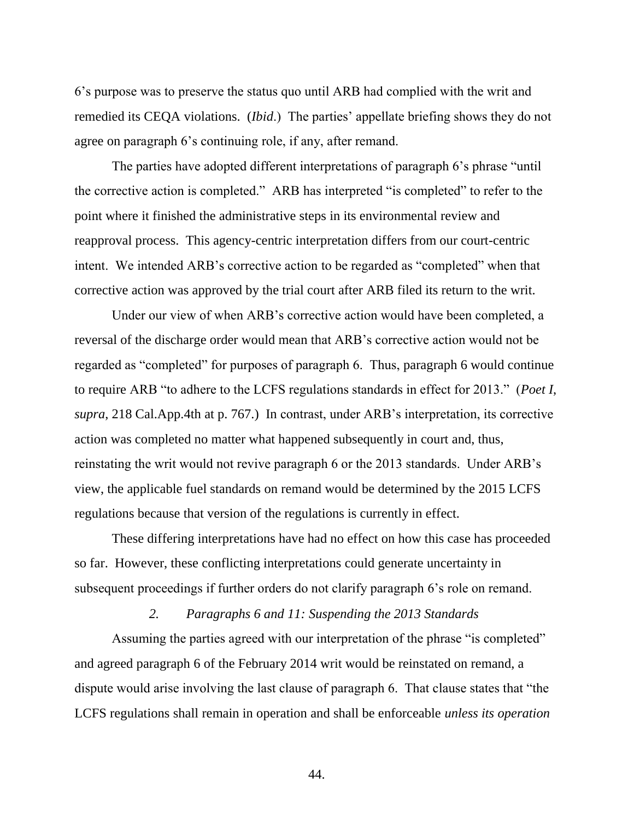6's purpose was to preserve the status quo until ARB had complied with the writ and remedied its CEQA violations. (*Ibid*.) The parties' appellate briefing shows they do not agree on paragraph 6's continuing role, if any, after remand.

The parties have adopted different interpretations of paragraph 6's phrase "until the corrective action is completed." ARB has interpreted "is completed" to refer to the point where it finished the administrative steps in its environmental review and reapproval process. This agency-centric interpretation differs from our court-centric intent. We intended ARB's corrective action to be regarded as "completed" when that corrective action was approved by the trial court after ARB filed its return to the writ.

Under our view of when ARB's corrective action would have been completed, a reversal of the discharge order would mean that ARB's corrective action would not be regarded as "completed" for purposes of paragraph 6. Thus, paragraph 6 would continue to require ARB "to adhere to the LCFS regulations standards in effect for 2013." (*Poet I*, *supra*, 218 Cal.App.4th at p. 767.) In contrast, under ARB's interpretation, its corrective action was completed no matter what happened subsequently in court and, thus, reinstating the writ would not revive paragraph 6 or the 2013 standards. Under ARB's view, the applicable fuel standards on remand would be determined by the 2015 LCFS regulations because that version of the regulations is currently in effect.

These differing interpretations have had no effect on how this case has proceeded so far. However, these conflicting interpretations could generate uncertainty in subsequent proceedings if further orders do not clarify paragraph 6's role on remand.

### *2. Paragraphs 6 and 11: Suspending the 2013 Standards*

Assuming the parties agreed with our interpretation of the phrase "is completed" and agreed paragraph 6 of the February 2014 writ would be reinstated on remand, a dispute would arise involving the last clause of paragraph 6. That clause states that "the LCFS regulations shall remain in operation and shall be enforceable *unless its operation*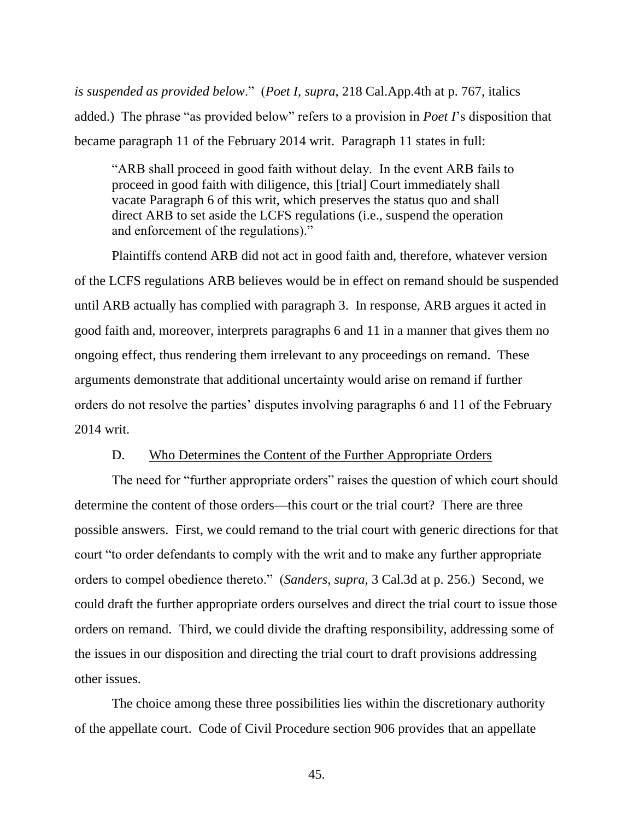*is suspended as provided below*." (*Poet I*, *supra*, 218 Cal.App.4th at p. 767, italics added.) The phrase "as provided below" refers to a provision in *Poet I*'s disposition that became paragraph 11 of the February 2014 writ. Paragraph 11 states in full:

"ARB shall proceed in good faith without delay. In the event ARB fails to proceed in good faith with diligence, this [trial] Court immediately shall vacate Paragraph 6 of this writ, which preserves the status quo and shall direct ARB to set aside the LCFS regulations (i.e., suspend the operation and enforcement of the regulations)."

Plaintiffs contend ARB did not act in good faith and, therefore, whatever version of the LCFS regulations ARB believes would be in effect on remand should be suspended until ARB actually has complied with paragraph 3. In response, ARB argues it acted in good faith and, moreover, interprets paragraphs 6 and 11 in a manner that gives them no ongoing effect, thus rendering them irrelevant to any proceedings on remand. These arguments demonstrate that additional uncertainty would arise on remand if further orders do not resolve the parties' disputes involving paragraphs 6 and 11 of the February 2014 writ.

## D. Who Determines the Content of the Further Appropriate Orders

The need for "further appropriate orders" raises the question of which court should determine the content of those orders—this court or the trial court? There are three possible answers. First, we could remand to the trial court with generic directions for that court "to order defendants to comply with the writ and to make any further appropriate orders to compel obedience thereto." (*Sanders*, *supra*, 3 Cal.3d at p. 256.) Second, we could draft the further appropriate orders ourselves and direct the trial court to issue those orders on remand. Third, we could divide the drafting responsibility, addressing some of the issues in our disposition and directing the trial court to draft provisions addressing other issues.

The choice among these three possibilities lies within the discretionary authority of the appellate court. Code of Civil Procedure section 906 provides that an appellate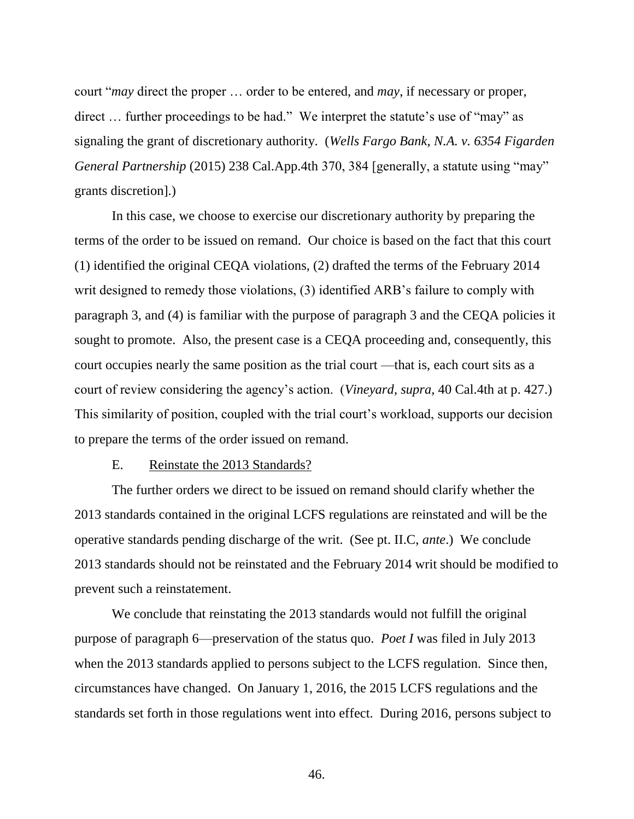court "*may* direct the proper … order to be entered, and *may*, if necessary or proper, direct … further proceedings to be had." We interpret the statute's use of "may" as signaling the grant of discretionary authority. (*Wells Fargo Bank, N.A. v. 6354 Figarden General Partnership* (2015) 238 Cal.App.4th 370, 384 [generally, a statute using "may" grants discretion].)

In this case, we choose to exercise our discretionary authority by preparing the terms of the order to be issued on remand. Our choice is based on the fact that this court (1) identified the original CEQA violations, (2) drafted the terms of the February 2014 writ designed to remedy those violations, (3) identified ARB's failure to comply with paragraph 3, and (4) is familiar with the purpose of paragraph 3 and the CEQA policies it sought to promote. Also, the present case is a CEQA proceeding and, consequently, this court occupies nearly the same position as the trial court —that is, each court sits as a court of review considering the agency's action. (*Vineyard*, *supra*, 40 Cal.4th at p. 427.) This similarity of position, coupled with the trial court's workload, supports our decision to prepare the terms of the order issued on remand.

#### E. Reinstate the 2013 Standards?

The further orders we direct to be issued on remand should clarify whether the 2013 standards contained in the original LCFS regulations are reinstated and will be the operative standards pending discharge of the writ. (See pt. II.C, *ante*.) We conclude 2013 standards should not be reinstated and the February 2014 writ should be modified to prevent such a reinstatement.

We conclude that reinstating the 2013 standards would not fulfill the original purpose of paragraph 6—preservation of the status quo. *Poet I* was filed in July 2013 when the 2013 standards applied to persons subject to the LCFS regulation. Since then, circumstances have changed. On January 1, 2016, the 2015 LCFS regulations and the standards set forth in those regulations went into effect. During 2016, persons subject to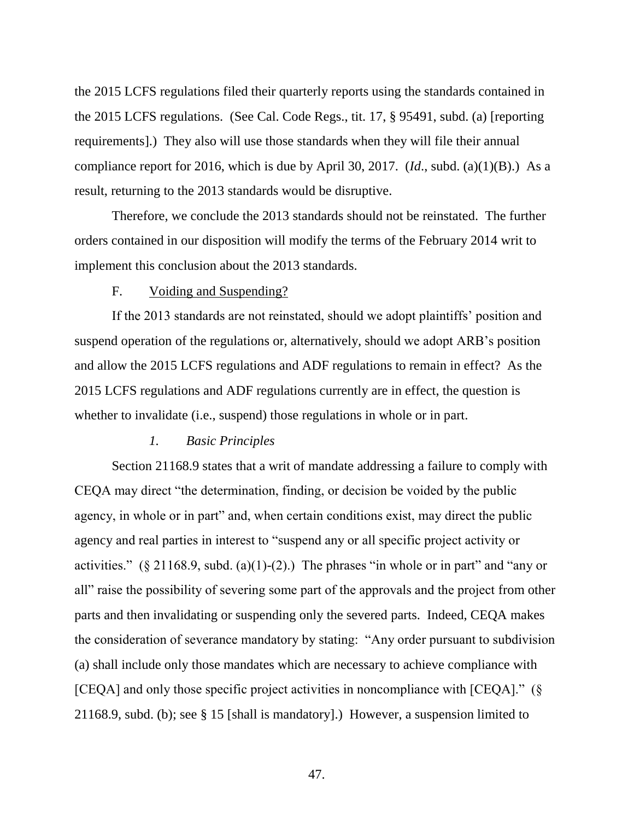the 2015 LCFS regulations filed their quarterly reports using the standards contained in the 2015 LCFS regulations. (See Cal. Code Regs., tit. 17, § 95491, subd. (a) [reporting requirements].) They also will use those standards when they will file their annual compliance report for 2016, which is due by April 30, 2017. (*Id*., subd. (a)(1)(B).) As a result, returning to the 2013 standards would be disruptive.

Therefore, we conclude the 2013 standards should not be reinstated. The further orders contained in our disposition will modify the terms of the February 2014 writ to implement this conclusion about the 2013 standards.

# F. Voiding and Suspending?

If the 2013 standards are not reinstated, should we adopt plaintiffs' position and suspend operation of the regulations or, alternatively, should we adopt ARB's position and allow the 2015 LCFS regulations and ADF regulations to remain in effect? As the 2015 LCFS regulations and ADF regulations currently are in effect, the question is whether to invalidate (i.e., suspend) those regulations in whole or in part.

#### *1. Basic Principles*

Section 21168.9 states that a writ of mandate addressing a failure to comply with CEQA may direct "the determination, finding, or decision be voided by the public agency, in whole or in part" and, when certain conditions exist, may direct the public agency and real parties in interest to "suspend any or all specific project activity or activities."  $(\S 21168.9, \text{subd. (a)}(1)-(2))$ . The phrases "in whole or in part" and "any or all" raise the possibility of severing some part of the approvals and the project from other parts and then invalidating or suspending only the severed parts. Indeed, CEQA makes the consideration of severance mandatory by stating: "Any order pursuant to subdivision (a) shall include only those mandates which are necessary to achieve compliance with [CEQA] and only those specific project activities in noncompliance with [CEQA]." (§ 21168.9, subd. (b); see § 15 [shall is mandatory].) However, a suspension limited to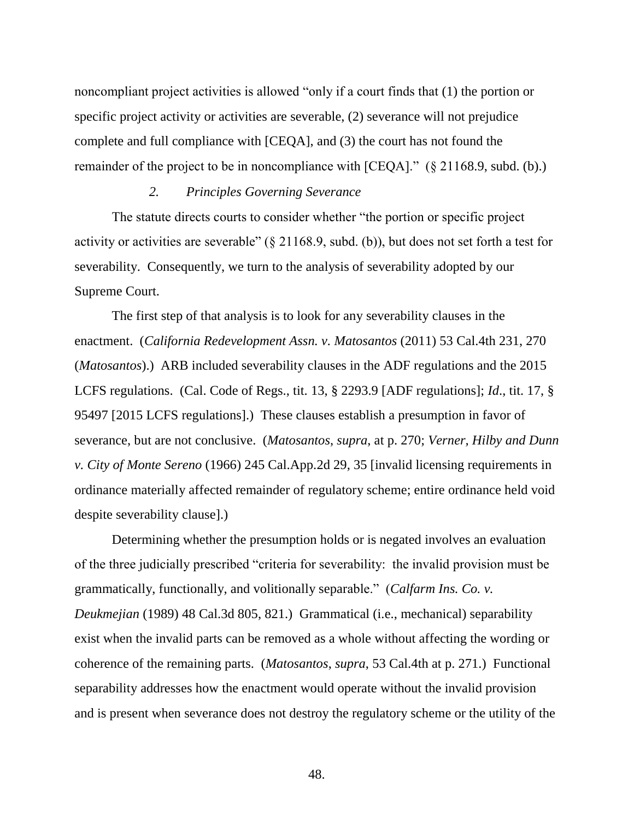noncompliant project activities is allowed "only if a court finds that (1) the portion or specific project activity or activities are severable, (2) severance will not prejudice complete and full compliance with [CEQA], and (3) the court has not found the remainder of the project to be in noncompliance with [CEQA]." (§ 21168.9, subd. (b).)

# *2. Principles Governing Severance*

The statute directs courts to consider whether "the portion or specific project activity or activities are severable" (§ 21168.9, subd. (b)), but does not set forth a test for severability. Consequently, we turn to the analysis of severability adopted by our Supreme Court.

The first step of that analysis is to look for any severability clauses in the enactment. (*California Redevelopment Assn. v. Matosantos* (2011) 53 Cal.4th 231, 270 (*Matosantos*).) ARB included severability clauses in the ADF regulations and the 2015 LCFS regulations. (Cal. Code of Regs., tit. 13, § 2293.9 [ADF regulations]; *Id*., tit. 17, § 95497 [2015 LCFS regulations].) These clauses establish a presumption in favor of severance, but are not conclusive. (*Matosantos*, *supra*, at p. 270; *Verner, Hilby and Dunn v. City of Monte Sereno* (1966) 245 Cal.App.2d 29, 35 [invalid licensing requirements in ordinance materially affected remainder of regulatory scheme; entire ordinance held void despite severability clause].)

Determining whether the presumption holds or is negated involves an evaluation of the three judicially prescribed "criteria for severability: the invalid provision must be grammatically, functionally, and volitionally separable." (*Calfarm Ins. Co. v. Deukmejian* (1989) 48 Cal.3d 805, 821.) Grammatical (i.e., mechanical) separability exist when the invalid parts can be removed as a whole without affecting the wording or coherence of the remaining parts. (*Matosantos*, *supra*, 53 Cal.4th at p. 271.) Functional separability addresses how the enactment would operate without the invalid provision and is present when severance does not destroy the regulatory scheme or the utility of the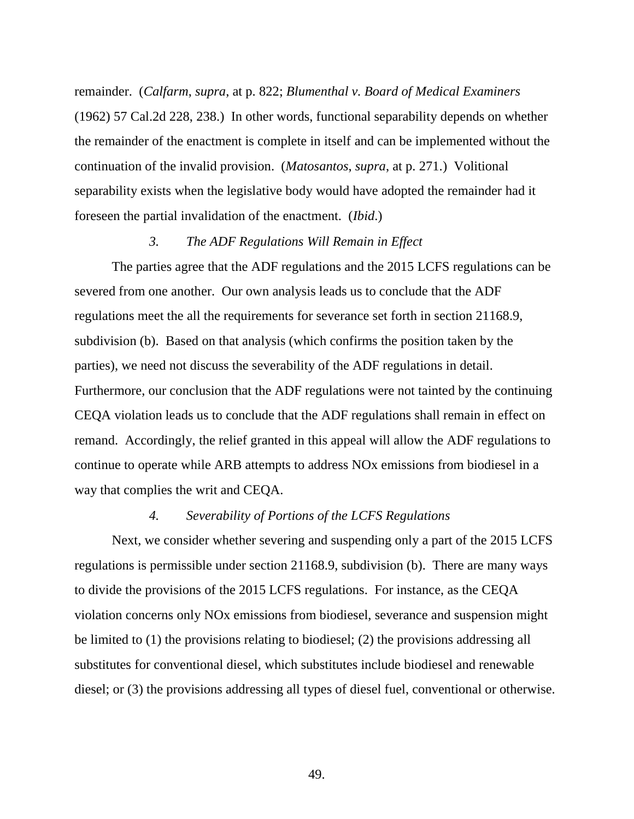remainder. (*Calfarm*, *supra*, at p. 822; *Blumenthal v. Board of Medical Examiners* (1962) 57 Cal.2d 228, 238.) In other words, functional separability depends on whether the remainder of the enactment is complete in itself and can be implemented without the continuation of the invalid provision. (*Matosantos*, *supra*, at p. 271.) Volitional separability exists when the legislative body would have adopted the remainder had it foreseen the partial invalidation of the enactment. (*Ibid*.)

## *3. The ADF Regulations Will Remain in Effect*

The parties agree that the ADF regulations and the 2015 LCFS regulations can be severed from one another. Our own analysis leads us to conclude that the ADF regulations meet the all the requirements for severance set forth in section 21168.9, subdivision (b). Based on that analysis (which confirms the position taken by the parties), we need not discuss the severability of the ADF regulations in detail. Furthermore, our conclusion that the ADF regulations were not tainted by the continuing CEQA violation leads us to conclude that the ADF regulations shall remain in effect on remand. Accordingly, the relief granted in this appeal will allow the ADF regulations to continue to operate while ARB attempts to address NOx emissions from biodiesel in a way that complies the writ and CEQA.

## *4. Severability of Portions of the LCFS Regulations*

Next, we consider whether severing and suspending only a part of the 2015 LCFS regulations is permissible under section 21168.9, subdivision (b). There are many ways to divide the provisions of the 2015 LCFS regulations. For instance, as the CEQA violation concerns only NOx emissions from biodiesel, severance and suspension might be limited to (1) the provisions relating to biodiesel; (2) the provisions addressing all substitutes for conventional diesel, which substitutes include biodiesel and renewable diesel; or (3) the provisions addressing all types of diesel fuel, conventional or otherwise.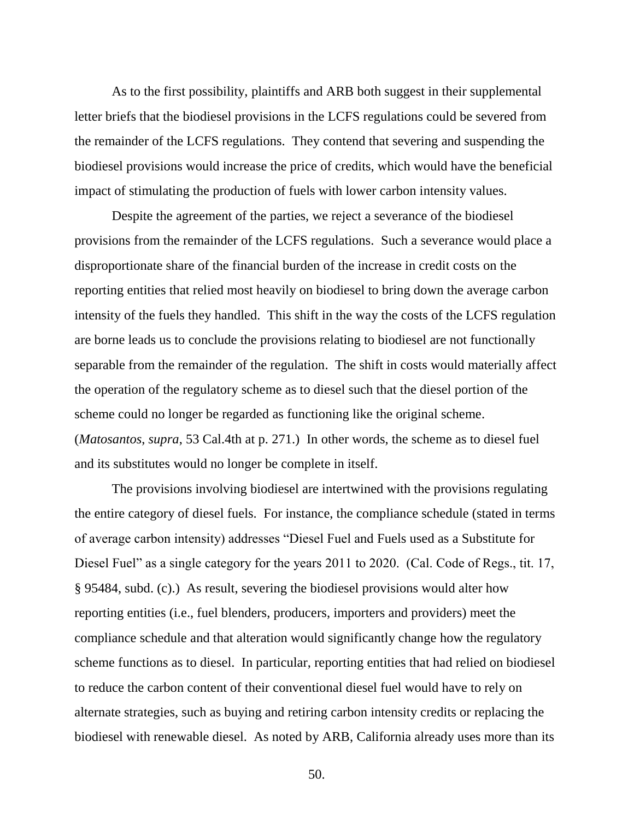As to the first possibility, plaintiffs and ARB both suggest in their supplemental letter briefs that the biodiesel provisions in the LCFS regulations could be severed from the remainder of the LCFS regulations. They contend that severing and suspending the biodiesel provisions would increase the price of credits, which would have the beneficial impact of stimulating the production of fuels with lower carbon intensity values.

Despite the agreement of the parties, we reject a severance of the biodiesel provisions from the remainder of the LCFS regulations. Such a severance would place a disproportionate share of the financial burden of the increase in credit costs on the reporting entities that relied most heavily on biodiesel to bring down the average carbon intensity of the fuels they handled. This shift in the way the costs of the LCFS regulation are borne leads us to conclude the provisions relating to biodiesel are not functionally separable from the remainder of the regulation. The shift in costs would materially affect the operation of the regulatory scheme as to diesel such that the diesel portion of the scheme could no longer be regarded as functioning like the original scheme. (*Matosantos*, *supra*, 53 Cal.4th at p. 271.) In other words, the scheme as to diesel fuel and its substitutes would no longer be complete in itself.

The provisions involving biodiesel are intertwined with the provisions regulating the entire category of diesel fuels. For instance, the compliance schedule (stated in terms of average carbon intensity) addresses "Diesel Fuel and Fuels used as a Substitute for Diesel Fuel" as a single category for the years 2011 to 2020. (Cal. Code of Regs., tit. 17, § 95484, subd. (c).) As result, severing the biodiesel provisions would alter how reporting entities (i.e., fuel blenders, producers, importers and providers) meet the compliance schedule and that alteration would significantly change how the regulatory scheme functions as to diesel. In particular, reporting entities that had relied on biodiesel to reduce the carbon content of their conventional diesel fuel would have to rely on alternate strategies, such as buying and retiring carbon intensity credits or replacing the biodiesel with renewable diesel. As noted by ARB, California already uses more than its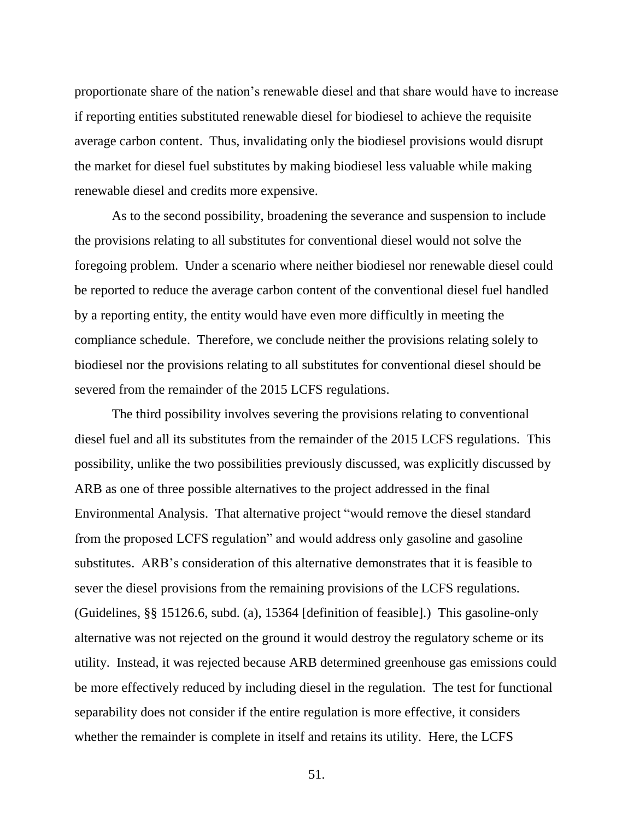proportionate share of the nation's renewable diesel and that share would have to increase if reporting entities substituted renewable diesel for biodiesel to achieve the requisite average carbon content. Thus, invalidating only the biodiesel provisions would disrupt the market for diesel fuel substitutes by making biodiesel less valuable while making renewable diesel and credits more expensive.

As to the second possibility, broadening the severance and suspension to include the provisions relating to all substitutes for conventional diesel would not solve the foregoing problem. Under a scenario where neither biodiesel nor renewable diesel could be reported to reduce the average carbon content of the conventional diesel fuel handled by a reporting entity, the entity would have even more difficultly in meeting the compliance schedule. Therefore, we conclude neither the provisions relating solely to biodiesel nor the provisions relating to all substitutes for conventional diesel should be severed from the remainder of the 2015 LCFS regulations.

The third possibility involves severing the provisions relating to conventional diesel fuel and all its substitutes from the remainder of the 2015 LCFS regulations. This possibility, unlike the two possibilities previously discussed, was explicitly discussed by ARB as one of three possible alternatives to the project addressed in the final Environmental Analysis. That alternative project "would remove the diesel standard from the proposed LCFS regulation" and would address only gasoline and gasoline substitutes. ARB's consideration of this alternative demonstrates that it is feasible to sever the diesel provisions from the remaining provisions of the LCFS regulations. (Guidelines, §§ 15126.6, subd. (a), 15364 [definition of feasible].) This gasoline-only alternative was not rejected on the ground it would destroy the regulatory scheme or its utility. Instead, it was rejected because ARB determined greenhouse gas emissions could be more effectively reduced by including diesel in the regulation. The test for functional separability does not consider if the entire regulation is more effective, it considers whether the remainder is complete in itself and retains its utility. Here, the LCFS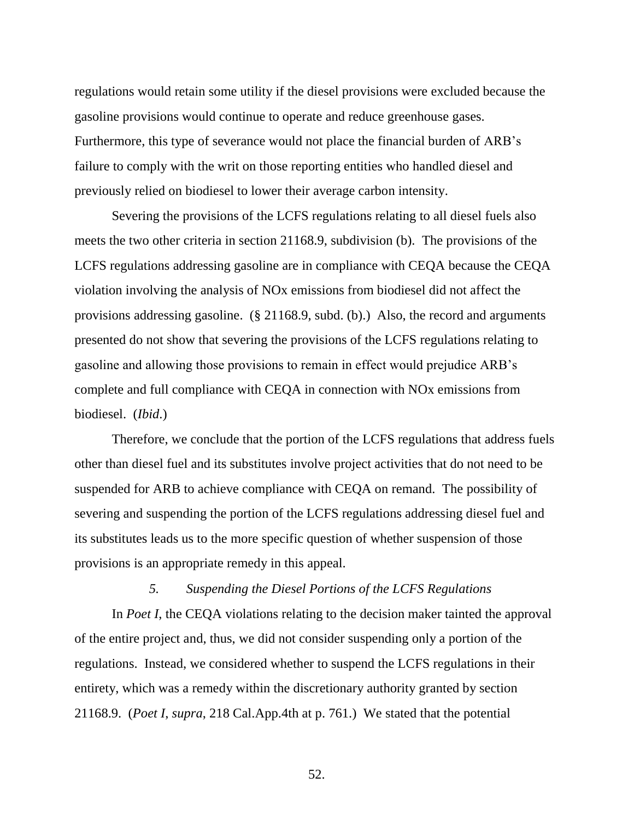regulations would retain some utility if the diesel provisions were excluded because the gasoline provisions would continue to operate and reduce greenhouse gases. Furthermore, this type of severance would not place the financial burden of ARB's failure to comply with the writ on those reporting entities who handled diesel and previously relied on biodiesel to lower their average carbon intensity.

Severing the provisions of the LCFS regulations relating to all diesel fuels also meets the two other criteria in section 21168.9, subdivision (b). The provisions of the LCFS regulations addressing gasoline are in compliance with CEQA because the CEQA violation involving the analysis of NOx emissions from biodiesel did not affect the provisions addressing gasoline. (§ 21168.9, subd. (b).) Also, the record and arguments presented do not show that severing the provisions of the LCFS regulations relating to gasoline and allowing those provisions to remain in effect would prejudice ARB's complete and full compliance with CEQA in connection with NOx emissions from biodiesel. (*Ibid*.)

Therefore, we conclude that the portion of the LCFS regulations that address fuels other than diesel fuel and its substitutes involve project activities that do not need to be suspended for ARB to achieve compliance with CEQA on remand. The possibility of severing and suspending the portion of the LCFS regulations addressing diesel fuel and its substitutes leads us to the more specific question of whether suspension of those provisions is an appropriate remedy in this appeal.

# *5. Suspending the Diesel Portions of the LCFS Regulations*

In *Poet I*, the CEQA violations relating to the decision maker tainted the approval of the entire project and, thus, we did not consider suspending only a portion of the regulations. Instead, we considered whether to suspend the LCFS regulations in their entirety, which was a remedy within the discretionary authority granted by section 21168.9. (*Poet I*, *supra*, 218 Cal.App.4th at p. 761.) We stated that the potential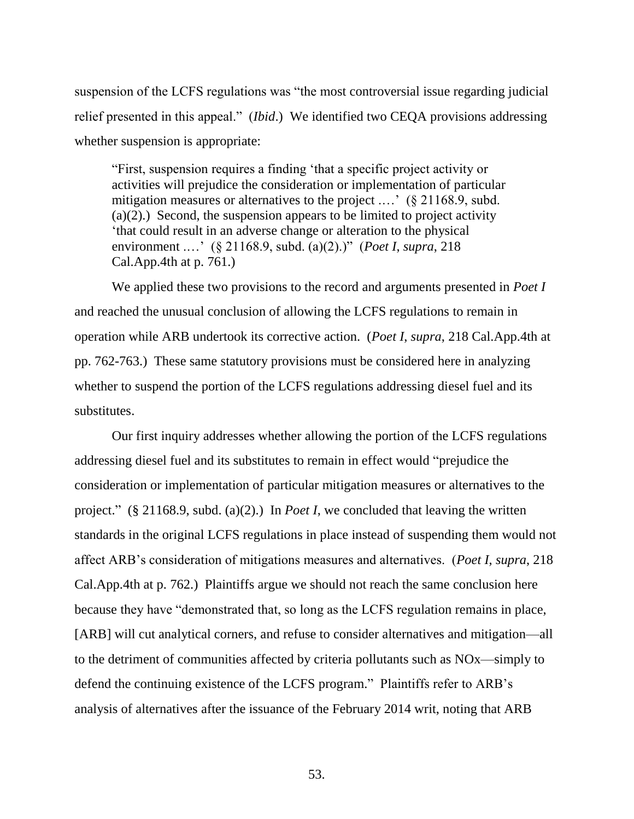suspension of the LCFS regulations was "the most controversial issue regarding judicial relief presented in this appeal." (*Ibid*.) We identified two CEQA provisions addressing whether suspension is appropriate:

"First, suspension requires a finding 'that a specific project activity or activities will prejudice the consideration or implementation of particular mitigation measures or alternatives to the project ....' (§ 21168.9, subd.  $(a)(2)$ .) Second, the suspension appears to be limited to project activity 'that could result in an adverse change or alteration to the physical environment .…' (§ 21168.9, subd. (a)(2).)" (*Poet I*, *supra*, 218 Cal.App.4th at p. 761.)

We applied these two provisions to the record and arguments presented in *Poet I* and reached the unusual conclusion of allowing the LCFS regulations to remain in operation while ARB undertook its corrective action. (*Poet I*, *supra*, 218 Cal.App.4th at pp. 762-763.) These same statutory provisions must be considered here in analyzing whether to suspend the portion of the LCFS regulations addressing diesel fuel and its substitutes.

Our first inquiry addresses whether allowing the portion of the LCFS regulations addressing diesel fuel and its substitutes to remain in effect would "prejudice the consideration or implementation of particular mitigation measures or alternatives to the project." (§ 21168.9, subd. (a)(2).) In *Poet I*, we concluded that leaving the written standards in the original LCFS regulations in place instead of suspending them would not affect ARB's consideration of mitigations measures and alternatives. (*Poet I*, *supra*, 218 Cal.App.4th at p. 762.) Plaintiffs argue we should not reach the same conclusion here because they have "demonstrated that, so long as the LCFS regulation remains in place, [ARB] will cut analytical corners, and refuse to consider alternatives and mitigation—all to the detriment of communities affected by criteria pollutants such as NOx—simply to defend the continuing existence of the LCFS program." Plaintiffs refer to ARB's analysis of alternatives after the issuance of the February 2014 writ, noting that ARB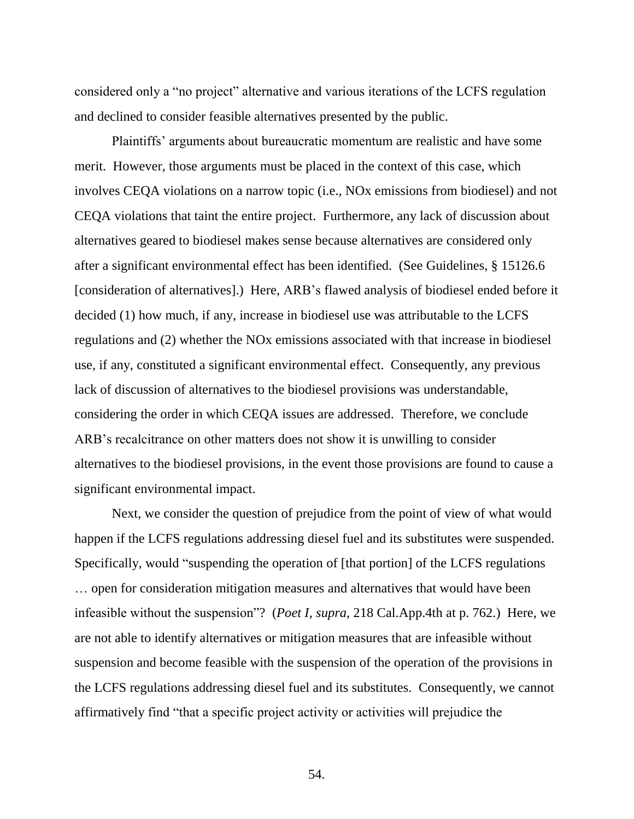considered only a "no project" alternative and various iterations of the LCFS regulation and declined to consider feasible alternatives presented by the public.

Plaintiffs' arguments about bureaucratic momentum are realistic and have some merit. However, those arguments must be placed in the context of this case, which involves CEQA violations on a narrow topic (i.e., NOx emissions from biodiesel) and not CEQA violations that taint the entire project. Furthermore, any lack of discussion about alternatives geared to biodiesel makes sense because alternatives are considered only after a significant environmental effect has been identified. (See Guidelines, § 15126.6 [consideration of alternatives].) Here, ARB's flawed analysis of biodiesel ended before it decided (1) how much, if any, increase in biodiesel use was attributable to the LCFS regulations and (2) whether the NOx emissions associated with that increase in biodiesel use, if any, constituted a significant environmental effect. Consequently, any previous lack of discussion of alternatives to the biodiesel provisions was understandable, considering the order in which CEQA issues are addressed. Therefore, we conclude ARB's recalcitrance on other matters does not show it is unwilling to consider alternatives to the biodiesel provisions, in the event those provisions are found to cause a significant environmental impact.

Next, we consider the question of prejudice from the point of view of what would happen if the LCFS regulations addressing diesel fuel and its substitutes were suspended. Specifically, would "suspending the operation of [that portion] of the LCFS regulations … open for consideration mitigation measures and alternatives that would have been infeasible without the suspension"? (*Poet I*, *supra*, 218 Cal.App.4th at p. 762.) Here, we are not able to identify alternatives or mitigation measures that are infeasible without suspension and become feasible with the suspension of the operation of the provisions in the LCFS regulations addressing diesel fuel and its substitutes. Consequently, we cannot affirmatively find "that a specific project activity or activities will prejudice the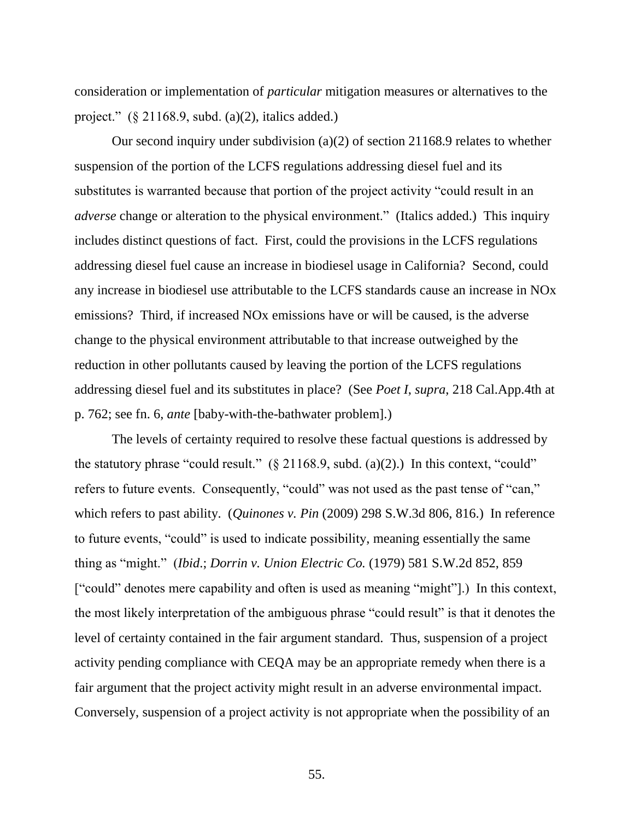consideration or implementation of *particular* mitigation measures or alternatives to the project."  $(\S$  21168.9, subd. (a)(2), italics added.)

Our second inquiry under subdivision (a)(2) of section 21168.9 relates to whether suspension of the portion of the LCFS regulations addressing diesel fuel and its substitutes is warranted because that portion of the project activity "could result in an *adverse* change or alteration to the physical environment." (Italics added.) This inquiry includes distinct questions of fact. First, could the provisions in the LCFS regulations addressing diesel fuel cause an increase in biodiesel usage in California? Second, could any increase in biodiesel use attributable to the LCFS standards cause an increase in NOx emissions? Third, if increased NOx emissions have or will be caused, is the adverse change to the physical environment attributable to that increase outweighed by the reduction in other pollutants caused by leaving the portion of the LCFS regulations addressing diesel fuel and its substitutes in place? (See *Poet I*, *supra*, 218 Cal.App.4th at p. 762; see fn. 6, *ante* [baby-with-the-bathwater problem].)

The levels of certainty required to resolve these factual questions is addressed by the statutory phrase "could result."  $(\S$  21168.9, subd. (a)(2).) In this context, "could" refers to future events. Consequently, "could" was not used as the past tense of "can," which refers to past ability. (*Quinones v. Pin* (2009) 298 S.W.3d 806, 816.) In reference to future events, "could" is used to indicate possibility, meaning essentially the same thing as "might." (*Ibid*.; *Dorrin v. Union Electric Co.* (1979) 581 S.W.2d 852, 859 ["could" denotes mere capability and often is used as meaning "might"].) In this context, the most likely interpretation of the ambiguous phrase "could result" is that it denotes the level of certainty contained in the fair argument standard. Thus, suspension of a project activity pending compliance with CEQA may be an appropriate remedy when there is a fair argument that the project activity might result in an adverse environmental impact. Conversely, suspension of a project activity is not appropriate when the possibility of an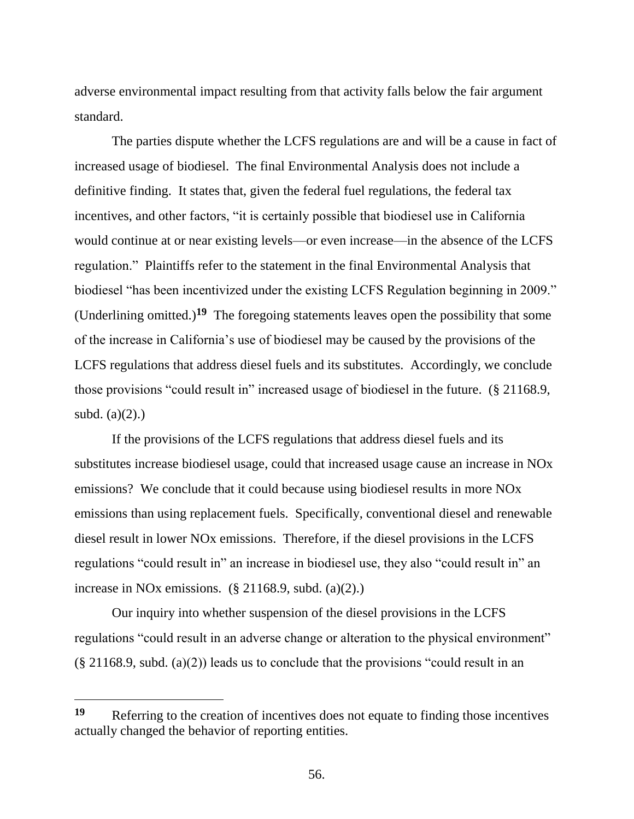adverse environmental impact resulting from that activity falls below the fair argument standard.

The parties dispute whether the LCFS regulations are and will be a cause in fact of increased usage of biodiesel. The final Environmental Analysis does not include a definitive finding. It states that, given the federal fuel regulations, the federal tax incentives, and other factors, "it is certainly possible that biodiesel use in California would continue at or near existing levels—or even increase—in the absence of the LCFS regulation." Plaintiffs refer to the statement in the final Environmental Analysis that biodiesel "has been incentivized under the existing LCFS Regulation beginning in 2009." (Underlining omitted.)**<sup>19</sup>** The foregoing statements leaves open the possibility that some of the increase in California's use of biodiesel may be caused by the provisions of the LCFS regulations that address diesel fuels and its substitutes. Accordingly, we conclude those provisions "could result in" increased usage of biodiesel in the future. (§ 21168.9, subd.  $(a)(2)$ .)

If the provisions of the LCFS regulations that address diesel fuels and its substitutes increase biodiesel usage, could that increased usage cause an increase in NOx emissions? We conclude that it could because using biodiesel results in more NOx emissions than using replacement fuels. Specifically, conventional diesel and renewable diesel result in lower NOx emissions. Therefore, if the diesel provisions in the LCFS regulations "could result in" an increase in biodiesel use, they also "could result in" an increase in NO<sub>x</sub> emissions.  $(\S$  21168.9, subd. (a)(2).)

Our inquiry into whether suspension of the diesel provisions in the LCFS regulations "could result in an adverse change or alteration to the physical environment"  $(\S 21168.9, \text{subd.} (a)(2))$  leads us to conclude that the provisions "could result in an

 $\overline{a}$ 

<sup>19</sup> Referring to the creation of incentives does not equate to finding those incentives actually changed the behavior of reporting entities.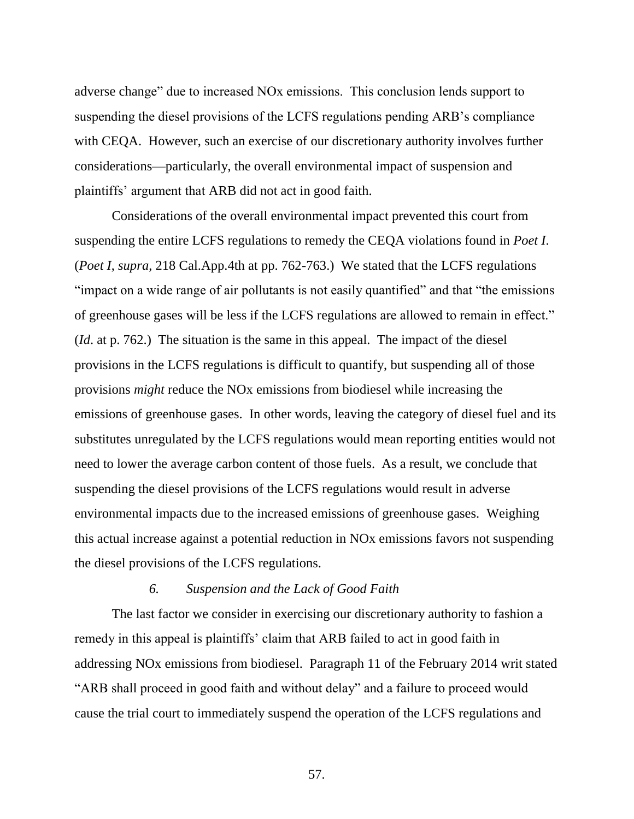adverse change" due to increased NOx emissions. This conclusion lends support to suspending the diesel provisions of the LCFS regulations pending ARB's compliance with CEQA. However, such an exercise of our discretionary authority involves further considerations—particularly, the overall environmental impact of suspension and plaintiffs' argument that ARB did not act in good faith.

Considerations of the overall environmental impact prevented this court from suspending the entire LCFS regulations to remedy the CEQA violations found in *Poet I*. (*Poet I*, *supra*, 218 Cal.App.4th at pp. 762-763.) We stated that the LCFS regulations "impact on a wide range of air pollutants is not easily quantified" and that "the emissions of greenhouse gases will be less if the LCFS regulations are allowed to remain in effect." (*Id*. at p. 762.) The situation is the same in this appeal. The impact of the diesel provisions in the LCFS regulations is difficult to quantify, but suspending all of those provisions *might* reduce the NOx emissions from biodiesel while increasing the emissions of greenhouse gases. In other words, leaving the category of diesel fuel and its substitutes unregulated by the LCFS regulations would mean reporting entities would not need to lower the average carbon content of those fuels. As a result, we conclude that suspending the diesel provisions of the LCFS regulations would result in adverse environmental impacts due to the increased emissions of greenhouse gases. Weighing this actual increase against a potential reduction in NOx emissions favors not suspending the diesel provisions of the LCFS regulations.

# *6. Suspension and the Lack of Good Faith*

The last factor we consider in exercising our discretionary authority to fashion a remedy in this appeal is plaintiffs' claim that ARB failed to act in good faith in addressing NOx emissions from biodiesel. Paragraph 11 of the February 2014 writ stated "ARB shall proceed in good faith and without delay" and a failure to proceed would cause the trial court to immediately suspend the operation of the LCFS regulations and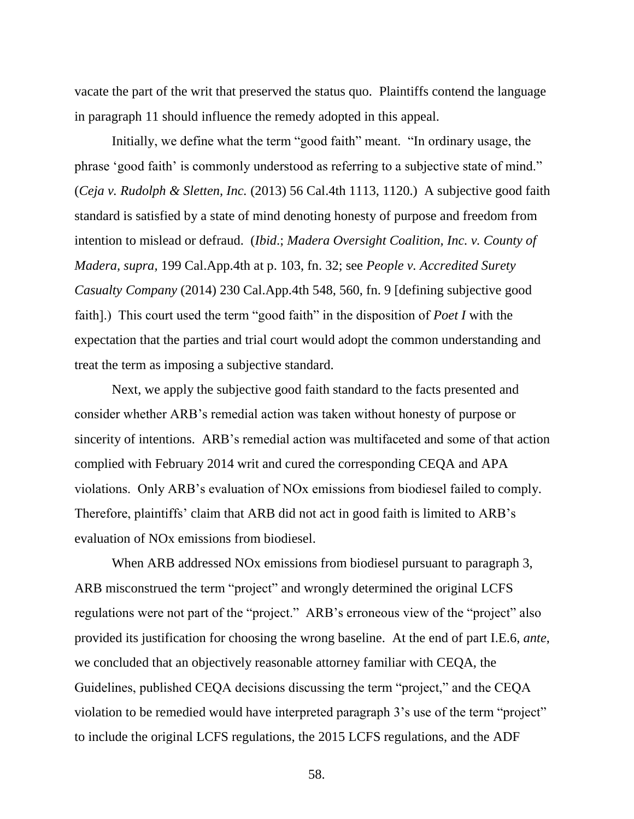vacate the part of the writ that preserved the status quo. Plaintiffs contend the language in paragraph 11 should influence the remedy adopted in this appeal.

Initially, we define what the term "good faith" meant. "In ordinary usage, the phrase 'good faith' is commonly understood as referring to a subjective state of mind." (*Ceja v. Rudolph & Sletten, Inc.* (2013) 56 Cal.4th 1113, 1120.) A subjective good faith standard is satisfied by a state of mind denoting honesty of purpose and freedom from intention to mislead or defraud. (*Ibid*.; *Madera Oversight Coalition, Inc. v. County of Madera, supra,* 199 Cal.App.4th at p. 103, fn. 32; see *People v. Accredited Surety Casualty Company* (2014) 230 Cal.App.4th 548, 560, fn. 9 [defining subjective good faith].) This court used the term "good faith" in the disposition of *Poet I* with the expectation that the parties and trial court would adopt the common understanding and treat the term as imposing a subjective standard.

Next, we apply the subjective good faith standard to the facts presented and consider whether ARB's remedial action was taken without honesty of purpose or sincerity of intentions. ARB's remedial action was multifaceted and some of that action complied with February 2014 writ and cured the corresponding CEQA and APA violations. Only ARB's evaluation of NOx emissions from biodiesel failed to comply. Therefore, plaintiffs' claim that ARB did not act in good faith is limited to ARB's evaluation of NOx emissions from biodiesel.

When ARB addressed NOx emissions from biodiesel pursuant to paragraph 3, ARB misconstrued the term "project" and wrongly determined the original LCFS regulations were not part of the "project." ARB's erroneous view of the "project" also provided its justification for choosing the wrong baseline. At the end of part I.E.6, *ante*, we concluded that an objectively reasonable attorney familiar with CEQA, the Guidelines, published CEQA decisions discussing the term "project," and the CEQA violation to be remedied would have interpreted paragraph 3's use of the term "project" to include the original LCFS regulations, the 2015 LCFS regulations, and the ADF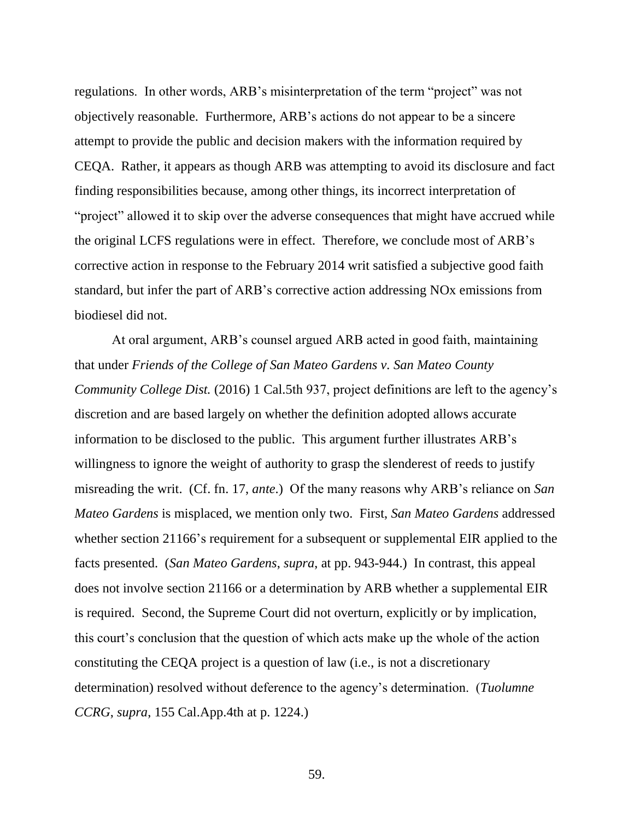regulations. In other words, ARB's misinterpretation of the term "project" was not objectively reasonable. Furthermore, ARB's actions do not appear to be a sincere attempt to provide the public and decision makers with the information required by CEQA. Rather, it appears as though ARB was attempting to avoid its disclosure and fact finding responsibilities because, among other things, its incorrect interpretation of "project" allowed it to skip over the adverse consequences that might have accrued while the original LCFS regulations were in effect. Therefore, we conclude most of ARB's corrective action in response to the February 2014 writ satisfied a subjective good faith standard, but infer the part of ARB's corrective action addressing NOx emissions from biodiesel did not.

At oral argument, ARB's counsel argued ARB acted in good faith, maintaining that under *Friends of the College of San Mateo Gardens v. San Mateo County Community College Dist.* (2016) 1 Cal.5th 937, project definitions are left to the agency's discretion and are based largely on whether the definition adopted allows accurate information to be disclosed to the public. This argument further illustrates ARB's willingness to ignore the weight of authority to grasp the slenderest of reeds to justify misreading the writ. (Cf. fn. 17, *ante*.) Of the many reasons why ARB's reliance on *San Mateo Gardens* is misplaced, we mention only two. First, *San Mateo Gardens* addressed whether section 21166's requirement for a subsequent or supplemental EIR applied to the facts presented. (*San Mateo Gardens*, *supra*, at pp. 943-944.) In contrast, this appeal does not involve section 21166 or a determination by ARB whether a supplemental EIR is required. Second, the Supreme Court did not overturn, explicitly or by implication, this court's conclusion that the question of which acts make up the whole of the action constituting the CEQA project is a question of law (i.e., is not a discretionary determination) resolved without deference to the agency's determination. (*Tuolumne CCRG*, *supra*, 155 Cal.App.4th at p. 1224.)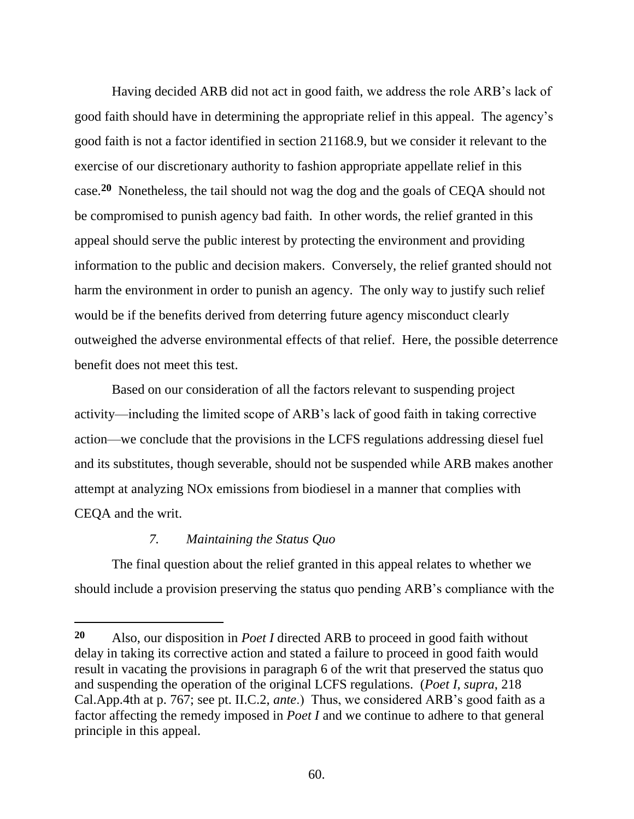Having decided ARB did not act in good faith, we address the role ARB's lack of good faith should have in determining the appropriate relief in this appeal. The agency's good faith is not a factor identified in section 21168.9, but we consider it relevant to the exercise of our discretionary authority to fashion appropriate appellate relief in this case.**<sup>20</sup>** Nonetheless, the tail should not wag the dog and the goals of CEQA should not be compromised to punish agency bad faith. In other words, the relief granted in this appeal should serve the public interest by protecting the environment and providing information to the public and decision makers. Conversely, the relief granted should not harm the environment in order to punish an agency. The only way to justify such relief would be if the benefits derived from deterring future agency misconduct clearly outweighed the adverse environmental effects of that relief. Here, the possible deterrence benefit does not meet this test.

Based on our consideration of all the factors relevant to suspending project activity—including the limited scope of ARB's lack of good faith in taking corrective action—we conclude that the provisions in the LCFS regulations addressing diesel fuel and its substitutes, though severable, should not be suspended while ARB makes another attempt at analyzing NOx emissions from biodiesel in a manner that complies with CEQA and the writ.

# *7. Maintaining the Status Quo*

The final question about the relief granted in this appeal relates to whether we should include a provision preserving the status quo pending ARB's compliance with the

**<sup>20</sup>** Also, our disposition in *Poet I* directed ARB to proceed in good faith without delay in taking its corrective action and stated a failure to proceed in good faith would result in vacating the provisions in paragraph 6 of the writ that preserved the status quo and suspending the operation of the original LCFS regulations. (*Poet I*, *supra*, 218 Cal.App.4th at p. 767; see pt. II.C.2, *ante*.) Thus, we considered ARB's good faith as a factor affecting the remedy imposed in *Poet I* and we continue to adhere to that general principle in this appeal.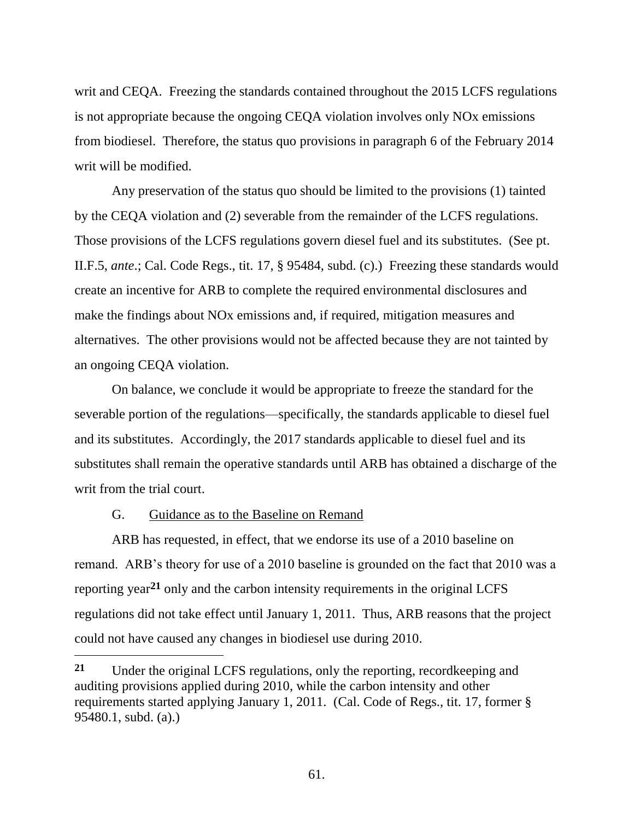writ and CEQA. Freezing the standards contained throughout the 2015 LCFS regulations is not appropriate because the ongoing CEQA violation involves only NOx emissions from biodiesel. Therefore, the status quo provisions in paragraph 6 of the February 2014 writ will be modified.

Any preservation of the status quo should be limited to the provisions (1) tainted by the CEQA violation and (2) severable from the remainder of the LCFS regulations. Those provisions of the LCFS regulations govern diesel fuel and its substitutes. (See pt. II.F.5, *ante*.; Cal. Code Regs., tit. 17, § 95484, subd. (c).) Freezing these standards would create an incentive for ARB to complete the required environmental disclosures and make the findings about NOx emissions and, if required, mitigation measures and alternatives. The other provisions would not be affected because they are not tainted by an ongoing CEQA violation.

On balance, we conclude it would be appropriate to freeze the standard for the severable portion of the regulations—specifically, the standards applicable to diesel fuel and its substitutes. Accordingly, the 2017 standards applicable to diesel fuel and its substitutes shall remain the operative standards until ARB has obtained a discharge of the writ from the trial court.

## G. Guidance as to the Baseline on Remand

 $\overline{a}$ 

ARB has requested, in effect, that we endorse its use of a 2010 baseline on remand. ARB's theory for use of a 2010 baseline is grounded on the fact that 2010 was a reporting year**<sup>21</sup>** only and the carbon intensity requirements in the original LCFS regulations did not take effect until January 1, 2011. Thus, ARB reasons that the project could not have caused any changes in biodiesel use during 2010.

**<sup>21</sup>** Under the original LCFS regulations, only the reporting, recordkeeping and auditing provisions applied during 2010, while the carbon intensity and other requirements started applying January 1, 2011. (Cal. Code of Regs., tit. 17, former § 95480.1, subd. (a).)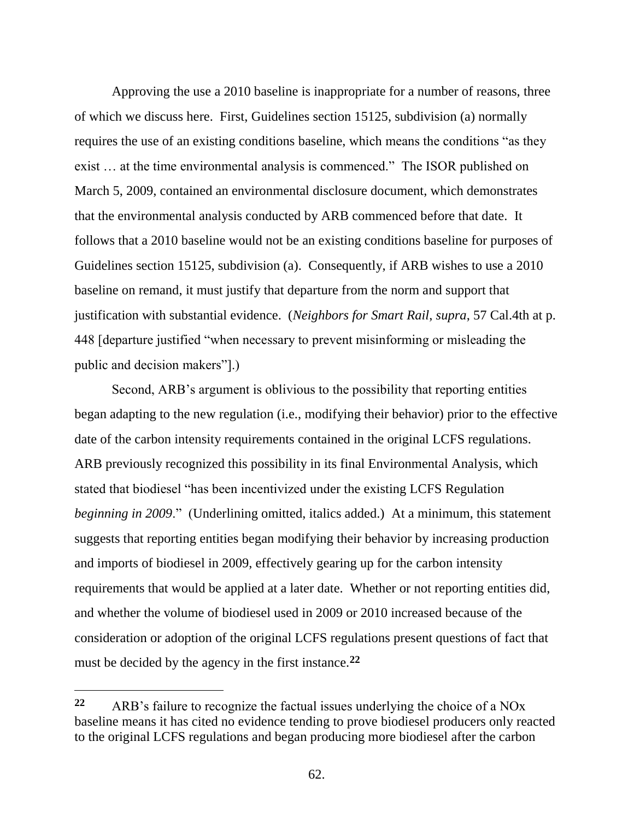Approving the use a 2010 baseline is inappropriate for a number of reasons, three of which we discuss here. First, Guidelines section 15125, subdivision (a) normally requires the use of an existing conditions baseline, which means the conditions "as they exist … at the time environmental analysis is commenced." The ISOR published on March 5, 2009, contained an environmental disclosure document, which demonstrates that the environmental analysis conducted by ARB commenced before that date. It follows that a 2010 baseline would not be an existing conditions baseline for purposes of Guidelines section 15125, subdivision (a). Consequently, if ARB wishes to use a 2010 baseline on remand, it must justify that departure from the norm and support that justification with substantial evidence. (*Neighbors for Smart Rail*, *supra*, 57 Cal.4th at p. 448 [departure justified "when necessary to prevent misinforming or misleading the public and decision makers"].)

Second, ARB's argument is oblivious to the possibility that reporting entities began adapting to the new regulation (i.e., modifying their behavior) prior to the effective date of the carbon intensity requirements contained in the original LCFS regulations. ARB previously recognized this possibility in its final Environmental Analysis, which stated that biodiesel "has been incentivized under the existing LCFS Regulation *beginning in 2009*." (Underlining omitted, italics added.) At a minimum, this statement suggests that reporting entities began modifying their behavior by increasing production and imports of biodiesel in 2009, effectively gearing up for the carbon intensity requirements that would be applied at a later date. Whether or not reporting entities did, and whether the volume of biodiesel used in 2009 or 2010 increased because of the consideration or adoption of the original LCFS regulations present questions of fact that must be decided by the agency in the first instance.**<sup>22</sup>**

 $\overline{a}$ 

**<sup>22</sup>** ARB's failure to recognize the factual issues underlying the choice of a NOx baseline means it has cited no evidence tending to prove biodiesel producers only reacted to the original LCFS regulations and began producing more biodiesel after the carbon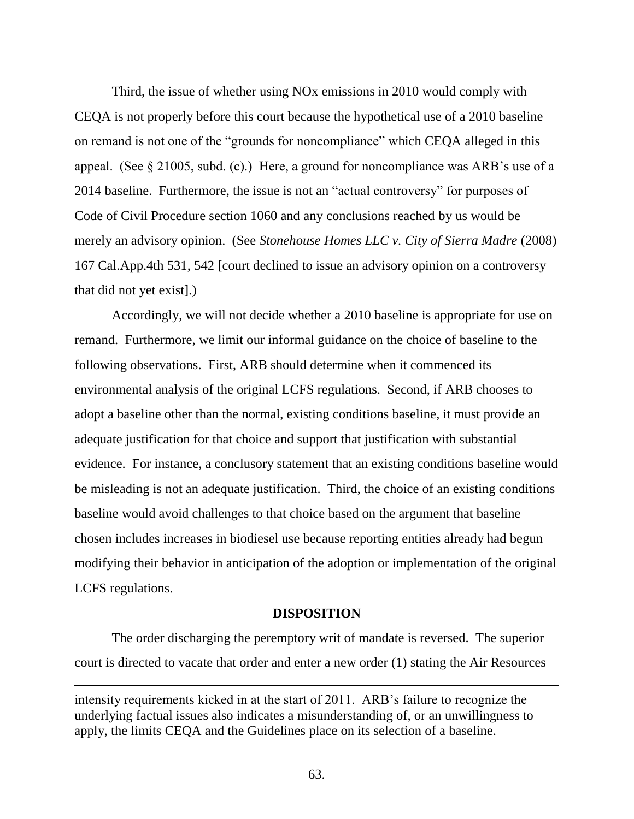Third, the issue of whether using NOx emissions in 2010 would comply with CEQA is not properly before this court because the hypothetical use of a 2010 baseline on remand is not one of the "grounds for noncompliance" which CEQA alleged in this appeal. (See § 21005, subd. (c).) Here, a ground for noncompliance was ARB's use of a 2014 baseline. Furthermore, the issue is not an "actual controversy" for purposes of Code of Civil Procedure section 1060 and any conclusions reached by us would be merely an advisory opinion. (See *Stonehouse Homes LLC v. City of Sierra Madre* (2008) 167 Cal.App.4th 531, 542 [court declined to issue an advisory opinion on a controversy that did not yet exist].)

Accordingly, we will not decide whether a 2010 baseline is appropriate for use on remand. Furthermore, we limit our informal guidance on the choice of baseline to the following observations. First, ARB should determine when it commenced its environmental analysis of the original LCFS regulations. Second, if ARB chooses to adopt a baseline other than the normal, existing conditions baseline, it must provide an adequate justification for that choice and support that justification with substantial evidence. For instance, a conclusory statement that an existing conditions baseline would be misleading is not an adequate justification. Third, the choice of an existing conditions baseline would avoid challenges to that choice based on the argument that baseline chosen includes increases in biodiesel use because reporting entities already had begun modifying their behavior in anticipation of the adoption or implementation of the original LCFS regulations.

### **DISPOSITION**

The order discharging the peremptory writ of mandate is reversed. The superior court is directed to vacate that order and enter a new order (1) stating the Air Resources

intensity requirements kicked in at the start of 2011. ARB's failure to recognize the underlying factual issues also indicates a misunderstanding of, or an unwillingness to apply, the limits CEQA and the Guidelines place on its selection of a baseline.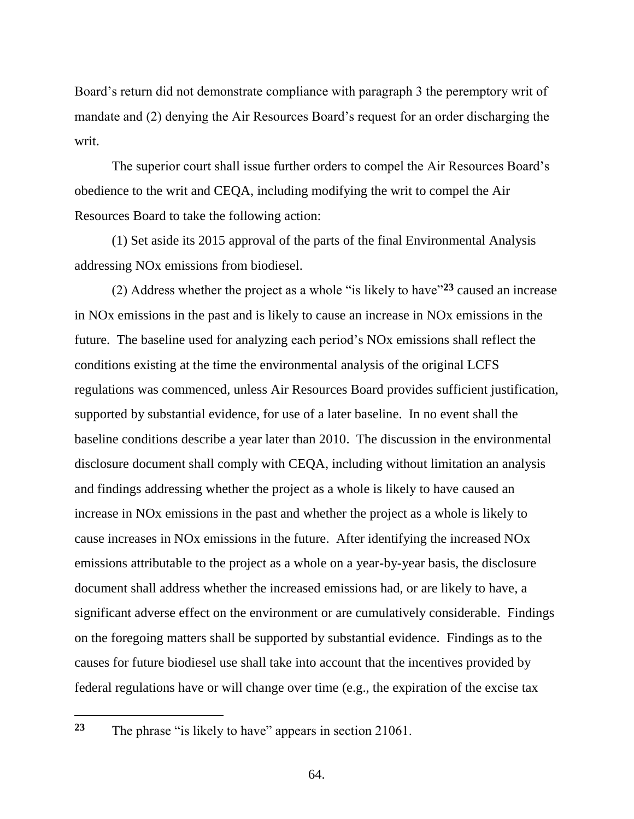Board's return did not demonstrate compliance with paragraph 3 the peremptory writ of mandate and (2) denying the Air Resources Board's request for an order discharging the writ.

The superior court shall issue further orders to compel the Air Resources Board's obedience to the writ and CEQA, including modifying the writ to compel the Air Resources Board to take the following action:

(1) Set aside its 2015 approval of the parts of the final Environmental Analysis addressing NOx emissions from biodiesel.

(2) Address whether the project as a whole "is likely to have"**<sup>23</sup>** caused an increase in NOx emissions in the past and is likely to cause an increase in NOx emissions in the future. The baseline used for analyzing each period's NOx emissions shall reflect the conditions existing at the time the environmental analysis of the original LCFS regulations was commenced, unless Air Resources Board provides sufficient justification, supported by substantial evidence, for use of a later baseline. In no event shall the baseline conditions describe a year later than 2010. The discussion in the environmental disclosure document shall comply with CEQA, including without limitation an analysis and findings addressing whether the project as a whole is likely to have caused an increase in NOx emissions in the past and whether the project as a whole is likely to cause increases in NOx emissions in the future. After identifying the increased NOx emissions attributable to the project as a whole on a year-by-year basis, the disclosure document shall address whether the increased emissions had, or are likely to have, a significant adverse effect on the environment or are cumulatively considerable. Findings on the foregoing matters shall be supported by substantial evidence. Findings as to the causes for future biodiesel use shall take into account that the incentives provided by federal regulations have or will change over time (e.g., the expiration of the excise tax

**<sup>23</sup>** The phrase "is likely to have" appears in section 21061.

 $\overline{a}$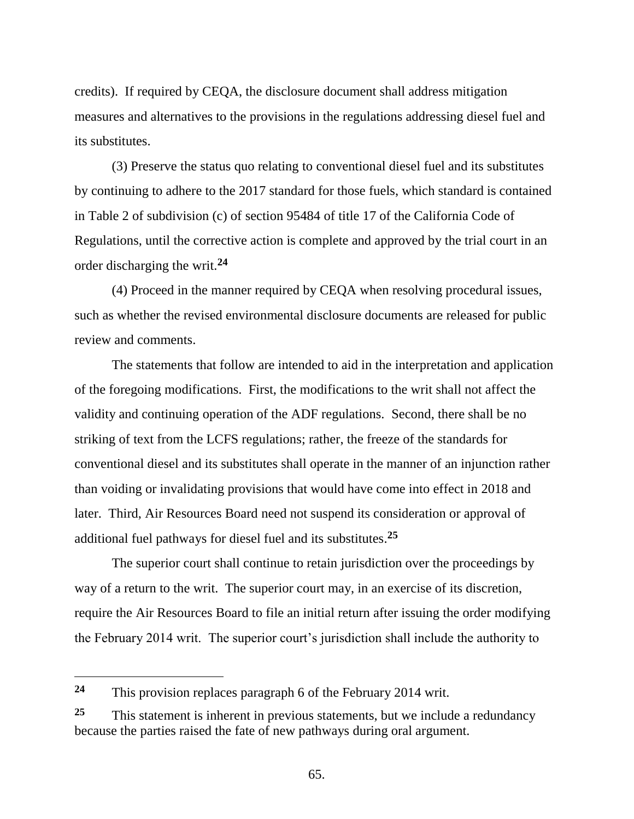credits). If required by CEQA, the disclosure document shall address mitigation measures and alternatives to the provisions in the regulations addressing diesel fuel and its substitutes.

(3) Preserve the status quo relating to conventional diesel fuel and its substitutes by continuing to adhere to the 2017 standard for those fuels, which standard is contained in Table 2 of subdivision (c) of section 95484 of title 17 of the California Code of Regulations, until the corrective action is complete and approved by the trial court in an order discharging the writ.**<sup>24</sup>**

(4) Proceed in the manner required by CEQA when resolving procedural issues, such as whether the revised environmental disclosure documents are released for public review and comments.

The statements that follow are intended to aid in the interpretation and application of the foregoing modifications. First, the modifications to the writ shall not affect the validity and continuing operation of the ADF regulations. Second, there shall be no striking of text from the LCFS regulations; rather, the freeze of the standards for conventional diesel and its substitutes shall operate in the manner of an injunction rather than voiding or invalidating provisions that would have come into effect in 2018 and later. Third, Air Resources Board need not suspend its consideration or approval of additional fuel pathways for diesel fuel and its substitutes. **25**

The superior court shall continue to retain jurisdiction over the proceedings by way of a return to the writ. The superior court may, in an exercise of its discretion, require the Air Resources Board to file an initial return after issuing the order modifying the February 2014 writ. The superior court's jurisdiction shall include the authority to

 $\overline{a}$ 

**<sup>24</sup>** This provision replaces paragraph 6 of the February 2014 writ.

**<sup>25</sup>** This statement is inherent in previous statements, but we include a redundancy because the parties raised the fate of new pathways during oral argument.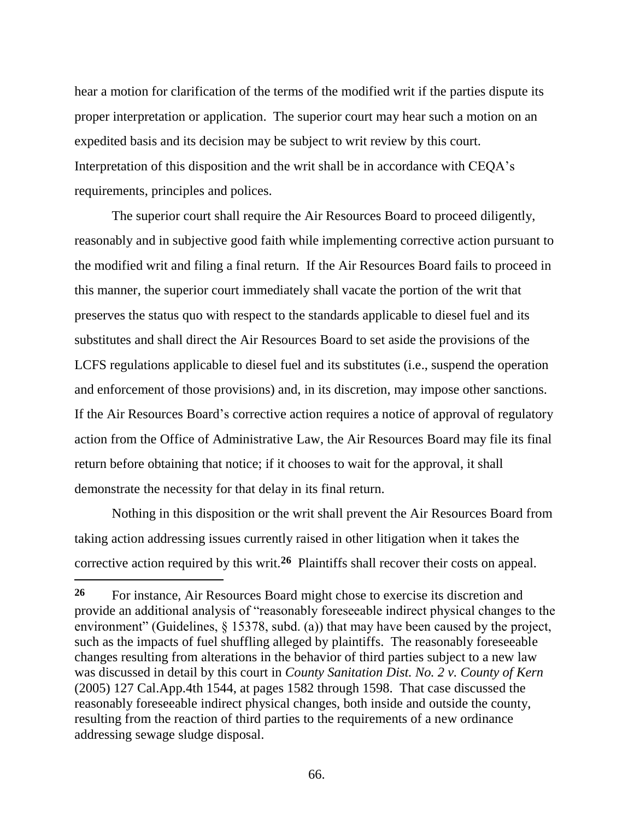hear a motion for clarification of the terms of the modified writ if the parties dispute its proper interpretation or application. The superior court may hear such a motion on an expedited basis and its decision may be subject to writ review by this court. Interpretation of this disposition and the writ shall be in accordance with CEQA's requirements, principles and polices.

The superior court shall require the Air Resources Board to proceed diligently, reasonably and in subjective good faith while implementing corrective action pursuant to the modified writ and filing a final return. If the Air Resources Board fails to proceed in this manner, the superior court immediately shall vacate the portion of the writ that preserves the status quo with respect to the standards applicable to diesel fuel and its substitutes and shall direct the Air Resources Board to set aside the provisions of the LCFS regulations applicable to diesel fuel and its substitutes (i.e., suspend the operation and enforcement of those provisions) and, in its discretion, may impose other sanctions. If the Air Resources Board's corrective action requires a notice of approval of regulatory action from the Office of Administrative Law, the Air Resources Board may file its final return before obtaining that notice; if it chooses to wait for the approval, it shall demonstrate the necessity for that delay in its final return.

Nothing in this disposition or the writ shall prevent the Air Resources Board from taking action addressing issues currently raised in other litigation when it takes the corrective action required by this writ.**<sup>26</sup>** Plaintiffs shall recover their costs on appeal.

**<sup>26</sup>** For instance, Air Resources Board might chose to exercise its discretion and provide an additional analysis of "reasonably foreseeable indirect physical changes to the environment" (Guidelines, § 15378, subd. (a)) that may have been caused by the project, such as the impacts of fuel shuffling alleged by plaintiffs. The reasonably foreseeable changes resulting from alterations in the behavior of third parties subject to a new law was discussed in detail by this court in *County Sanitation Dist. No. 2 v. County of Kern* (2005) 127 Cal.App.4th 1544, at pages 1582 through 1598. That case discussed the reasonably foreseeable indirect physical changes, both inside and outside the county, resulting from the reaction of third parties to the requirements of a new ordinance addressing sewage sludge disposal.